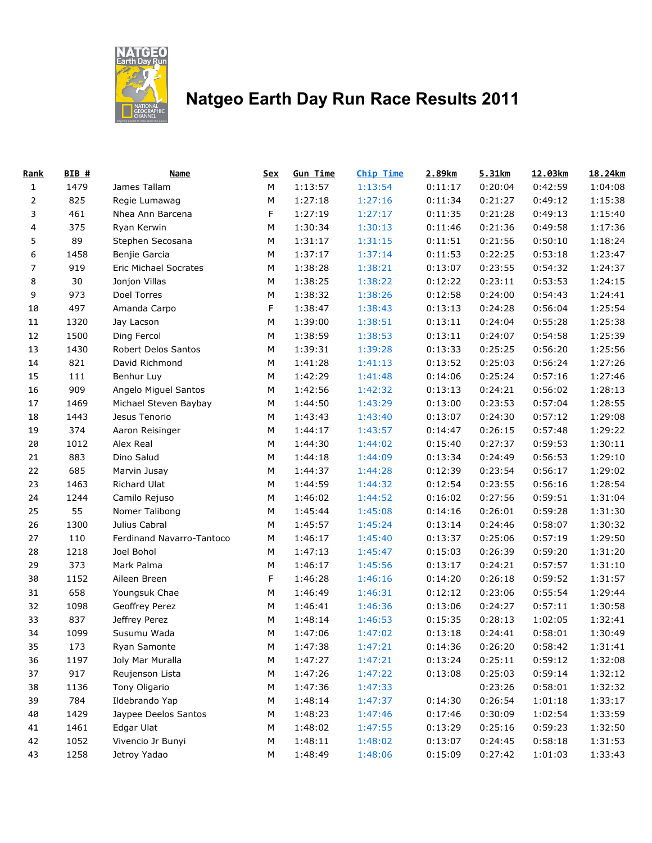

## **Natgeo Earth Day Run Race Results 2011**

| Rank           | BIB # | <b>Name</b>               | <u>Sex</u> | <b>Gun Time</b> | Chip Time | 2.89km  | 5.31km  | 12.03km | 18.24km |
|----------------|-------|---------------------------|------------|-----------------|-----------|---------|---------|---------|---------|
| $\mathbf{1}$   | 1479  | James Tallam              | M          | 1:13:57         | 1:13:54   | 0:11:17 | 0:20:04 | 0:42:59 | 1:04:08 |
| $\overline{2}$ | 825   | Regie Lumawag             | M          | 1:27:18         | 1:27:16   | 0:11:34 | 0:21:27 | 0:49:12 | 1:15:38 |
| 3              | 461   | Nhea Ann Barcena          | F          | 1:27:19         | 1:27:17   | 0:11:35 | 0:21:28 | 0:49:13 | 1:15:40 |
| 4              | 375   | Ryan Kerwin               | M          | 1:30:34         | 1:30:13   | 0:11:46 | 0:21:36 | 0:49:58 | 1:17:36 |
| 5              | 89    | Stephen Secosana          | M          | 1:31:17         | 1:31:15   | 0:11:51 | 0:21:56 | 0:50:10 | 1:18:24 |
| 6              | 1458  | Benjie Garcia             | M          | 1:37:17         | 1:37:14   | 0:11:53 | 0:22:25 | 0:53:18 | 1:23:47 |
| 7              | 919   | Eric Michael Socrates     | ${\sf M}$  | 1:38:28         | 1:38:21   | 0:13:07 | 0:23:55 | 0:54:32 | 1:24:37 |
| 8              | 30    | Jonjon Villas             | М          | 1:38:25         | 1:38:22   | 0:12:22 | 0:23:11 | 0:53:53 | 1:24:15 |
| 9              | 973   | Doel Torres               | M          | 1:38:32         | 1:38:26   | 0:12:58 | 0:24:00 | 0:54:43 | 1:24:41 |
| 10             | 497   | Amanda Carpo              | F          | 1:38:47         | 1:38:43   | 0:13:13 | 0:24:28 | 0:56:04 | 1:25:54 |
| 11             | 1320  | Jay Lacson                | M          | 1:39:00         | 1:38:51   | 0:13:11 | 0:24:04 | 0:55:28 | 1:25:38 |
| 12             | 1500  | Ding Fercol               | M          | 1:38:59         | 1:38:53   | 0:13:11 | 0:24:07 | 0:54:58 | 1:25:39 |
| 13             | 1430  | Robert Delos Santos       | M          | 1:39:31         | 1:39:28   | 0:13:33 | 0:25:25 | 0:56:20 | 1:25:56 |
| 14             | 821   | David Richmond            | M          | 1:41:28         | 1:41:13   | 0:13:52 | 0:25:03 | 0:56:24 | 1:27:26 |
| 15             | 111   | Benhur Luy                | M          | 1:42:29         | 1:41:48   | 0:14:06 | 0:25:24 | 0:57:16 | 1:27:46 |
| 16             | 909   | Angelo Miguel Santos      | М          | 1:42:56         | 1:42:32   | 0:13:13 | 0:24:21 | 0:56:02 | 1:28:13 |
| 17             | 1469  | Michael Steven Baybay     | М          | 1:44:50         | 1:43:29   | 0:13:00 | 0:23:53 | 0:57:04 | 1:28:55 |
| 18             | 1443  | Jesus Tenorio             | M          | 1:43:43         | 1:43:40   | 0:13:07 | 0:24:30 | 0:57:12 | 1:29:08 |
| 19             | 374   | Aaron Reisinger           | M          | 1:44:17         | 1:43:57   | 0:14:47 | 0:26:15 | 0:57:48 | 1:29:22 |
| 20             | 1012  | Alex Real                 | M          | 1:44:30         | 1:44:02   | 0:15:40 | 0:27:37 | 0:59:53 | 1:30:11 |
| 21             | 883   | Dino Salud                | M          | 1:44:18         | 1:44:09   | 0:13:34 | 0:24:49 | 0:56:53 | 1:29:10 |
| 22             | 685   | Marvin Jusay              | M          | 1:44:37         | 1:44:28   | 0:12:39 | 0:23:54 | 0:56:17 | 1:29:02 |
| 23             | 1463  | Richard Ulat              | M          | 1:44:59         | 1:44:32   | 0:12:54 | 0:23:55 | 0:56:16 | 1:28:54 |
| 24             | 1244  | Camilo Rejuso             | ${\sf M}$  | 1:46:02         | 1:44:52   | 0:16:02 | 0:27:56 | 0:59:51 | 1:31:04 |
| 25             | 55    | Nomer Talibong            | M          | 1:45:44         | 1:45:08   | 0:14:16 | 0:26:01 | 0:59:28 | 1:31:30 |
| 26             | 1300  | Julius Cabral             | ${\sf M}$  | 1:45:57         | 1:45:24   | 0:13:14 | 0:24:46 | 0:58:07 | 1:30:32 |
| 27             | 110   | Ferdinand Navarro-Tantoco | M          | 1:46:17         | 1:45:40   | 0:13:37 | 0:25:06 | 0:57:19 | 1:29:50 |
| 28             | 1218  | Joel Bohol                | M          | 1:47:13         | 1:45:47   | 0:15:03 | 0:26:39 | 0:59:20 | 1:31:20 |
| 29             | 373   | Mark Palma                | M          | 1:46:17         | 1:45:56   | 0:13:17 | 0:24:21 | 0:57:57 | 1:31:10 |
| 30             | 1152  | Aileen Breen              | F          | 1:46:28         | 1:46:16   | 0:14:20 | 0:26:18 | 0:59:52 | 1:31:57 |
| 31             | 658   | Youngsuk Chae             | M          | 1:46:49         | 1:46:31   | 0:12:12 | 0:23:06 | 0:55:54 | 1:29:44 |
| 32             | 1098  | Geoffrey Perez            | M          | 1:46:41         | 1:46:36   | 0:13:06 | 0:24:27 | 0:57:11 | 1:30:58 |
| 33             | 837   | Jeffrey Perez             | М          | 1:48:14         | 1:46:53   | 0:15:35 | 0:28:13 | 1:02:05 | 1:32:41 |
| 34             | 1099  | Susumu Wada               | M          | 1:47:06         | 1:47:02   | 0:13:18 | 0:24:41 | 0:58:01 | 1:30:49 |
| 35             | 173   | Ryan Samonte              | M          | 1:47:38         | 1:47:21   | 0:14:36 | 0:26:20 | 0:58:42 | 1:31:41 |
| 36             | 1197  | Joly Mar Muralla          | M          | 1:47:27         | 1:47:21   | 0:13:24 | 0:25:11 | 0:59:12 | 1:32:08 |
| 37             | 917   | Reujenson Lista           | M          | 1:47:26         | 1:47:22   | 0:13:08 | 0:25:03 | 0:59:14 | 1:32:12 |
| 38             | 1136  | Tony Oligario             | M          | 1:47:36         | 1:47:33   |         | 0:23:26 | 0:58:01 | 1:32:32 |
| 39             | 784   | Ildebrando Yap            | M          | 1:48:14         | 1:47:37   | 0:14:30 | 0:26:54 | 1:01:18 | 1:33:17 |
| 40             | 1429  | Jaypee Deelos Santos      | M          | 1:48:23         | 1:47:46   | 0:17:46 | 0:30:09 | 1:02:54 | 1:33:59 |
| 41             | 1461  | Edgar Ulat                | M          | 1:48:02         | 1:47:55   | 0:13:29 | 0:25:16 | 0:59:23 | 1:32:50 |
| 42             | 1052  | Vivencio Jr Bunyi         | ${\sf M}$  | 1:48:11         | 1:48:02   | 0:13:07 | 0:24:45 | 0:58:18 | 1:31:53 |
| 43             | 1258  | Jetroy Yadao              | ${\sf M}$  | 1:48:49         | 1:48:06   | 0:15:09 | 0:27:42 | 1:01:03 | 1:33:43 |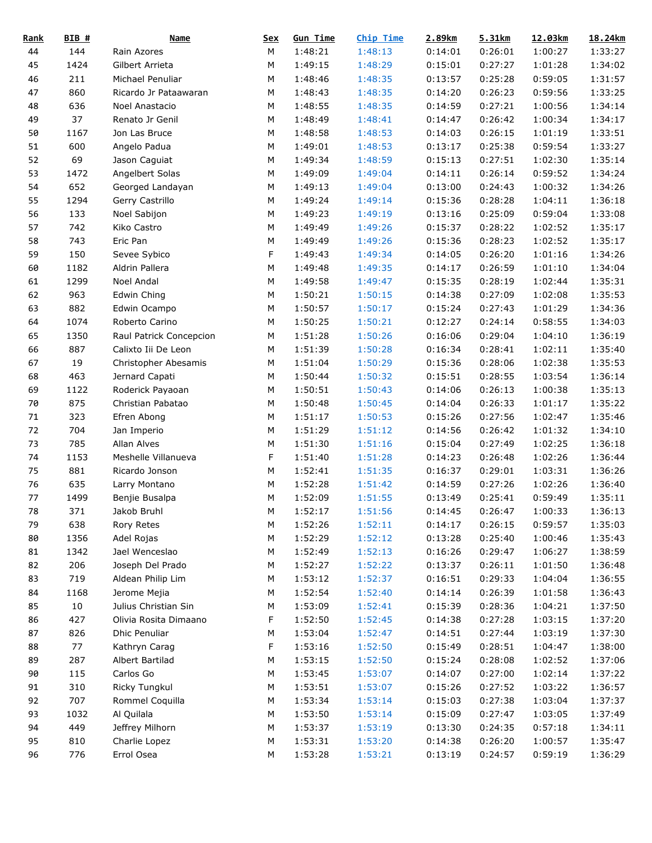| <u>Rank</u> | $BIB$ # | <b>Name</b>             | <b>Sex</b> | <b>Gun Time</b> | <b>Chip Time</b> | 2.89km  | 5.31km  | 12.03km | 18.24km |
|-------------|---------|-------------------------|------------|-----------------|------------------|---------|---------|---------|---------|
| 44          | 144     | Rain Azores             | М          | 1:48:21         | 1:48:13          | 0:14:01 | 0:26:01 | 1:00:27 | 1:33:27 |
| 45          | 1424    | Gilbert Arrieta         | М          | 1:49:15         | 1:48:29          | 0:15:01 | 0:27:27 | 1:01:28 | 1:34:02 |
| 46          | 211     | Michael Penuliar        | М          | 1:48:46         | 1:48:35          | 0:13:57 | 0:25:28 | 0:59:05 | 1:31:57 |
| 47          | 860     | Ricardo Jr Pataawaran   | М          | 1:48:43         | 1:48:35          | 0:14:20 | 0:26:23 | 0:59:56 | 1:33:25 |
| 48          | 636     | Noel Anastacio          | ${\sf M}$  | 1:48:55         | 1:48:35          | 0:14:59 | 0:27:21 | 1:00:56 | 1:34:14 |
| 49          | 37      | Renato Jr Genil         | М          | 1:48:49         | 1:48:41          | 0:14:47 | 0:26:42 | 1:00:34 | 1:34:17 |
| 50          | 1167    | Jon Las Bruce           | ${\sf M}$  | 1:48:58         | 1:48:53          | 0:14:03 | 0:26:15 | 1:01:19 | 1:33:51 |
| 51          | 600     | Angelo Padua            | M          | 1:49:01         | 1:48:53          | 0:13:17 | 0:25:38 | 0:59:54 | 1:33:27 |
| 52          | 69      | Jason Caguiat           | М          | 1:49:34         | 1:48:59          | 0:15:13 | 0:27:51 | 1:02:30 | 1:35:14 |
| 53          | 1472    | Angelbert Solas         | М          | 1:49:09         | 1:49:04          | 0:14:11 | 0:26:14 | 0:59:52 | 1:34:24 |
| 54          | 652     | Georged Landayan        | ${\sf M}$  | 1:49:13         | 1:49:04          | 0:13:00 | 0:24:43 | 1:00:32 | 1:34:26 |
| 55          | 1294    | Gerry Castrillo         | М          | 1:49:24         | 1:49:14          | 0:15:36 | 0:28:28 | 1:04:11 | 1:36:18 |
| 56          | 133     | Noel Sabijon            | М          | 1:49:23         | 1:49:19          | 0:13:16 | 0:25:09 | 0:59:04 | 1:33:08 |
| 57          | 742     | Kiko Castro             | М          | 1:49:49         | 1:49:26          | 0:15:37 | 0:28:22 | 1:02:52 | 1:35:17 |
| 58          | 743     | Eric Pan                | М          | 1:49:49         | 1:49:26          | 0:15:36 | 0:28:23 | 1:02:52 | 1:35:17 |
| 59          | 150     | Sevee Sybico            | F          | 1:49:43         | 1:49:34          | 0:14:05 | 0:26:20 | 1:01:16 | 1:34:26 |
| 60          | 1182    | Aldrin Pallera          | M          | 1:49:48         | 1:49:35          | 0:14:17 | 0:26:59 | 1:01:10 | 1:34:04 |
| 61          | 1299    | Noel Andal              | ${\sf M}$  | 1:49:58         | 1:49:47          | 0:15:35 | 0:28:19 | 1:02:44 | 1:35:31 |
| 62          | 963     | Edwin Ching             | М          | 1:50:21         | 1:50:15          | 0:14:38 | 0:27:09 | 1:02:08 | 1:35:53 |
| 63          | 882     | Edwin Ocampo            | ${\sf M}$  | 1:50:57         | 1:50:17          | 0:15:24 | 0:27:43 | 1:01:29 | 1:34:36 |
| 64          | 1074    | Roberto Carino          | М          | 1:50:25         | 1:50:21          | 0:12:27 | 0:24:14 | 0:58:55 | 1:34:03 |
| 65          | 1350    | Raul Patrick Concepcion | ${\sf M}$  | 1:51:28         | 1:50:26          | 0:16:06 | 0:29:04 | 1:04:10 | 1:36:19 |
| 66          | 887     | Calixto Iii De Leon     | М          | 1:51:39         | 1:50:28          | 0:16:34 | 0:28:41 | 1:02:11 | 1:35:40 |
| 67          | 19      | Christopher Abesamis    | М          | 1:51:04         | 1:50:29          | 0:15:36 | 0:28:06 | 1:02:38 | 1:35:53 |
| 68          | 463     | Jernard Capati          | M          | 1:50:44         | 1:50:32          | 0:15:51 | 0:28:55 | 1:03:54 | 1:36:14 |
| 69          | 1122    | Roderick Payaoan        | ${\sf M}$  | 1:50:51         | 1:50:43          | 0:14:06 | 0:26:13 | 1:00:38 | 1:35:13 |
| 70          | 875     | Christian Pabatao       | М          | 1:50:48         | 1:50:45          | 0:14:04 | 0:26:33 | 1:01:17 | 1:35:22 |
| 71          | 323     | Efren Abong             | М          | 1:51:17         | 1:50:53          | 0:15:26 | 0:27:56 | 1:02:47 | 1:35:46 |
|             | 704     | Jan Imperio             |            | 1:51:29         | 1:51:12          | 0:14:56 | 0:26:42 |         | 1:34:10 |
| 72          |         |                         | М          | 1:51:30         |                  | 0:15:04 | 0:27:49 | 1:01:32 |         |
| 73          | 785     | Allan Alves             | М<br>F     | 1:51:40         | 1:51:16          |         |         | 1:02:25 | 1:36:18 |
| 74          | 1153    | Meshelle Villanueva     |            |                 | 1:51:28          | 0:14:23 | 0:26:48 | 1:02:26 | 1:36:44 |
| 75          | 881     | Ricardo Jonson          | М          | 1:52:41         | 1:51:35          | 0:16:37 | 0:29:01 | 1:03:31 | 1:36:26 |
| 76          | 635     | Larry Montano           | М          | 1:52:28         | 1:51:42          | 0:14:59 | 0:27:26 | 1:02:26 | 1:36:40 |
| 77          | 1499    | Benjie Busalpa          | M          | 1:52:09         | 1:51:55          | 0:13:49 | 0:25:41 | 0:59:49 | 1:35:11 |
| 78          | 371     | Jakob Bruhl             | ${\sf M}$  | 1:52:17         | 1:51:56          | 0:14:45 | 0:26:47 | 1:00:33 | 1:36:13 |
| 79          | 638     | Rory Retes              | М          | 1:52:26         | 1:52:11          | 0:14:17 | 0:26:15 | 0:59:57 | 1:35:03 |
| 80          | 1356    | Adel Rojas              | М          | 1:52:29         | 1:52:12          | 0:13:28 | 0:25:40 | 1:00:46 | 1:35:43 |
| 81          | 1342    | Jael Wenceslao          | М          | 1:52:49         | 1:52:13          | 0:16:26 | 0:29:47 | 1:06:27 | 1:38:59 |
| 82          | 206     | Joseph Del Prado        | М          | 1:52:27         | 1:52:22          | 0:13:37 | 0:26:11 | 1:01:50 | 1:36:48 |
| 83          | 719     | Aldean Philip Lim       | М          | 1:53:12         | 1:52:37          | 0:16:51 | 0:29:33 | 1:04:04 | 1:36:55 |
| 84          | 1168    | Jerome Mejia            | М          | 1:52:54         | 1:52:40          | 0:14:14 | 0:26:39 | 1:01:58 | 1:36:43 |
| 85          | 10      | Julius Christian Sin    | М          | 1:53:09         | 1:52:41          | 0:15:39 | 0:28:36 | 1:04:21 | 1:37:50 |
| 86          | 427     | Olivia Rosita Dimaano   | F          | 1:52:50         | 1:52:45          | 0:14:38 | 0:27:28 | 1:03:15 | 1:37:20 |
| 87          | 826     | <b>Dhic Penuliar</b>    | М          | 1:53:04         | 1:52:47          | 0:14:51 | 0:27:44 | 1:03:19 | 1:37:30 |
| 88          | 77      | Kathryn Carag           | F          | 1:53:16         | 1:52:50          | 0:15:49 | 0:28:51 | 1:04:47 | 1:38:00 |
| 89          | 287     | Albert Bartilad         | М          | 1:53:15         | 1:52:50          | 0:15:24 | 0:28:08 | 1:02:52 | 1:37:06 |
| 90          | 115     | Carlos Go               | М          | 1:53:45         | 1:53:07          | 0:14:07 | 0:27:00 | 1:02:14 | 1:37:22 |
| 91          | 310     | Ricky Tungkul           | М          | 1:53:51         | 1:53:07          | 0:15:26 | 0:27:52 | 1:03:22 | 1:36:57 |
| 92          | 707     | Rommel Coquilla         | М          | 1:53:34         | 1:53:14          | 0:15:03 | 0:27:38 | 1:03:04 | 1:37:37 |
| 93          | 1032    | Al Quilala              | М          | 1:53:50         | 1:53:14          | 0:15:09 | 0:27:47 | 1:03:05 | 1:37:49 |
| 94          | 449     | Jeffrey Milhorn         | М          | 1:53:37         | 1:53:19          | 0:13:30 | 0:24:35 | 0:57:18 | 1:34:11 |
| 95          | 810     | Charlie Lopez           | М          | 1:53:31         | 1:53:20          | 0:14:38 | 0:26:20 | 1:00:57 | 1:35:47 |
| 96          | 776     | Errol Osea              | М          | 1:53:28         | 1:53:21          | 0:13:19 | 0:24:57 | 0:59:19 | 1:36:29 |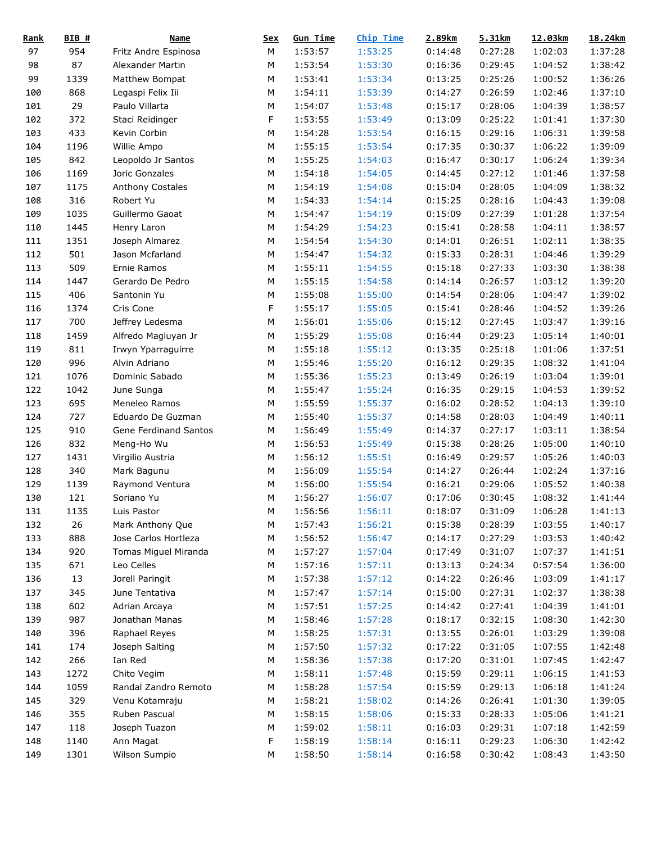| <b>Rank</b> | $BIB$ #    | <b>Name</b>           | <b>Sex</b> | <b>Gun Time</b> | <b>Chip Time</b>   | 2.89km             | 5.31km  | 12.03km | 18.24km |
|-------------|------------|-----------------------|------------|-----------------|--------------------|--------------------|---------|---------|---------|
| 97          | 954        | Fritz Andre Espinosa  | М          | 1:53:57         | 1:53:25            | 0:14:48            | 0:27:28 | 1:02:03 | 1:37:28 |
| 98          | 87         | Alexander Martin      | М          | 1:53:54         | 1:53:30            | 0:16:36            | 0:29:45 | 1:04:52 | 1:38:42 |
| 99          | 1339       | Matthew Bompat        | M          | 1:53:41         | 1:53:34            | 0:13:25            | 0:25:26 | 1:00:52 | 1:36:26 |
| 100         | 868        | Legaspi Felix Iii     | M          | 1:54:11         | 1:53:39            | 0:14:27            | 0:26:59 | 1:02:46 | 1:37:10 |
| 101         | 29         | Paulo Villarta        | M          | 1:54:07         | 1:53:48            | 0:15:17            | 0:28:06 | 1:04:39 | 1:38:57 |
| 102         | 372        | Staci Reidinger       | F          | 1:53:55         | 1:53:49            | 0:13:09            | 0:25:22 | 1:01:41 | 1:37:30 |
| 103         | 433        | Kevin Corbin          | M          | 1:54:28         | 1:53:54            | 0:16:15            | 0:29:16 | 1:06:31 | 1:39:58 |
| 104         | 1196       | Willie Ampo           | М          | 1:55:15         | 1:53:54            | 0:17:35            | 0:30:37 | 1:06:22 | 1:39:09 |
| 105         | 842        | Leopoldo Jr Santos    | М          | 1:55:25         | 1:54:03            | 0:16:47            | 0:30:17 | 1:06:24 | 1:39:34 |
| 106         | 1169       | Joric Gonzales        | М          | 1:54:18         | 1:54:05            | 0:14:45            | 0:27:12 | 1:01:46 | 1:37:58 |
| 107         | 1175       | Anthony Costales      | ${\sf M}$  | 1:54:19         | 1:54:08            | 0:15:04            | 0:28:05 | 1:04:09 | 1:38:32 |
| 108         | 316        | Robert Yu             | M          | 1:54:33         | 1:54:14            | 0:15:25            | 0:28:16 | 1:04:43 | 1:39:08 |
| 109         | 1035       | Guillermo Gaoat       | М          | 1:54:47         | 1:54:19            | 0:15:09            | 0:27:39 | 1:01:28 | 1:37:54 |
| 110         | 1445       | Henry Laron           | М          | 1:54:29         | 1:54:23            | 0:15:41            | 0:28:58 | 1:04:11 | 1:38:57 |
| 111         | 1351       | Joseph Almarez        | M          | 1:54:54         | 1:54:30            | 0:14:01            | 0:26:51 | 1:02:11 | 1:38:35 |
| 112         | 501        | Jason Mcfarland       | M          | 1:54:47         | 1:54:32            | 0:15:33            | 0:28:31 | 1:04:46 | 1:39:29 |
| 113         | 509        | Ernie Ramos           | M          | 1:55:11         | 1:54:55            | 0:15:18            | 0:27:33 | 1:03:30 | 1:38:38 |
| 114         | 1447       | Gerardo De Pedro      | М          | 1:55:15         | 1:54:58            | 0:14:14            | 0:26:57 | 1:03:12 | 1:39:20 |
| 115         | 406        | Santonin Yu           | М          | 1:55:08         | 1:55:00            | 0:14:54            | 0:28:06 | 1:04:47 | 1:39:02 |
| 116         | 1374       | Cris Cone             | F          | 1:55:17         | 1:55:05            | 0:15:41            | 0:28:46 | 1:04:52 | 1:39:26 |
| 117         | 700        | Jeffrey Ledesma       | M          | 1:56:01         | 1:55:06            | 0:15:12            | 0:27:45 | 1:03:47 | 1:39:16 |
| 118         | 1459       | Alfredo Magluyan Jr   | М          | 1:55:29         | 1:55:08            | 0:16:44            | 0:29:23 | 1:05:14 | 1:40:01 |
| 119         | 811        | Irwyn Yparraguirre    | М          | 1:55:18         | 1:55:12            | 0:13:35            | 0:25:18 | 1:01:06 | 1:37:51 |
| 120         | 996        | Alvin Adriano         | M          | 1:55:46         | 1:55:20            | 0:16:12            | 0:29:35 | 1:08:32 | 1:41:04 |
| 121         | 1076       | Dominic Sabado        | М          | 1:55:36         | 1:55:23            | 0:13:49            | 0:26:19 | 1:03:04 | 1:39:01 |
| 122         | 1042       | June Sunga            | М          | 1:55:47         | 1:55:24            | 0:16:35            | 0:29:15 | 1:04:53 | 1:39:52 |
| 123         | 695        | Meneleo Ramos         | М          | 1:55:59         | 1:55:37            | 0:16:02            | 0:28:52 | 1:04:13 | 1:39:10 |
| 124         | 727        | Eduardo De Guzman     | М          | 1:55:40         | 1:55:37            | 0:14:58            | 0:28:03 | 1:04:49 | 1:40:11 |
|             |            |                       | M          | 1:56:49         |                    |                    | 0:27:17 |         | 1:38:54 |
| 125         | 910<br>832 | Gene Ferdinand Santos | M          | 1:56:53         | 1:55:49            | 0:14:37<br>0:15:38 | 0:28:26 | 1:03:11 | 1:40:10 |
| 126         |            | Meng-Ho Wu            |            |                 | 1:55:49            |                    |         | 1:05:00 |         |
| 127         | 1431       | Virgilio Austria      | М          | 1:56:12         | 1:55:51            | 0:16:49            | 0:29:57 | 1:05:26 | 1:40:03 |
| 128         | 340        | Mark Bagunu           | M          | 1:56:09         | 1:55:54            | 0:14:27            | 0:26:44 | 1:02:24 | 1:37:16 |
| 129         | 1139       | Raymond Ventura       | M          | 1:56:00         | 1:55:54<br>1:56:07 | 0:16:21            | 0:29:06 | 1:05:52 | 1:40:38 |
| 130         | 121        | Soriano Yu            | M          | 1:56:27         |                    | 0:17:06            | 0:30:45 | 1:08:32 | 1:41:44 |
| 131         | 1135       | Luis Pastor           | ${\sf M}$  | 1:56:56         | 1:56:11            | 0:18:07            | 0:31:09 | 1:06:28 | 1:41:13 |
| 132         | 26         | Mark Anthony Que      | M          | 1:57:43         | 1:56:21            | 0:15:38            | 0:28:39 | 1:03:55 | 1:40:17 |
| 133         | 888        | Jose Carlos Hortleza  | M          | 1:56:52         | 1:56:47            | 0:14:17            | 0:27:29 | 1:03:53 | 1:40:42 |
| 134         | 920        | Tomas Miguel Miranda  | M          | 1:57:27         | 1:57:04            | 0:17:49            | 0:31:07 | 1:07:37 | 1:41:51 |
| 135         | 671        | Leo Celles            | М          | 1:57:16         | 1:57:11            | 0:13:13            | 0:24:34 | 0:57:54 | 1:36:00 |
| 136         | 13         | Jorell Paringit       | М          | 1:57:38         | 1:57:12            | 0:14:22            | 0:26:46 | 1:03:09 | 1:41:17 |
| 137         | 345        | June Tentativa        | М          | 1:57:47         | 1:57:14            | 0:15:00            | 0:27:31 | 1:02:37 | 1:38:38 |
| 138         | 602        | Adrian Arcaya         | М          | 1:57:51         | 1:57:25            | 0:14:42            | 0:27:41 | 1:04:39 | 1:41:01 |
| 139         | 987        | Jonathan Manas        | M          | 1:58:46         | 1:57:28            | 0:18:17            | 0:32:15 | 1:08:30 | 1:42:30 |
| 140         | 396        | Raphael Reyes         | M          | 1:58:25         | 1:57:31            | 0:13:55            | 0:26:01 | 1:03:29 | 1:39:08 |
| 141         | 174        | Joseph Salting        | M          | 1:57:50         | 1:57:32            | 0:17:22            | 0:31:05 | 1:07:55 | 1:42:48 |
| 142         | 266        | Ian Red               | М          | 1:58:36         | 1:57:38            | 0:17:20            | 0:31:01 | 1:07:45 | 1:42:47 |
| 143         | 1272       | Chito Vegim           | М          | 1:58:11         | 1:57:48            | 0:15:59            | 0:29:11 | 1:06:15 | 1:41:53 |
| 144         | 1059       | Randal Zandro Remoto  | M          | 1:58:28         | 1:57:54            | 0:15:59            | 0:29:13 | 1:06:18 | 1:41:24 |
| 145         | 329        | Venu Kotamraju        | M          | 1:58:21         | 1:58:02            | 0:14:26            | 0:26:41 | 1:01:30 | 1:39:05 |
| 146         | 355        | Ruben Pascual         | М          | 1:58:15         | 1:58:06            | 0:15:33            | 0:28:33 | 1:05:06 | 1:41:21 |
| 147         | 118        | Joseph Tuazon         | М          | 1:59:02         | 1:58:11            | 0:16:03            | 0:29:31 | 1:07:18 | 1:42:59 |
| 148         | 1140       | Ann Magat             | F          | 1:58:19         | 1:58:14            | 0:16:11            | 0:29:23 | 1:06:30 | 1:42:42 |
| 149         | 1301       | Wilson Sumpio         | М          | 1:58:50         | 1:58:14            | 0:16:58            | 0:30:42 | 1:08:43 | 1:43:50 |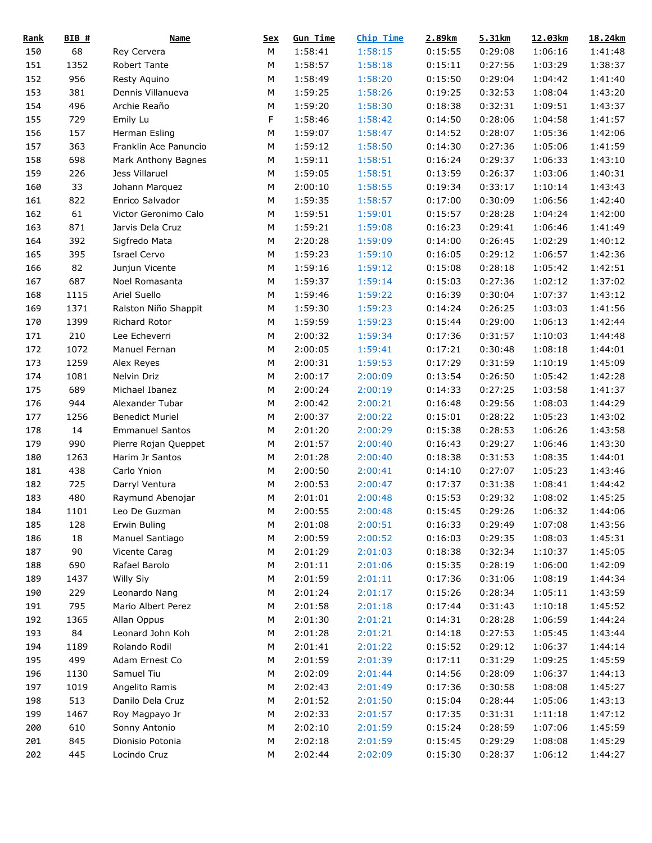| <b>Rank</b> | BIB # | <b>Name</b>            | <u>Sex</u> | <b>Gun Time</b> | Chip Time | 2.89km  | 5.31km  | 12.03km | 18.24km |
|-------------|-------|------------------------|------------|-----------------|-----------|---------|---------|---------|---------|
| 150         | 68    | Rey Cervera            | М          | 1:58:41         | 1:58:15   | 0:15:55 | 0:29:08 | 1:06:16 | 1:41:48 |
| 151         | 1352  | Robert Tante           | М          | 1:58:57         | 1:58:18   | 0:15:11 | 0:27:56 | 1:03:29 | 1:38:37 |
| 152         | 956   | Resty Aquino           | M          | 1:58:49         | 1:58:20   | 0:15:50 | 0:29:04 | 1:04:42 | 1:41:40 |
| 153         | 381   | Dennis Villanueva      | M          | 1:59:25         | 1:58:26   | 0:19:25 | 0:32:53 | 1:08:04 | 1:43:20 |
| 154         | 496   | Archie Reaño           | M          | 1:59:20         | 1:58:30   | 0:18:38 | 0:32:31 | 1:09:51 | 1:43:37 |
| 155         | 729   | Emily Lu               | F          | 1:58:46         | 1:58:42   | 0:14:50 | 0:28:06 | 1:04:58 | 1:41:57 |
| 156         | 157   | Herman Esling          | M          | 1:59:07         | 1:58:47   | 0:14:52 | 0:28:07 | 1:05:36 | 1:42:06 |
| 157         | 363   | Franklin Ace Panuncio  | M          | 1:59:12         | 1:58:50   | 0:14:30 | 0:27:36 | 1:05:06 | 1:41:59 |
| 158         | 698   | Mark Anthony Bagnes    | М          | 1:59:11         | 1:58:51   | 0:16:24 | 0:29:37 | 1:06:33 | 1:43:10 |
| 159         | 226   | Jess Villaruel         | М          | 1:59:05         | 1:58:51   | 0:13:59 | 0:26:37 | 1:03:06 | 1:40:31 |
| 160         | 33    | Johann Marquez         | М          | 2:00:10         | 1:58:55   | 0:19:34 | 0:33:17 | 1:10:14 | 1:43:43 |
| 161         | 822   | Enrico Salvador        | M          | 1:59:35         | 1:58:57   | 0:17:00 | 0:30:09 | 1:06:56 | 1:42:40 |
| 162         | 61    | Victor Geronimo Calo   | М          | 1:59:51         | 1:59:01   | 0:15:57 | 0:28:28 | 1:04:24 | 1:42:00 |
| 163         | 871   | Jarvis Dela Cruz       | М          | 1:59:21         | 1:59:08   | 0:16:23 | 0:29:41 | 1:06:46 | 1:41:49 |
| 164         | 392   | Sigfredo Mata          | M          | 2:20:28         | 1:59:09   | 0:14:00 | 0:26:45 | 1:02:29 | 1:40:12 |
| 165         | 395   | <b>Israel Cervo</b>    | M          | 1:59:23         | 1:59:10   | 0:16:05 | 0:29:12 | 1:06:57 | 1:42:36 |
| 166         | 82    | Junjun Vicente         | M          | 1:59:16         | 1:59:12   | 0:15:08 | 0:28:18 | 1:05:42 | 1:42:51 |
| 167         | 687   | Noel Romasanta         | М          | 1:59:37         | 1:59:14   | 0:15:03 | 0:27:36 | 1:02:12 | 1:37:02 |
| 168         | 1115  | Ariel Suello           | М          | 1:59:46         | 1:59:22   | 0:16:39 | 0:30:04 | 1:07:37 | 1:43:12 |
| 169         | 1371  | Ralston Niño Shappit   | М          | 1:59:30         | 1:59:23   | 0:14:24 | 0:26:25 | 1:03:03 | 1:41:56 |
| 170         | 1399  | Richard Rotor          | M          | 1:59:59         | 1:59:23   | 0:15:44 | 0:29:00 | 1:06:13 | 1:42:44 |
| 171         | 210   | Lee Echeverri          | M          | 2:00:32         | 1:59:34   | 0:17:36 | 0:31:57 | 1:10:03 | 1:44:48 |
| 172         | 1072  | Manuel Fernan          | М          | 2:00:05         | 1:59:41   | 0:17:21 | 0:30:48 | 1:08:18 | 1:44:01 |
| 173         | 1259  | Alex Reyes             | M          | 2:00:31         | 1:59:53   | 0:17:29 | 0:31:59 | 1:10:19 | 1:45:09 |
| 174         | 1081  | Nelvin Driz            | M          | 2:00:17         | 2:00:09   | 0:13:54 | 0:26:50 | 1:05:42 | 1:42:28 |
|             | 689   |                        | M          |                 |           |         |         |         |         |
| 175         |       | Michael Ibanez         |            | 2:00:24         | 2:00:19   | 0:14:33 | 0:27:25 | 1:03:58 | 1:41:37 |
| 176         | 944   | Alexander Tubar        | М          | 2:00:42         | 2:00:21   | 0:16:48 | 0:29:56 | 1:08:03 | 1:44:29 |
| 177         | 1256  | <b>Benedict Muriel</b> | M          | 2:00:37         | 2:00:22   | 0:15:01 | 0:28:22 | 1:05:23 | 1:43:02 |
| 178         | 14    | <b>Emmanuel Santos</b> | M          | 2:01:20         | 2:00:29   | 0:15:38 | 0:28:53 | 1:06:26 | 1:43:58 |
| 179         | 990   | Pierre Rojan Queppet   | М          | 2:01:57         | 2:00:40   | 0:16:43 | 0:29:27 | 1:06:46 | 1:43:30 |
| 180         | 1263  | Harim Jr Santos        | М          | 2:01:28         | 2:00:40   | 0:18:38 | 0:31:53 | 1:08:35 | 1:44:01 |
| 181         | 438   | Carlo Ynion            | M          | 2:00:50         | 2:00:41   | 0:14:10 | 0:27:07 | 1:05:23 | 1:43:46 |
| 182         | 725   | Darryl Ventura         | M          | 2:00:53         | 2:00:47   | 0:17:37 | 0:31:38 | 1:08:41 | 1:44:42 |
| 183         | 480   | Raymund Abenojar       | M          | 2:01:01         | 2:00:48   | 0:15:53 | 0:29:32 | 1:08:02 | 1:45:25 |
| 184         | 1101  | Leo De Guzman          | ${\sf M}$  | 2:00:55         | 2:00:48   | 0:15:45 | 0:29:26 | 1:06:32 | 1:44:06 |
| 185         | 128   | Erwin Buling           | М          | 2:01:08         | 2:00:51   | 0:16:33 | 0:29:49 | 1:07:08 | 1:43:56 |
| 186         | 18    | Manuel Santiago        | М          | 2:00:59         | 2:00:52   | 0:16:03 | 0:29:35 | 1:08:03 | 1:45:31 |
| 187         | 90    | Vicente Carag          | М          | 2:01:29         | 2:01:03   | 0:18:38 | 0:32:34 | 1:10:37 | 1:45:05 |
| 188         | 690   | Rafael Barolo          | М          | 2:01:11         | 2:01:06   | 0:15:35 | 0:28:19 | 1:06:00 | 1:42:09 |
| 189         | 1437  | Willy Siy              | М          | 2:01:59         | 2:01:11   | 0:17:36 | 0:31:06 | 1:08:19 | 1:44:34 |
| 190         | 229   | Leonardo Nang          | М          | 2:01:24         | 2:01:17   | 0:15:26 | 0:28:34 | 1:05:11 | 1:43:59 |
| 191         | 795   | Mario Albert Perez     | М          | 2:01:58         | 2:01:18   | 0:17:44 | 0:31:43 | 1:10:18 | 1:45:52 |
| 192         | 1365  | Allan Oppus            | М          | 2:01:30         | 2:01:21   | 0:14:31 | 0:28:28 | 1:06:59 | 1:44:24 |
| 193         | 84    | Leonard John Koh       | М          | 2:01:28         | 2:01:21   | 0:14:18 | 0:27:53 | 1:05:45 | 1:43:44 |
| 194         | 1189  | Rolando Rodil          | М          | 2:01:41         | 2:01:22   | 0:15:52 | 0:29:12 | 1:06:37 | 1:44:14 |
| 195         | 499   | Adam Ernest Co         | М          | 2:01:59         | 2:01:39   | 0:17:11 | 0:31:29 | 1:09:25 | 1:45:59 |
| 196         | 1130  | Samuel Tiu             | М          | 2:02:09         | 2:01:44   | 0:14:56 | 0:28:09 | 1:06:37 | 1:44:13 |
| 197         | 1019  | Angelito Ramis         | М          | 2:02:43         | 2:01:49   | 0:17:36 | 0:30:58 | 1:08:08 | 1:45:27 |
| 198         | 513   | Danilo Dela Cruz       | М          | 2:01:52         | 2:01:50   | 0:15:04 | 0:28:44 | 1:05:06 | 1:43:13 |
| 199         | 1467  | Roy Magpayo Jr         | М          | 2:02:33         | 2:01:57   | 0:17:35 | 0:31:31 | 1:11:18 | 1:47:12 |
| 200         | 610   | Sonny Antonio          | М          | 2:02:10         | 2:01:59   | 0:15:24 | 0:28:59 | 1:07:06 | 1:45:59 |
| 201         | 845   | Dionisio Potonia       | М          | 2:02:18         | 2:01:59   | 0:15:45 | 0:29:29 | 1:08:08 | 1:45:29 |
| 202         | 445   | Locindo Cruz           | М          | 2:02:44         | 2:02:09   | 0:15:30 | 0:28:37 | 1:06:12 | 1:44:27 |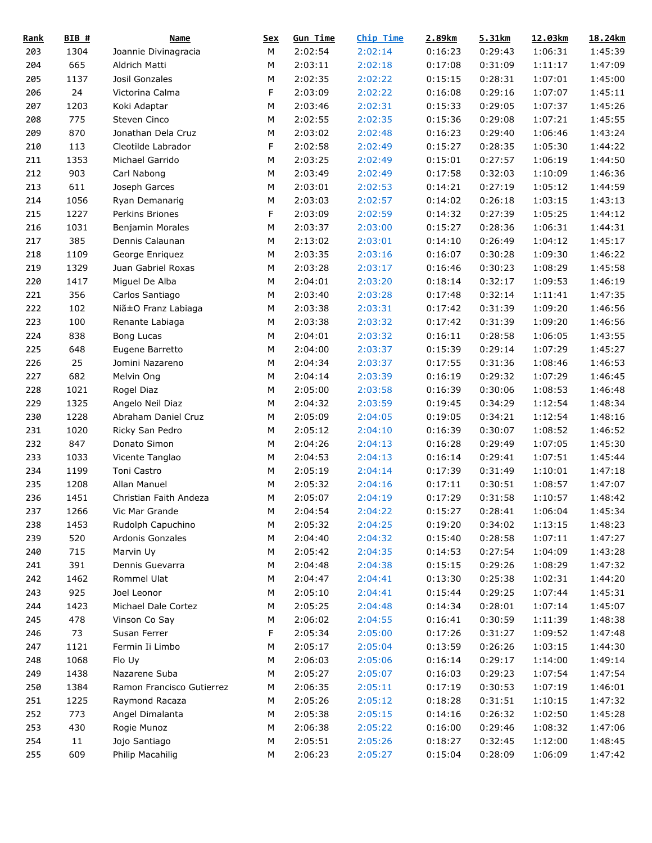| <b>Rank</b> | $BIB$ # | <b>Name</b>               | <b>Sex</b> | <b>Gun Time</b> | <b>Chip Time</b> | 2.89km  | 5.31km  | 12.03km | 18.24km |
|-------------|---------|---------------------------|------------|-----------------|------------------|---------|---------|---------|---------|
| 203         | 1304    | Joannie Divinagracia      | М          | 2:02:54         | 2:02:14          | 0:16:23 | 0:29:43 | 1:06:31 | 1:45:39 |
| 204         | 665     | Aldrich Matti             | М          | 2:03:11         | 2:02:18          | 0:17:08 | 0:31:09 | 1:11:17 | 1:47:09 |
| 205         | 1137    | Josil Gonzales            | M          | 2:02:35         | 2:02:22          | 0:15:15 | 0:28:31 | 1:07:01 | 1:45:00 |
| 206         | 24      | Victorina Calma           | F          | 2:03:09         | 2:02:22          | 0:16:08 | 0:29:16 | 1:07:07 | 1:45:11 |
| 207         | 1203    | Koki Adaptar              | М          | 2:03:46         | 2:02:31          | 0:15:33 | 0:29:05 | 1:07:37 | 1:45:26 |
| 208         | 775     | Steven Cinco              | M          | 2:02:55         | 2:02:35          | 0:15:36 | 0:29:08 | 1:07:21 | 1:45:55 |
| 209         | 870     | Jonathan Dela Cruz        | M          | 2:03:02         | 2:02:48          | 0:16:23 | 0:29:40 | 1:06:46 | 1:43:24 |
| 210         | 113     | Cleotilde Labrador        | F          | 2:02:58         | 2:02:49          | 0:15:27 | 0:28:35 | 1:05:30 | 1:44:22 |
| 211         | 1353    | Michael Garrido           | М          | 2:03:25         | 2:02:49          | 0:15:01 | 0:27:57 | 1:06:19 | 1:44:50 |
| 212         | 903     | Carl Nabong               | М          | 2:03:49         | 2:02:49          | 0:17:58 | 0:32:03 | 1:10:09 | 1:46:36 |
| 213         | 611     | Joseph Garces             | М          | 2:03:01         | 2:02:53          | 0:14:21 | 0:27:19 | 1:05:12 | 1:44:59 |
| 214         | 1056    | Ryan Demanarig            | М          | 2:03:03         | 2:02:57          | 0:14:02 | 0:26:18 | 1:03:15 | 1:43:13 |
| 215         | 1227    | Perkins Briones           | F          | 2:03:09         | 2:02:59          | 0:14:32 | 0:27:39 | 1:05:25 | 1:44:12 |
| 216         | 1031    | Benjamin Morales          | М          | 2:03:37         | 2:03:00          | 0:15:27 | 0:28:36 | 1:06:31 | 1:44:31 |
| 217         | 385     | Dennis Calaunan           | М          | 2:13:02         | 2:03:01          | 0:14:10 | 0:26:49 | 1:04:12 | 1:45:17 |
| 218         | 1109    | George Enriquez           | M          | 2:03:35         | 2:03:16          | 0:16:07 | 0:30:28 | 1:09:30 | 1:46:22 |
| 219         | 1329    | Juan Gabriel Roxas        | М          | 2:03:28         | 2:03:17          | 0:16:46 | 0:30:23 | 1:08:29 | 1:45:58 |
| 220         | 1417    | Miguel De Alba            | М          | 2:04:01         | 2:03:20          | 0:18:14 | 0:32:17 | 1:09:53 | 1:46:19 |
| 221         | 356     | Carlos Santiago           | М          | 2:03:40         | 2:03:28          | 0:17:48 | 0:32:14 | 1:11:41 | 1:47:35 |
| 222         | 102     | Niã±O Franz Labiaga       | М          | 2:03:38         | 2:03:31          | 0:17:42 | 0:31:39 | 1:09:20 | 1:46:56 |
| 223         | 100     |                           | M          | 2:03:38         | 2:03:32          | 0:17:42 | 0:31:39 | 1:09:20 | 1:46:56 |
|             | 838     | Renante Labiaga           |            |                 | 2:03:32          | 0:16:11 |         |         |         |
| 224         |         | Bong Lucas                | М          | 2:04:01         |                  |         | 0:28:58 | 1:06:05 | 1:43:55 |
| 225         | 648     | Eugene Barretto           | М          | 2:04:00         | 2:03:37          | 0:15:39 | 0:29:14 | 1:07:29 | 1:45:27 |
| 226         | 25      | Jomini Nazareno           | M          | 2:04:34         | 2:03:37          | 0:17:55 | 0:31:36 | 1:08:46 | 1:46:53 |
| 227         | 682     | Melvin Ong                | M          | 2:04:14         | 2:03:39          | 0:16:19 | 0:29:32 | 1:07:29 | 1:46:45 |
| 228         | 1021    | Rogel Diaz                | М          | 2:05:00         | 2:03:58          | 0:16:39 | 0:30:06 | 1:08:53 | 1:46:48 |
| 229         | 1325    | Angelo Neil Diaz          | М          | 2:04:32         | 2:03:59          | 0:19:45 | 0:34:29 | 1:12:54 | 1:48:34 |
| 230         | 1228    | Abraham Daniel Cruz       | М          | 2:05:09         | 2:04:05          | 0:19:05 | 0:34:21 | 1:12:54 | 1:48:16 |
| 231         | 1020    | Ricky San Pedro           | M          | 2:05:12         | 2:04:10          | 0:16:39 | 0:30:07 | 1:08:52 | 1:46:52 |
| 232         | 847     | Donato Simon              | М          | 2:04:26         | 2:04:13          | 0:16:28 | 0:29:49 | 1:07:05 | 1:45:30 |
| 233         | 1033    | Vicente Tanglao           | М          | 2:04:53         | 2:04:13          | 0:16:14 | 0:29:41 | 1:07:51 | 1:45:44 |
| 234         | 1199    | Toni Castro               | M          | 2:05:19         | 2:04:14          | 0:17:39 | 0:31:49 | 1:10:01 | 1:47:18 |
| 235         | 1208    | Allan Manuel              | M          | 2:05:32         | 2:04:16          | 0:17:11 | 0:30:51 | 1:08:57 | 1:47:07 |
| 236         | 1451    | Christian Faith Andeza    | M          | 2:05:07         | 2:04:19          | 0:17:29 | 0:31:58 | 1:10:57 | 1:48:42 |
| 237         | 1266    | Vic Mar Grande            | ${\sf M}$  | 2:04:54         | 2:04:22          | 0:15:27 | 0:28:41 | 1:06:04 | 1:45:34 |
| 238         | 1453    | Rudolph Capuchino         | M          | 2:05:32         | 2:04:25          | 0:19:20 | 0:34:02 | 1:13:15 | 1:48:23 |
| 239         | 520     | Ardonis Gonzales          | М          | 2:04:40         | 2:04:32          | 0:15:40 | 0:28:58 | 1:07:11 | 1:47:27 |
| 240         | 715     | Marvin Uy                 | M          | 2:05:42         | 2:04:35          | 0:14:53 | 0:27:54 | 1:04:09 | 1:43:28 |
| 241         | 391     | Dennis Guevarra           | M          | 2:04:48         | 2:04:38          | 0:15:15 | 0:29:26 | 1:08:29 | 1:47:32 |
| 242         | 1462    | Rommel Ulat               | М          | 2:04:47         | 2:04:41          | 0:13:30 | 0:25:38 | 1:02:31 | 1:44:20 |
| 243         | 925     | Joel Leonor               | М          | 2:05:10         | 2:04:41          | 0:15:44 | 0:29:25 | 1:07:44 | 1:45:31 |
| 244         | 1423    | Michael Dale Cortez       | М          | 2:05:25         | 2:04:48          | 0:14:34 | 0:28:01 | 1:07:14 | 1:45:07 |
| 245         | 478     | Vinson Co Say             | М          | 2:06:02         | 2:04:55          | 0:16:41 | 0:30:59 | 1:11:39 | 1:48:38 |
| 246         | 73      | Susan Ferrer              | F          | 2:05:34         | 2:05:00          | 0:17:26 | 0:31:27 | 1:09:52 | 1:47:48 |
| 247         | 1121    | Fermin Ii Limbo           | М          | 2:05:17         | 2:05:04          | 0:13:59 | 0:26:26 | 1:03:15 | 1:44:30 |
| 248         | 1068    | Flo Uy                    | М          | 2:06:03         | 2:05:06          | 0:16:14 | 0:29:17 | 1:14:00 | 1:49:14 |
| 249         | 1438    | Nazarene Suba             | М          | 2:05:27         | 2:05:07          | 0:16:03 | 0:29:23 | 1:07:54 | 1:47:54 |
| 250         | 1384    | Ramon Francisco Gutierrez | M          | 2:06:35         | 2:05:11          | 0:17:19 | 0:30:53 | 1:07:19 | 1:46:01 |
| 251         | 1225    | Raymond Racaza            | М          | 2:05:26         | 2:05:12          | 0:18:28 | 0:31:51 | 1:10:15 | 1:47:32 |
| 252         | 773     | Angel Dimalanta           | М          | 2:05:38         | 2:05:15          | 0:14:16 | 0:26:32 | 1:02:50 | 1:45:28 |
| 253         | 430     | Rogie Munoz               | М          | 2:06:38         | 2:05:22          | 0:16:00 | 0:29:46 | 1:08:32 | 1:47:06 |
| 254         | 11      | Jojo Santiago             | М          | 2:05:51         | 2:05:26          | 0:18:27 | 0:32:45 | 1:12:00 | 1:48:45 |
| 255         | 609     | Philip Macahilig          | М          | 2:06:23         | 2:05:27          | 0:15:04 | 0:28:09 | 1:06:09 | 1:47:42 |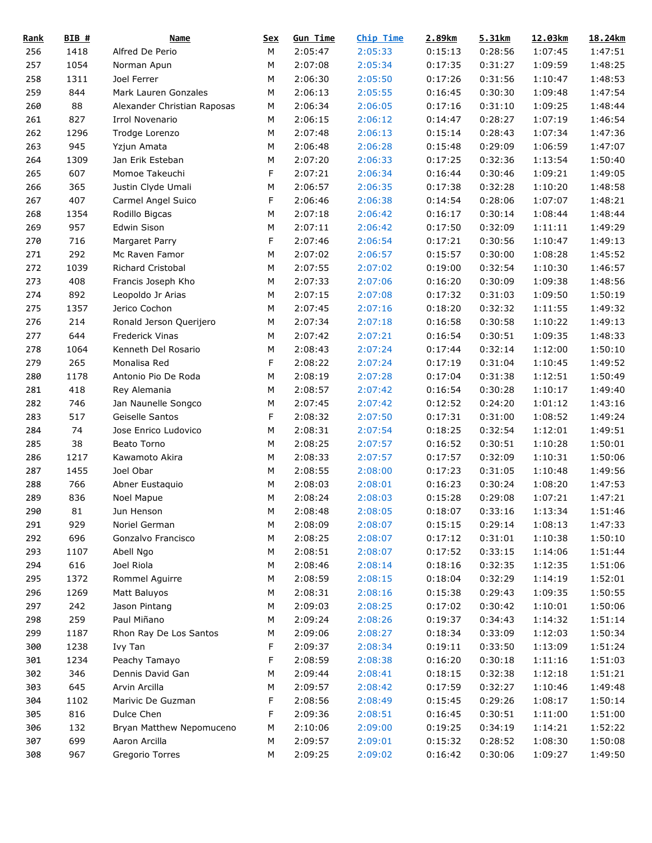| <u>Rank</u> | $BIB$ # | <b>Name</b>                 | <u>Sex</u> | <b>Gun Time</b> | <b>Chip Time</b> | 2.89km  | 5.31km  | 12.03km | 18.24km |
|-------------|---------|-----------------------------|------------|-----------------|------------------|---------|---------|---------|---------|
| 256         | 1418    | Alfred De Perio             | M          | 2:05:47         | 2:05:33          | 0:15:13 | 0:28:56 | 1:07:45 | 1:47:51 |
| 257         | 1054    | Norman Apun                 | М          | 2:07:08         | 2:05:34          | 0:17:35 | 0:31:27 | 1:09:59 | 1:48:25 |
| 258         | 1311    | Joel Ferrer                 | М          | 2:06:30         | 2:05:50          | 0:17:26 | 0:31:56 | 1:10:47 | 1:48:53 |
| 259         | 844     | Mark Lauren Gonzales        | М          | 2:06:13         | 2:05:55          | 0:16:45 | 0:30:30 | 1:09:48 | 1:47:54 |
| 260         | 88      | Alexander Christian Raposas | М          | 2:06:34         | 2:06:05          | 0:17:16 | 0:31:10 | 1:09:25 | 1:48:44 |
| 261         | 827     | Irrol Novenario             | М          | 2:06:15         | 2:06:12          | 0:14:47 | 0:28:27 | 1:07:19 | 1:46:54 |
| 262         | 1296    | Trodge Lorenzo              | M          | 2:07:48         | 2:06:13          | 0:15:14 | 0:28:43 | 1:07:34 | 1:47:36 |
| 263         | 945     | Yzjun Amata                 | M          | 2:06:48         | 2:06:28          | 0:15:48 | 0:29:09 | 1:06:59 | 1:47:07 |
| 264         | 1309    | Jan Erik Esteban            | М          | 2:07:20         | 2:06:33          | 0:17:25 | 0:32:36 | 1:13:54 | 1:50:40 |
| 265         | 607     | Momoe Takeuchi              | F          | 2:07:21         | 2:06:34          | 0:16:44 | 0:30:46 | 1:09:21 | 1:49:05 |
| 266         | 365     | Justin Clyde Umali          | М          | 2:06:57         | 2:06:35          | 0:17:38 | 0:32:28 | 1:10:20 | 1:48:58 |
| 267         | 407     | Carmel Angel Suico          | F          | 2:06:46         | 2:06:38          | 0:14:54 | 0:28:06 | 1:07:07 | 1:48:21 |
| 268         | 1354    | Rodillo Bigcas              | М          | 2:07:18         | 2:06:42          | 0:16:17 | 0:30:14 | 1:08:44 | 1:48:44 |
| 269         | 957     | Edwin Sison                 | М          | 2:07:11         | 2:06:42          | 0:17:50 | 0:32:09 | 1:11:11 | 1:49:29 |
| 270         | 716     | Margaret Parry              | F          | 2:07:46         | 2:06:54          | 0:17:21 | 0:30:56 | 1:10:47 | 1:49:13 |
| 271         | 292     | Mc Raven Famor              | M          | 2:07:02         | 2:06:57          | 0:15:57 | 0:30:00 | 1:08:28 | 1:45:52 |
| 272         | 1039    | Richard Cristobal           | M          | 2:07:55         | 2:07:02          | 0:19:00 | 0:32:54 | 1:10:30 | 1:46:57 |
| 273         | 408     | Francis Joseph Kho          | М          | 2:07:33         | 2:07:06          | 0:16:20 | 0:30:09 | 1:09:38 | 1:48:56 |
| 274         | 892     | Leopoldo Jr Arias           | М          | 2:07:15         | 2:07:08          | 0:17:32 | 0:31:03 | 1:09:50 | 1:50:19 |
| 275         | 1357    | Jerico Cochon               | М          | 2:07:45         | 2:07:16          | 0:18:20 | 0:32:32 | 1:11:55 | 1:49:32 |
| 276         | 214     | Ronald Jerson Querijero     | M          | 2:07:34         | 2:07:18          | 0:16:58 | 0:30:58 | 1:10:22 | 1:49:13 |
| 277         | 644     | Frederick Vinas             | M          | 2:07:42         | 2:07:21          | 0:16:54 | 0:30:51 | 1:09:35 | 1:48:33 |
| 278         | 1064    | Kenneth Del Rosario         | М          | 2:08:43         | 2:07:24          | 0:17:44 | 0:32:14 | 1:12:00 | 1:50:10 |
| 279         | 265     | Monalisa Red                | F          | 2:08:22         | 2:07:24          | 0:17:19 | 0:31:04 | 1:10:45 | 1:49:52 |
|             | 1178    |                             | M          |                 |                  |         |         |         |         |
| 280         |         | Antonio Pio De Roda         |            | 2:08:19         | 2:07:28          | 0:17:04 | 0:31:38 | 1:12:51 | 1:50:49 |
| 281         | 418     | Rey Alemania                | M          | 2:08:57         | 2:07:42          | 0:16:54 | 0:30:28 | 1:10:17 | 1:49:40 |
| 282         | 746     | Jan Naunelle Songco         | М          | 2:07:45         | 2:07:42          | 0:12:52 | 0:24:20 | 1:01:12 | 1:43:16 |
| 283         | 517     | Geiselle Santos             | F          | 2:08:32         | 2:07:50          | 0:17:31 | 0:31:00 | 1:08:52 | 1:49:24 |
| 284         | 74      | Jose Enrico Ludovico        | М          | 2:08:31         | 2:07:54          | 0:18:25 | 0:32:54 | 1:12:01 | 1:49:51 |
| 285         | 38      | Beato Torno                 | M          | 2:08:25         | 2:07:57          | 0:16:52 | 0:30:51 | 1:10:28 | 1:50:01 |
| 286         | 1217    | Kawamoto Akira              | М          | 2:08:33         | 2:07:57          | 0:17:57 | 0:32:09 | 1:10:31 | 1:50:06 |
| 287         | 1455    | Joel Obar                   | M          | 2:08:55         | 2:08:00          | 0:17:23 | 0:31:05 | 1:10:48 | 1:49:56 |
| 288         | 766     | Abner Eustaquio             | M          | 2:08:03         | 2:08:01          | 0:16:23 | 0:30:24 | 1:08:20 | 1:47:53 |
| 289         | 836     | Noel Mapue                  | M          | 2:08:24         | 2:08:03          | 0:15:28 | 0:29:08 | 1:07:21 | 1:47:21 |
| 290         | 81      | Jun Henson                  | M          | 2:08:48         | 2:08:05          | 0:18:07 | 0:33:16 | 1:13:34 | 1:51:46 |
| 291         | 929     | Noriel German               | М          | 2:08:09         | 2:08:07          | 0:15:15 | 0:29:14 | 1:08:13 | 1:47:33 |
| 292         | 696     | Gonzalvo Francisco          | M          | 2:08:25         | 2:08:07          | 0:17:12 | 0:31:01 | 1:10:38 | 1:50:10 |
| 293         | 1107    | Abell Ngo                   | М          | 2:08:51         | 2:08:07          | 0:17:52 | 0:33:15 | 1:14:06 | 1:51:44 |
| 294         | 616     | Joel Riola                  | М          | 2:08:46         | 2:08:14          | 0:18:16 | 0:32:35 | 1:12:35 | 1:51:06 |
| 295         | 1372    | Rommel Aguirre              | М          | 2:08:59         | 2:08:15          | 0:18:04 | 0:32:29 | 1:14:19 | 1:52:01 |
| 296         | 1269    | Matt Baluyos                | М          | 2:08:31         | 2:08:16          | 0:15:38 | 0:29:43 | 1:09:35 | 1:50:55 |
| 297         | 242     | Jason Pintang               | М          | 2:09:03         | 2:08:25          | 0:17:02 | 0:30:42 | 1:10:01 | 1:50:06 |
| 298         | 259     | Paul Miñano                 | М          | 2:09:24         | 2:08:26          | 0:19:37 | 0:34:43 | 1:14:32 | 1:51:14 |
| 299         | 1187    | Rhon Ray De Los Santos      | M          | 2:09:06         | 2:08:27          | 0:18:34 | 0:33:09 | 1:12:03 | 1:50:34 |
| 300         | 1238    | Ivy Tan                     | F          | 2:09:37         | 2:08:34          | 0:19:11 | 0:33:50 | 1:13:09 | 1:51:24 |
| 301         | 1234    | Peachy Tamayo               | F          | 2:08:59         | 2:08:38          | 0:16:20 | 0:30:18 | 1:11:16 | 1:51:03 |
| 302         | 346     | Dennis David Gan            | М          | 2:09:44         | 2:08:41          | 0:18:15 | 0:32:38 | 1:12:18 | 1:51:21 |
| 303         | 645     | Arvin Arcilla               | М          | 2:09:57         | 2:08:42          | 0:17:59 | 0:32:27 | 1:10:46 | 1:49:48 |
| 304         | 1102    | Marivic De Guzman           | F          | 2:08:56         | 2:08:49          | 0:15:45 | 0:29:26 | 1:08:17 | 1:50:14 |
| 305         | 816     | Dulce Chen                  | F          | 2:09:36         | 2:08:51          | 0:16:45 | 0:30:51 | 1:11:00 | 1:51:00 |
| 306         | 132     | Bryan Matthew Nepomuceno    | M          | 2:10:06         | 2:09:00          | 0:19:25 | 0:34:19 | 1:14:21 | 1:52:22 |
| 307         | 699     | Aaron Arcilla               | M          | 2:09:57         | 2:09:01          | 0:15:32 | 0:28:52 | 1:08:30 | 1:50:08 |
| 308         | 967     | Gregorio Torres             | М          | 2:09:25         | 2:09:02          | 0:16:42 | 0:30:06 | 1:09:27 | 1:49:50 |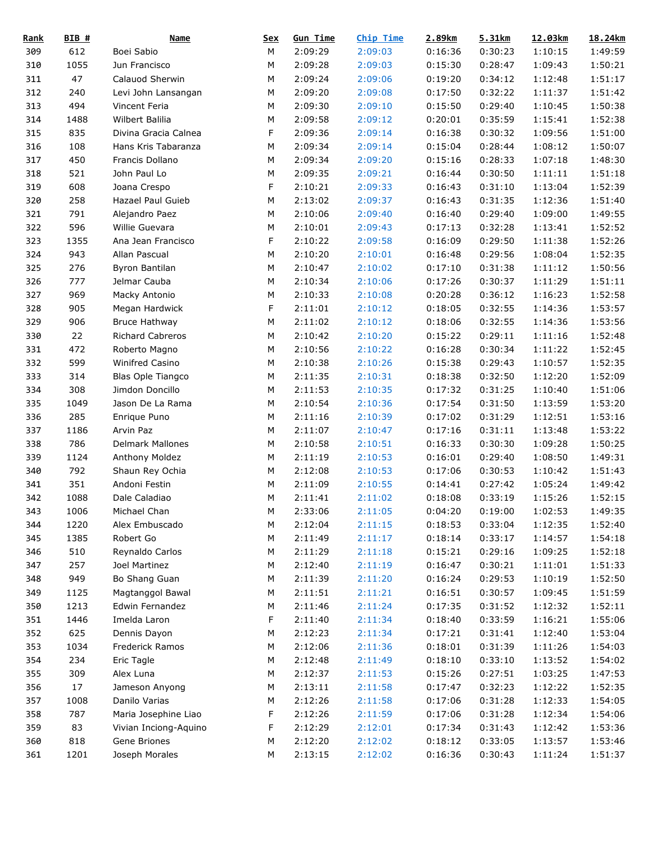| <b>Rank</b> | BIB# | <b>Name</b>           | <u>Sex</u> | <b>Gun Time</b> | <b>Chip Time</b> | 2.89km  | 5.31km  | 12.03km | 18.24km |
|-------------|------|-----------------------|------------|-----------------|------------------|---------|---------|---------|---------|
| 309         | 612  | Boei Sabio            | М          | 2:09:29         | 2:09:03          | 0:16:36 | 0:30:23 | 1:10:15 | 1:49:59 |
| 310         | 1055 | Jun Francisco         | М          | 2:09:28         | 2:09:03          | 0:15:30 | 0:28:47 | 1:09:43 | 1:50:21 |
| 311         | 47   | Calauod Sherwin       | M          | 2:09:24         | 2:09:06          | 0:19:20 | 0:34:12 | 1:12:48 | 1:51:17 |
| 312         | 240  | Levi John Lansangan   | M          | 2:09:20         | 2:09:08          | 0:17:50 | 0:32:22 | 1:11:37 | 1:51:42 |
| 313         | 494  | Vincent Feria         | M          | 2:09:30         | 2:09:10          | 0:15:50 | 0:29:40 | 1:10:45 | 1:50:38 |
| 314         | 1488 | Wilbert Balilia       | M          | 2:09:58         | 2:09:12          | 0:20:01 | 0:35:59 | 1:15:41 | 1:52:38 |
| 315         | 835  | Divina Gracia Calnea  | F          | 2:09:36         | 2:09:14          | 0:16:38 | 0:30:32 | 1:09:56 | 1:51:00 |
| 316         | 108  | Hans Kris Tabaranza   | M          | 2:09:34         | 2:09:14          | 0:15:04 | 0:28:44 | 1:08:12 | 1:50:07 |
| 317         | 450  | Francis Dollano       | M          | 2:09:34         | 2:09:20          | 0:15:16 | 0:28:33 | 1:07:18 | 1:48:30 |
| 318         | 521  | John Paul Lo          | М          | 2:09:35         | 2:09:21          | 0:16:44 | 0:30:50 | 1:11:11 | 1:51:18 |
| 319         | 608  | Joana Crespo          | F          | 2:10:21         | 2:09:33          | 0:16:43 | 0:31:10 | 1:13:04 | 1:52:39 |
| 320         | 258  | Hazael Paul Guieb     | М          | 2:13:02         | 2:09:37          | 0:16:43 | 0:31:35 | 1:12:36 | 1:51:40 |
| 321         | 791  | Alejandro Paez        | M          | 2:10:06         | 2:09:40          | 0:16:40 | 0:29:40 | 1:09:00 | 1:49:55 |
| 322         | 596  | Willie Guevara        | М          | 2:10:01         | 2:09:43          | 0:17:13 | 0:32:28 | 1:13:41 | 1:52:52 |
| 323         | 1355 | Ana Jean Francisco    | F          | 2:10:22         | 2:09:58          | 0:16:09 | 0:29:50 | 1:11:38 | 1:52:26 |
| 324         | 943  | Allan Pascual         | M          | 2:10:20         | 2:10:01          | 0:16:48 | 0:29:56 | 1:08:04 | 1:52:35 |
| 325         | 276  | <b>Byron Bantilan</b> | M          | 2:10:47         | 2:10:02          | 0:17:10 | 0:31:38 | 1:11:12 | 1:50:56 |
| 326         | 777  | Jelmar Cauba          | М          | 2:10:34         | 2:10:06          | 0:17:26 | 0:30:37 | 1:11:29 | 1:51:11 |
| 327         | 969  | Macky Antonio         | М          | 2:10:33         | 2:10:08          | 0:20:28 | 0:36:12 | 1:16:23 | 1:52:58 |
| 328         | 905  | Megan Hardwick        | F          | 2:11:01         | 2:10:12          | 0:18:05 | 0:32:55 | 1:14:36 | 1:53:57 |
| 329         | 906  | <b>Bruce Hathway</b>  | M          | 2:11:02         | 2:10:12          | 0:18:06 | 0:32:55 | 1:14:36 | 1:53:56 |
| 330         | 22   | Richard Cabreros      | M          | 2:10:42         | 2:10:20          | 0:15:22 | 0:29:11 | 1:11:16 | 1:52:48 |
| 331         | 472  | Roberto Magno         | М          | 2:10:56         | 2:10:22          | 0:16:28 | 0:30:34 | 1:11:22 | 1:52:45 |
| 332         | 599  | Winifred Casino       | М          | 2:10:38         | 2:10:26          | 0:15:38 | 0:29:43 | 1:10:57 | 1:52:35 |
| 333         | 314  | Blas Ople Tiangco     | M          | 2:11:35         | 2:10:31          | 0:18:38 | 0:32:50 | 1:12:20 | 1:52:09 |
|             | 308  |                       |            |                 |                  |         |         |         |         |
| 334         |      | Jimdon Doncillo       | М          | 2:11:53         | 2:10:35          | 0:17:32 | 0:31:25 | 1:10:40 | 1:51:06 |
| 335         | 1049 | Jason De La Rama      | М          | 2:10:54         | 2:10:36          | 0:17:54 | 0:31:50 | 1:13:59 | 1:53:20 |
| 336         | 285  | Enrique Puno          | М          | 2:11:16         | 2:10:39          | 0:17:02 | 0:31:29 | 1:12:51 | 1:53:16 |
| 337         | 1186 | Arvin Paz             | M          | 2:11:07         | 2:10:47          | 0:17:16 | 0:31:11 | 1:13:48 | 1:53:22 |
| 338         | 786  | Delmark Mallones      | M          | 2:10:58         | 2:10:51          | 0:16:33 | 0:30:30 | 1:09:28 | 1:50:25 |
| 339         | 1124 | Anthony Moldez        | М          | 2:11:19         | 2:10:53          | 0:16:01 | 0:29:40 | 1:08:50 | 1:49:31 |
| 340         | 792  | Shaun Rey Ochia       | М          | 2:12:08         | 2:10:53          | 0:17:06 | 0:30:53 | 1:10:42 | 1:51:43 |
| 341         | 351  | Andoni Festin         | M          | 2:11:09         | 2:10:55          | 0:14:41 | 0:27:42 | 1:05:24 | 1:49:42 |
| 342         | 1088 | Dale Caladiao         | M          | 2:11:41         | 2:11:02          | 0:18:08 | 0:33:19 | 1:15:26 | 1:52:15 |
| 343         | 1006 | Michael Chan          | ${\sf M}$  | 2:33:06         | 2:11:05          | 0:04:20 | 0:19:00 | 1:02:53 | 1:49:35 |
| 344         | 1220 | Alex Embuscado        | M          | 2:12:04         | 2:11:15          | 0:18:53 | 0:33:04 | 1:12:35 | 1:52:40 |
| 345         | 1385 | Robert Go             | М          | 2:11:49         | 2:11:17          | 0:18:14 | 0:33:17 | 1:14:57 | 1:54:18 |
| 346         | 510  | Reynaldo Carlos       | М          | 2:11:29         | 2:11:18          | 0:15:21 | 0:29:16 | 1:09:25 | 1:52:18 |
| 347         | 257  | Joel Martinez         | М          | 2:12:40         | 2:11:19          | 0:16:47 | 0:30:21 | 1:11:01 | 1:51:33 |
| 348         | 949  | Bo Shang Guan         | М          | 2:11:39         | 2:11:20          | 0:16:24 | 0:29:53 | 1:10:19 | 1:52:50 |
| 349         | 1125 | Magtanggol Bawal      | М          | 2:11:51         | 2:11:21          | 0:16:51 | 0:30:57 | 1:09:45 | 1:51:59 |
| 350         | 1213 | Edwin Fernandez       | М          | 2:11:46         | 2:11:24          | 0:17:35 | 0:31:52 | 1:12:32 | 1:52:11 |
| 351         | 1446 | Imelda Laron          | F          | 2:11:40         | 2:11:34          | 0:18:40 | 0:33:59 | 1:16:21 | 1:55:06 |
| 352         | 625  | Dennis Dayon          | М          | 2:12:23         | 2:11:34          | 0:17:21 | 0:31:41 | 1:12:40 | 1:53:04 |
| 353         | 1034 | Frederick Ramos       | М          | 2:12:06         | 2:11:36          | 0:18:01 | 0:31:39 | 1:11:26 | 1:54:03 |
| 354         | 234  | Eric Tagle            | М          | 2:12:48         | 2:11:49          | 0:18:10 | 0:33:10 | 1:13:52 | 1:54:02 |
| 355         | 309  | Alex Luna             | М          | 2:12:37         | 2:11:53          | 0:15:26 | 0:27:51 | 1:03:25 | 1:47:53 |
| 356         | 17   | Jameson Anyong        | М          | 2:13:11         | 2:11:58          | 0:17:47 | 0:32:23 | 1:12:22 | 1:52:35 |
| 357         | 1008 | Danilo Varias         | М          | 2:12:26         | 2:11:58          | 0:17:06 | 0:31:28 | 1:12:33 | 1:54:05 |
| 358         | 787  | Maria Josephine Liao  | F          | 2:12:26         | 2:11:59          | 0:17:06 | 0:31:28 | 1:12:34 | 1:54:06 |
| 359         | 83   | Vivian Inciong-Aquino | F          | 2:12:29         | 2:12:01          | 0:17:34 | 0:31:43 | 1:12:42 | 1:53:36 |
| 360         | 818  | Gene Briones          | М          | 2:12:20         | 2:12:02          | 0:18:12 | 0:33:05 | 1:13:57 | 1:53:46 |
| 361         | 1201 | Joseph Morales        | М          | 2:13:15         | 2:12:02          | 0:16:36 | 0:30:43 | 1:11:24 | 1:51:37 |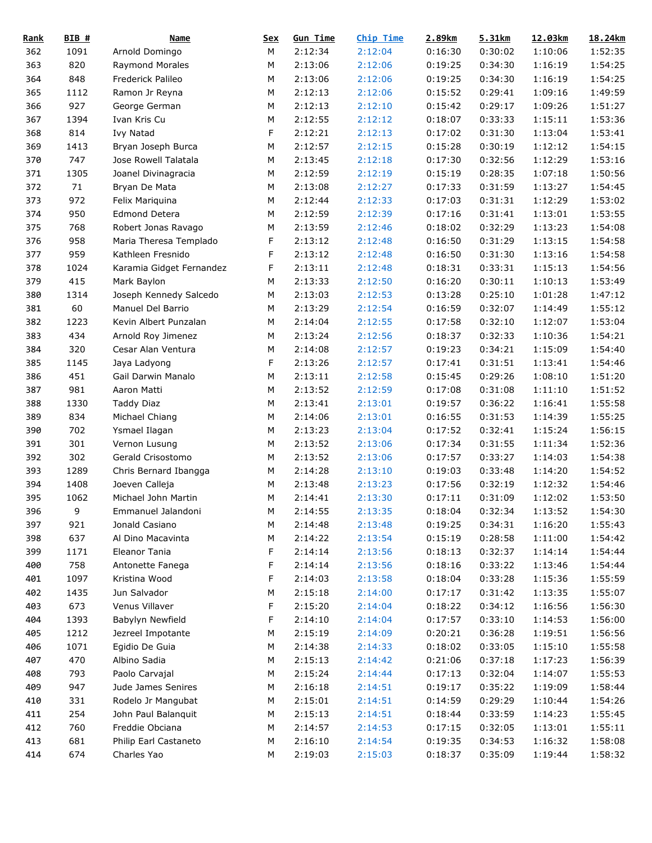| <b>Rank</b> | BIB# | Name                     | <u>Sex</u> | <b>Gun Time</b> | Chip Time | 2.89km  | 5.31km  | 12.03km | 18.24km |
|-------------|------|--------------------------|------------|-----------------|-----------|---------|---------|---------|---------|
| 362         | 1091 | Arnold Domingo           | M          | 2:12:34         | 2:12:04   | 0:16:30 | 0:30:02 | 1:10:06 | 1:52:35 |
| 363         | 820  | Raymond Morales          | М          | 2:13:06         | 2:12:06   | 0:19:25 | 0:34:30 | 1:16:19 | 1:54:25 |
| 364         | 848  | Frederick Palileo        | M          | 2:13:06         | 2:12:06   | 0:19:25 | 0:34:30 | 1:16:19 | 1:54:25 |
| 365         | 1112 | Ramon Jr Reyna           | M          | 2:12:13         | 2:12:06   | 0:15:52 | 0:29:41 | 1:09:16 | 1:49:59 |
| 366         | 927  | George German            | M          | 2:12:13         | 2:12:10   | 0:15:42 | 0:29:17 | 1:09:26 | 1:51:27 |
| 367         | 1394 | Ivan Kris Cu             | M          | 2:12:55         | 2:12:12   | 0:18:07 | 0:33:33 | 1:15:11 | 1:53:36 |
| 368         | 814  | Ivy Natad                | F          | 2:12:21         | 2:12:13   | 0:17:02 | 0:31:30 | 1:13:04 | 1:53:41 |
| 369         | 1413 | Bryan Joseph Burca       | M          | 2:12:57         | 2:12:15   | 0:15:28 | 0:30:19 | 1:12:12 | 1:54:15 |
| 370         | 747  | Jose Rowell Talatala     | M          | 2:13:45         | 2:12:18   | 0:17:30 | 0:32:56 | 1:12:29 | 1:53:16 |
| 371         | 1305 | Joanel Divinagracia      | М          | 2:12:59         | 2:12:19   | 0:15:19 | 0:28:35 | 1:07:18 | 1:50:56 |
| 372         | 71   | Bryan De Mata            | М          | 2:13:08         | 2:12:27   | 0:17:33 | 0:31:59 | 1:13:27 | 1:54:45 |
| 373         | 972  | Felix Mariquina          | M          | 2:12:44         | 2:12:33   | 0:17:03 | 0:31:31 | 1:12:29 | 1:53:02 |
| 374         | 950  | <b>Edmond Detera</b>     | M          | 2:12:59         | 2:12:39   | 0:17:16 | 0:31:41 | 1:13:01 | 1:53:55 |
| 375         | 768  | Robert Jonas Ravago      | М          | 2:13:59         | 2:12:46   | 0:18:02 | 0:32:29 | 1:13:23 | 1:54:08 |
| 376         | 958  | Maria Theresa Templado   | F          | 2:13:12         | 2:12:48   | 0:16:50 | 0:31:29 | 1:13:15 | 1:54:58 |
| 377         | 959  | Kathleen Fresnido        | F          | 2:13:12         | 2:12:48   | 0:16:50 | 0:31:30 | 1:13:16 | 1:54:58 |
| 378         | 1024 | Karamia Gidget Fernandez | F          | 2:13:11         | 2:12:48   | 0:18:31 | 0:33:31 | 1:15:13 | 1:54:56 |
| 379         | 415  | Mark Baylon              | М          | 2:13:33         | 2:12:50   | 0:16:20 | 0:30:11 | 1:10:13 | 1:53:49 |
| 380         | 1314 | Joseph Kennedy Salcedo   | М          | 2:13:03         | 2:12:53   | 0:13:28 | 0:25:10 | 1:01:28 | 1:47:12 |
| 381         | 60   | Manuel Del Barrio        | M          | 2:13:29         | 2:12:54   | 0:16:59 | 0:32:07 | 1:14:49 | 1:55:12 |
| 382         | 1223 | Kevin Albert Punzalan    | M          | 2:14:04         | 2:12:55   | 0:17:58 | 0:32:10 | 1:12:07 | 1:53:04 |
| 383         | 434  | Arnold Roy Jimenez       | M          | 2:13:24         | 2:12:56   | 0:18:37 | 0:32:33 | 1:10:36 | 1:54:21 |
| 384         | 320  | Cesar Alan Ventura       | M          | 2:14:08         | 2:12:57   | 0:19:23 | 0:34:21 | 1:15:09 | 1:54:40 |
| 385         | 1145 | Jaya Ladyong             | F          | 2:13:26         | 2:12:57   | 0:17:41 | 0:31:51 | 1:13:41 | 1:54:46 |
|             | 451  |                          | M          |                 |           |         |         |         |         |
| 386         |      | Gail Darwin Manalo       |            | 2:13:11         | 2:12:58   | 0:15:45 | 0:29:26 | 1:08:10 | 1:51:20 |
| 387         | 981  | Aaron Matti              | M          | 2:13:52         | 2:12:59   | 0:17:08 | 0:31:08 | 1:11:10 | 1:51:52 |
| 388         | 1330 | Taddy Diaz               | М          | 2:13:41         | 2:13:01   | 0:19:57 | 0:36:22 | 1:16:41 | 1:55:58 |
| 389         | 834  | Michael Chiang           | M          | 2:14:06         | 2:13:01   | 0:16:55 | 0:31:53 | 1:14:39 | 1:55:25 |
| 390         | 702  | Ysmael Ilagan            | M          | 2:13:23         | 2:13:04   | 0:17:52 | 0:32:41 | 1:15:24 | 1:56:15 |
| 391         | 301  | Vernon Lusung            | M          | 2:13:52         | 2:13:06   | 0:17:34 | 0:31:55 | 1:11:34 | 1:52:36 |
| 392         | 302  | Gerald Crisostomo        | М          | 2:13:52         | 2:13:06   | 0:17:57 | 0:33:27 | 1:14:03 | 1:54:38 |
| 393         | 1289 | Chris Bernard Ibangga    | М          | 2:14:28         | 2:13:10   | 0:19:03 | 0:33:48 | 1:14:20 | 1:54:52 |
| 394         | 1408 | Joeven Calleja           | M          | 2:13:48         | 2:13:23   | 0:17:56 | 0:32:19 | 1:12:32 | 1:54:46 |
| 395         | 1062 | Michael John Martin      | M          | 2:14:41         | 2:13:30   | 0:17:11 | 0:31:09 | 1:12:02 | 1:53:50 |
| 396         | 9    | Emmanuel Jalandoni       | ${\sf M}$  | 2:14:55         | 2:13:35   | 0:18:04 | 0:32:34 | 1:13:52 | 1:54:30 |
| 397         | 921  | Jonald Casiano           | М          | 2:14:48         | 2:13:48   | 0:19:25 | 0:34:31 | 1:16:20 | 1:55:43 |
| 398         | 637  | Al Dino Macavinta        | M          | 2:14:22         | 2:13:54   | 0:15:19 | 0:28:58 | 1:11:00 | 1:54:42 |
| 399         | 1171 | Eleanor Tania            | F          | 2:14:14         | 2:13:56   | 0:18:13 | 0:32:37 | 1:14:14 | 1:54:44 |
| 400         | 758  | Antonette Fanega         | F          | 2:14:14         | 2:13:56   | 0:18:16 | 0:33:22 | 1:13:46 | 1:54:44 |
| 401         | 1097 | Kristina Wood            | F          | 2:14:03         | 2:13:58   | 0:18:04 | 0:33:28 | 1:15:36 | 1:55:59 |
| 402         | 1435 | Jun Salvador             | М          | 2:15:18         | 2:14:00   | 0:17:17 | 0:31:42 | 1:13:35 | 1:55:07 |
| 403         | 673  | Venus Villaver           | F          | 2:15:20         | 2:14:04   | 0:18:22 | 0:34:12 | 1:16:56 | 1:56:30 |
| 404         | 1393 | Babylyn Newfield         | F          | 2:14:10         | 2:14:04   | 0:17:57 | 0:33:10 | 1:14:53 | 1:56:00 |
| 405         | 1212 | Jezreel Impotante        | М          | 2:15:19         | 2:14:09   | 0:20:21 | 0:36:28 | 1:19:51 | 1:56:56 |
| 406         | 1071 | Egidio De Guia           | М          | 2:14:38         | 2:14:33   | 0:18:02 | 0:33:05 | 1:15:10 | 1:55:58 |
| 407         | 470  | Albino Sadia             | М          | 2:15:13         | 2:14:42   | 0:21:06 | 0:37:18 | 1:17:23 | 1:56:39 |
| 408         | 793  | Paolo Carvajal           | М          | 2:15:24         | 2:14:44   | 0:17:13 | 0:32:04 | 1:14:07 | 1:55:53 |
| 409         | 947  | Jude James Senires       | М          | 2:16:18         | 2:14:51   | 0:19:17 | 0:35:22 | 1:19:09 | 1:58:44 |
| 410         | 331  | Rodelo Jr Mangubat       | М          | 2:15:01         | 2:14:51   | 0:14:59 | 0:29:29 | 1:10:44 | 1:54:26 |
| 411         | 254  | John Paul Balanquit      | М          | 2:15:13         | 2:14:51   | 0:18:44 | 0:33:59 | 1:14:23 | 1:55:45 |
| 412         | 760  | Freddie Obciana          | М          | 2:14:57         | 2:14:53   | 0:17:15 | 0:32:05 | 1:13:01 | 1:55:11 |
| 413         | 681  | Philip Earl Castaneto    | М          | 2:16:10         | 2:14:54   | 0:19:35 | 0:34:53 | 1:16:32 | 1:58:08 |
| 414         | 674  | Charles Yao              | М          | 2:19:03         | 2:15:03   | 0:18:37 | 0:35:09 | 1:19:44 | 1:58:32 |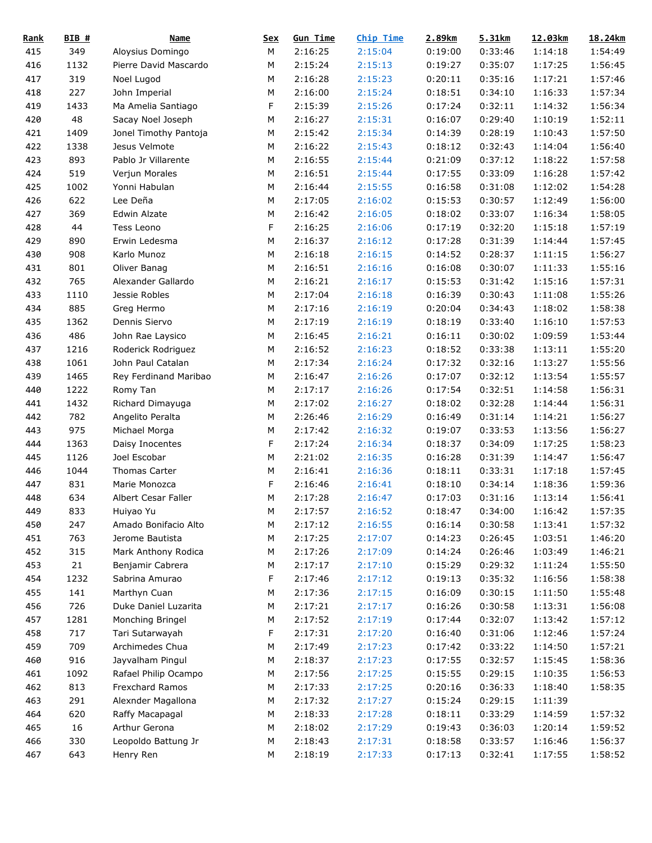| <b>Rank</b> | $BIB$ # | <b>Name</b>           | <u>Sex</u> | <b>Gun Time</b> | <b>Chip Time</b> | 2.89km  | 5.31km  | 12.03km | 18.24km |
|-------------|---------|-----------------------|------------|-----------------|------------------|---------|---------|---------|---------|
| 415         | 349     | Aloysius Domingo      | М          | 2:16:25         | 2:15:04          | 0:19:00 | 0:33:46 | 1:14:18 | 1:54:49 |
| 416         | 1132    | Pierre David Mascardo | М          | 2:15:24         | 2:15:13          | 0:19:27 | 0:35:07 | 1:17:25 | 1:56:45 |
| 417         | 319     | Noel Lugod            | М          | 2:16:28         | 2:15:23          | 0:20:11 | 0:35:16 | 1:17:21 | 1:57:46 |
| 418         | 227     | John Imperial         | M          | 2:16:00         | 2:15:24          | 0:18:51 | 0:34:10 | 1:16:33 | 1:57:34 |
| 419         | 1433    | Ma Amelia Santiago    | F          | 2:15:39         | 2:15:26          | 0:17:24 | 0:32:11 | 1:14:32 | 1:56:34 |
| 420         | 48      | Sacay Noel Joseph     | М          | 2:16:27         | 2:15:31          | 0:16:07 | 0:29:40 | 1:10:19 | 1:52:11 |
| 421         | 1409    | Jonel Timothy Pantoja | М          | 2:15:42         | 2:15:34          | 0:14:39 | 0:28:19 | 1:10:43 | 1:57:50 |
| 422         | 1338    | Jesus Velmote         | M          | 2:16:22         | 2:15:43          | 0:18:12 | 0:32:43 | 1:14:04 | 1:56:40 |
| 423         | 893     | Pablo Jr Villarente   | ${\sf M}$  | 2:16:55         | 2:15:44          | 0:21:09 | 0:37:12 | 1:18:22 | 1:57:58 |
| 424         | 519     | Verjun Morales        | М          | 2:16:51         | 2:15:44          | 0:17:55 | 0:33:09 | 1:16:28 | 1:57:42 |
| 425         | 1002    | Yonni Habulan         | М          | 2:16:44         | 2:15:55          | 0:16:58 | 0:31:08 | 1:12:02 | 1:54:28 |
| 426         | 622     | Lee Deña              | М          | 2:17:05         | 2:16:02          | 0:15:53 | 0:30:57 | 1:12:49 | 1:56:00 |
| 427         | 369     | Edwin Alzate          | М          | 2:16:42         | 2:16:05          | 0:18:02 | 0:33:07 | 1:16:34 | 1:58:05 |
| 428         | 44      | Tess Leono            | F          | 2:16:25         | 2:16:06          | 0:17:19 | 0:32:20 | 1:15:18 | 1:57:19 |
| 429         | 890     | Erwin Ledesma         | М          | 2:16:37         | 2:16:12          | 0:17:28 | 0:31:39 | 1:14:44 | 1:57:45 |
| 430         | 908     | Karlo Munoz           | M          | 2:16:18         | 2:16:15          | 0:14:52 | 0:28:37 | 1:11:15 | 1:56:27 |
| 431         | 801     | Oliver Banag          | M          | 2:16:51         | 2:16:16          | 0:16:08 | 0:30:07 | 1:11:33 | 1:55:16 |
| 432         | 765     | Alexander Gallardo    | М          | 2:16:21         | 2:16:17          | 0:15:53 | 0:31:42 | 1:15:16 | 1:57:31 |
| 433         | 1110    | Jessie Robles         | М          | 2:17:04         | 2:16:18          | 0:16:39 | 0:30:43 | 1:11:08 | 1:55:26 |
| 434         | 885     | Greg Hermo            | М          | 2:17:16         | 2:16:19          | 0:20:04 | 0:34:43 | 1:18:02 | 1:58:38 |
| 435         | 1362    | Dennis Siervo         | M          | 2:17:19         | 2:16:19          | 0:18:19 | 0:33:40 | 1:16:10 | 1:57:53 |
| 436         | 486     | John Rae Laysico      | M          | 2:16:45         | 2:16:21          | 0:16:11 | 0:30:02 | 1:09:59 | 1:53:44 |
|             |         |                       |            | 2:16:52         |                  | 0:18:52 |         |         | 1:55:20 |
| 437         | 1216    | Roderick Rodriguez    | М          |                 | 2:16:23          |         | 0:33:38 | 1:13:11 |         |
| 438         | 1061    | John Paul Catalan     | М          | 2:17:34         | 2:16:24          | 0:17:32 | 0:32:16 | 1:13:27 | 1:55:56 |
| 439         | 1465    | Rey Ferdinand Maribao | М          | 2:16:47         | 2:16:26          | 0:17:07 | 0:32:12 | 1:13:54 | 1:55:57 |
| 440         | 1222    | Romy Tan              | М          | 2:17:17         | 2:16:26          | 0:17:54 | 0:32:51 | 1:14:58 | 1:56:31 |
| 441         | 1432    | Richard Dimayuga      | М          | 2:17:02         | 2:16:27          | 0:18:02 | 0:32:28 | 1:14:44 | 1:56:31 |
| 442         | 782     | Angelito Peralta      | М          | 2:26:46         | 2:16:29          | 0:16:49 | 0:31:14 | 1:14:21 | 1:56:27 |
| 443         | 975     | Michael Morga         | М          | 2:17:42         | 2:16:32          | 0:19:07 | 0:33:53 | 1:13:56 | 1:56:27 |
| 444         | 1363    | Daisy Inocentes       | F          | 2:17:24         | 2:16:34          | 0:18:37 | 0:34:09 | 1:17:25 | 1:58:23 |
| 445         | 1126    | Joel Escobar          | М          | 2:21:02         | 2:16:35          | 0:16:28 | 0:31:39 | 1:14:47 | 1:56:47 |
| 446         | 1044    | Thomas Carter         | М          | 2:16:41         | 2:16:36          | 0:18:11 | 0:33:31 | 1:17:18 | 1:57:45 |
| 447         | 831     | Marie Monozca         | F          | 2:16:46         | 2:16:41          | 0:18:10 | 0:34:14 | 1:18:36 | 1:59:36 |
| 448         | 634     | Albert Cesar Faller   | M          | 2:17:28         | 2:16:47          | 0:17:03 | 0:31:16 | 1:13:14 | 1:56:41 |
| 449         | 833     | Huiyao Yu             | ${\sf M}$  | 2:17:57         | 2:16:52          | 0:18:47 | 0:34:00 | 1:16:42 | 1:57:35 |
| 450         | 247     | Amado Bonifacio Alto  | M          | 2:17:12         | 2:16:55          | 0:16:14 | 0:30:58 | 1:13:41 | 1:57:32 |
| 451         | 763     | Jerome Bautista       | M          | 2:17:25         | 2:17:07          | 0:14:23 | 0:26:45 | 1:03:51 | 1:46:20 |
| 452         | 315     | Mark Anthony Rodica   | M          | 2:17:26         | 2:17:09          | 0:14:24 | 0:26:46 | 1:03:49 | 1:46:21 |
| 453         | 21      | Benjamir Cabrera      | M          | 2:17:17         | 2:17:10          | 0:15:29 | 0:29:32 | 1:11:24 | 1:55:50 |
| 454         | 1232    | Sabrina Amurao        | F          | 2:17:46         | 2:17:12          | 0:19:13 | 0:35:32 | 1:16:56 | 1:58:38 |
| 455         | 141     | Marthyn Cuan          | М          | 2:17:36         | 2:17:15          | 0:16:09 | 0:30:15 | 1:11:50 | 1:55:48 |
| 456         | 726     | Duke Daniel Luzarita  | М          | 2:17:21         | 2:17:17          | 0:16:26 | 0:30:58 | 1:13:31 | 1:56:08 |
| 457         | 1281    | Monching Bringel      | М          | 2:17:52         | 2:17:19          | 0:17:44 | 0:32:07 | 1:13:42 | 1:57:12 |
| 458         | 717     | Tari Sutarwayah       | F          | 2:17:31         | 2:17:20          | 0:16:40 | 0:31:06 | 1:12:46 | 1:57:24 |
| 459         | 709     | Archimedes Chua       | M          | 2:17:49         | 2:17:23          | 0:17:42 | 0:33:22 | 1:14:50 | 1:57:21 |
| 460         | 916     | Jayvalham Pingul      | M          | 2:18:37         | 2:17:23          | 0:17:55 | 0:32:57 | 1:15:45 | 1:58:36 |
| 461         | 1092    | Rafael Philip Ocampo  | M          | 2:17:56         | 2:17:25          | 0:15:55 | 0:29:15 | 1:10:35 | 1:56:53 |
| 462         | 813     | Frexchard Ramos       | M          | 2:17:33         | 2:17:25          | 0:20:16 | 0:36:33 | 1:18:40 | 1:58:35 |
| 463         | 291     | Alexnder Magallona    | M          | 2:17:32         | 2:17:27          | 0:15:24 | 0:29:15 | 1:11:39 |         |
| 464         | 620     | Raffy Macapagal       | M          | 2:18:33         | 2:17:28          | 0:18:11 | 0:33:29 | 1:14:59 | 1:57:32 |
| 465         | 16      | Arthur Gerona         | М          | 2:18:02         | 2:17:29          | 0:19:43 | 0:36:03 | 1:20:14 | 1:59:52 |
| 466         | 330     | Leopoldo Battung Jr   | M          | 2:18:43         | 2:17:31          | 0:18:58 | 0:33:57 | 1:16:46 | 1:56:37 |
| 467         | 643     | Henry Ren             | М          | 2:18:19         | 2:17:33          | 0:17:13 | 0:32:41 | 1:17:55 | 1:58:52 |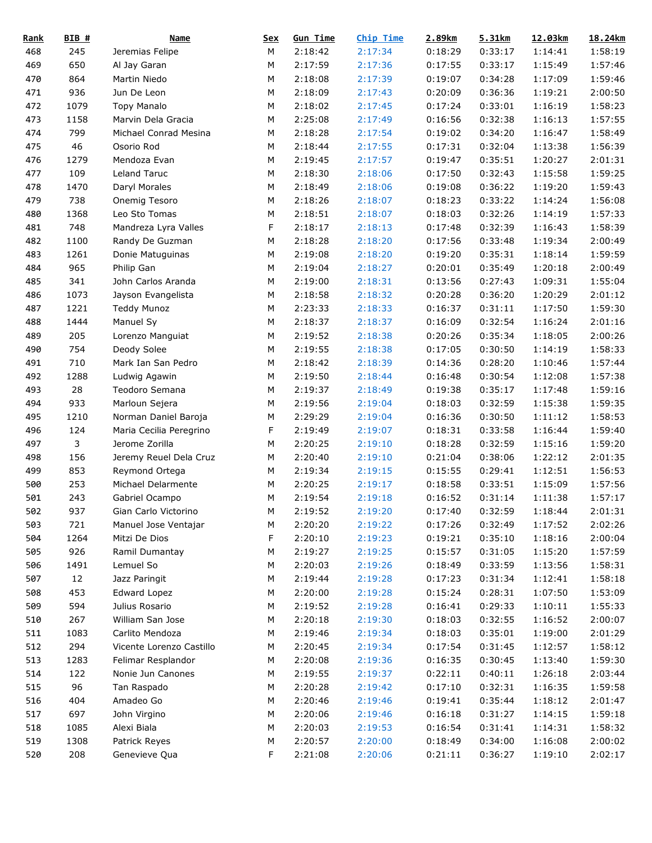| <b>Rank</b> | BIB# | <b>Name</b>              | <u>Sex</u> | <b>Gun Time</b> | Chip Time | 2.89km  | 5.31km  | 12.03km | 18.24km |
|-------------|------|--------------------------|------------|-----------------|-----------|---------|---------|---------|---------|
| 468         | 245  | Jeremias Felipe          | М          | 2:18:42         | 2:17:34   | 0:18:29 | 0:33:17 | 1:14:41 | 1:58:19 |
| 469         | 650  | Al Jay Garan             | М          | 2:17:59         | 2:17:36   | 0:17:55 | 0:33:17 | 1:15:49 | 1:57:46 |
| 470         | 864  | Martin Niedo             | М          | 2:18:08         | 2:17:39   | 0:19:07 | 0:34:28 | 1:17:09 | 1:59:46 |
| 471         | 936  | Jun De Leon              | M          | 2:18:09         | 2:17:43   | 0:20:09 | 0:36:36 | 1:19:21 | 2:00:50 |
| 472         | 1079 | <b>Topy Manalo</b>       | M          | 2:18:02         | 2:17:45   | 0:17:24 | 0:33:01 | 1:16:19 | 1:58:23 |
| 473         | 1158 | Marvin Dela Gracia       | М          | 2:25:08         | 2:17:49   | 0:16:56 | 0:32:38 | 1:16:13 | 1:57:55 |
| 474         | 799  | Michael Conrad Mesina    | М          | 2:18:28         | 2:17:54   | 0:19:02 | 0:34:20 | 1:16:47 | 1:58:49 |
| 475         | 46   | Osorio Rod               | M          | 2:18:44         | 2:17:55   | 0:17:31 | 0:32:04 | 1:13:38 | 1:56:39 |
| 476         | 1279 | Mendoza Evan             | М          | 2:19:45         | 2:17:57   | 0:19:47 | 0:35:51 | 1:20:27 | 2:01:31 |
| 477         | 109  | Leland Taruc             | М          | 2:18:30         | 2:18:06   | 0:17:50 | 0:32:43 | 1:15:58 | 1:59:25 |
| 478         | 1470 | Daryl Morales            | М          | 2:18:49         | 2:18:06   | 0:19:08 | 0:36:22 | 1:19:20 | 1:59:43 |
| 479         | 738  | Onemig Tesoro            | М          | 2:18:26         | 2:18:07   | 0:18:23 | 0:33:22 | 1:14:24 | 1:56:08 |
| 480         | 1368 | Leo Sto Tomas            | M          | 2:18:51         | 2:18:07   | 0:18:03 | 0:32:26 | 1:14:19 | 1:57:33 |
| 481         | 748  | Mandreza Lyra Valles     | F          | 2:18:17         | 2:18:13   | 0:17:48 | 0:32:39 | 1:16:43 | 1:58:39 |
| 482         | 1100 | Randy De Guzman          | М          | 2:18:28         | 2:18:20   | 0:17:56 | 0:33:48 | 1:19:34 | 2:00:49 |
| 483         | 1261 | Donie Matuguinas         | M          | 2:19:08         | 2:18:20   | 0:19:20 | 0:35:31 | 1:18:14 | 1:59:59 |
| 484         | 965  | Philip Gan               | M          | 2:19:04         | 2:18:27   | 0:20:01 | 0:35:49 | 1:20:18 | 2:00:49 |
| 485         | 341  | John Carlos Aranda       | ${\sf M}$  | 2:19:00         | 2:18:31   | 0:13:56 | 0:27:43 | 1:09:31 | 1:55:04 |
| 486         | 1073 | Jayson Evangelista       | М          | 2:18:58         | 2:18:32   | 0:20:28 | 0:36:20 | 1:20:29 | 2:01:12 |
| 487         | 1221 | <b>Teddy Munoz</b>       | М          | 2:23:33         | 2:18:33   | 0:16:37 | 0:31:11 | 1:17:50 | 1:59:30 |
| 488         | 1444 | Manuel Sy                | M          | 2:18:37         | 2:18:37   | 0:16:09 | 0:32:54 | 1:16:24 | 2:01:16 |
| 489         | 205  | Lorenzo Manguiat         | M          | 2:19:52         | 2:18:38   | 0:20:26 | 0:35:34 | 1:18:05 | 2:00:26 |
|             | 754  |                          |            |                 |           | 0:17:05 |         |         | 1:58:33 |
| 490         |      | Deody Solee              | М          | 2:19:55         | 2:18:38   |         | 0:30:50 | 1:14:19 |         |
| 491         | 710  | Mark Ian San Pedro       | M          | 2:18:42         | 2:18:39   | 0:14:36 | 0:28:20 | 1:10:46 | 1:57:44 |
| 492         | 1288 | Ludwig Agawin            | M          | 2:19:50         | 2:18:44   | 0:16:48 | 0:30:54 | 1:12:08 | 1:57:38 |
| 493         | 28   | Teodoro Semana           | М          | 2:19:37         | 2:18:49   | 0:19:38 | 0:35:17 | 1:17:48 | 1:59:16 |
| 494         | 933  | Marloun Sejera           | М          | 2:19:56         | 2:19:04   | 0:18:03 | 0:32:59 | 1:15:38 | 1:59:35 |
| 495         | 1210 | Norman Daniel Baroja     | М          | 2:29:29         | 2:19:04   | 0:16:36 | 0:30:50 | 1:11:12 | 1:58:53 |
| 496         | 124  | Maria Cecilia Peregrino  | F          | 2:19:49         | 2:19:07   | 0:18:31 | 0:33:58 | 1:16:44 | 1:59:40 |
| 497         | 3    | Jerome Zorilla           | M          | 2:20:25         | 2:19:10   | 0:18:28 | 0:32:59 | 1:15:16 | 1:59:20 |
| 498         | 156  | Jeremy Reuel Dela Cruz   | М          | 2:20:40         | 2:19:10   | 0:21:04 | 0:38:06 | 1:22:12 | 2:01:35 |
| 499         | 853  | Reymond Ortega           | M          | 2:19:34         | 2:19:15   | 0:15:55 | 0:29:41 | 1:12:51 | 1:56:53 |
| 500         | 253  | Michael Delarmente       | M          | 2:20:25         | 2:19:17   | 0:18:58 | 0:33:51 | 1:15:09 | 1:57:56 |
| 501         | 243  | Gabriel Ocampo           | M          | 2:19:54         | 2:19:18   | 0:16:52 | 0:31:14 | 1:11:38 | 1:57:17 |
| 502         | 937  | Gian Carlo Victorino     | М          | 2:19:52         | 2:19:20   | 0:17:40 | 0:32:59 | 1:18:44 | 2:01:31 |
| 503         | 721  | Manuel Jose Ventajar     | M          | 2:20:20         | 2:19:22   | 0:17:26 | 0:32:49 | 1:17:52 | 2:02:26 |
| 504         | 1264 | Mitzi De Dios            | F          | 2:20:10         | 2:19:23   | 0:19:21 | 0:35:10 | 1:18:16 | 2:00:04 |
| 505         | 926  | Ramil Dumantay           | M          | 2:19:27         | 2:19:25   | 0:15:57 | 0:31:05 | 1:15:20 | 1:57:59 |
| 506         | 1491 | Lemuel So                | М          | 2:20:03         | 2:19:26   | 0:18:49 | 0:33:59 | 1:13:56 | 1:58:31 |
| 507         | 12   | Jazz Paringit            | М          | 2:19:44         | 2:19:28   | 0:17:23 | 0:31:34 | 1:12:41 | 1:58:18 |
| 508         | 453  | <b>Edward Lopez</b>      | М          | 2:20:00         | 2:19:28   | 0:15:24 | 0:28:31 | 1:07:50 | 1:53:09 |
| 509         | 594  | Julius Rosario           | М          | 2:19:52         | 2:19:28   | 0:16:41 | 0:29:33 | 1:10:11 | 1:55:33 |
| 510         | 267  | William San Jose         | М          | 2:20:18         | 2:19:30   | 0:18:03 | 0:32:55 | 1:16:52 | 2:00:07 |
| 511         | 1083 | Carlito Mendoza          | M          | 2:19:46         | 2:19:34   | 0:18:03 | 0:35:01 | 1:19:00 | 2:01:29 |
| 512         | 294  | Vicente Lorenzo Castillo | M          | 2:20:45         | 2:19:34   | 0:17:54 | 0:31:45 | 1:12:57 | 1:58:12 |
| 513         | 1283 | Felimar Resplandor       | M          | 2:20:08         | 2:19:36   | 0:16:35 | 0:30:45 | 1:13:40 | 1:59:30 |
| 514         | 122  | Nonie Jun Canones        | М          | 2:19:55         | 2:19:37   | 0:22:11 | 0:40:11 | 1:26:18 | 2:03:44 |
| 515         | 96   | Tan Raspado              | М          | 2:20:28         | 2:19:42   | 0:17:10 | 0:32:31 | 1:16:35 | 1:59:58 |
| 516         | 404  | Amadeo Go                | М          | 2:20:46         | 2:19:46   | 0:19:41 | 0:35:44 | 1:18:12 | 2:01:47 |
| 517         | 697  | John Virgino             | М          | 2:20:06         | 2:19:46   | 0:16:18 | 0:31:27 | 1:14:15 | 1:59:18 |
| 518         | 1085 | Alexi Biala              | М          | 2:20:03         | 2:19:53   | 0:16:54 | 0:31:41 | 1:14:31 | 1:58:32 |
| 519         | 1308 | Patrick Reyes            | M          | 2:20:57         | 2:20:00   | 0:18:49 | 0:34:00 | 1:16:08 | 2:00:02 |
| 520         | 208  | Genevieve Qua            | F          | 2:21:08         | 2:20:06   | 0:21:11 | 0:36:27 | 1:19:10 | 2:02:17 |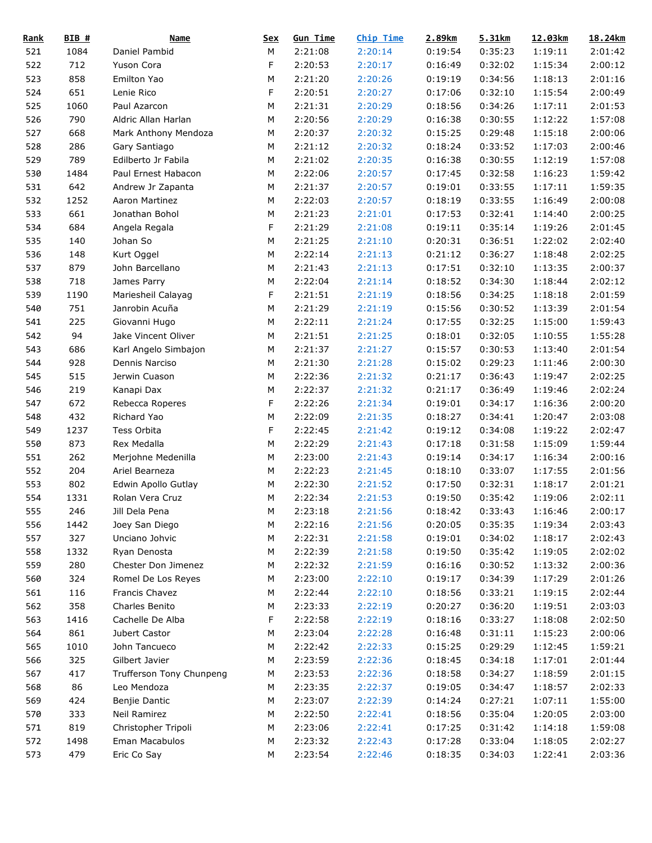| <u>Rank</u> | BIB #      | <b>Name</b>              | <u>Sex</u> | <b>Gun Time</b> | <b>Chip Time</b> | 2.89km  | 5.31km  | 12.03km | 18.24km |
|-------------|------------|--------------------------|------------|-----------------|------------------|---------|---------|---------|---------|
| 521         | 1084       | Daniel Pambid            | M          | 2:21:08         | 2:20:14          | 0:19:54 | 0:35:23 | 1:19:11 | 2:01:42 |
| 522         | 712        | Yuson Cora               | F          | 2:20:53         | 2:20:17          | 0:16:49 | 0:32:02 | 1:15:34 | 2:00:12 |
| 523         | 858        | Emilton Yao              | М          | 2:21:20         | 2:20:26          | 0:19:19 | 0:34:56 | 1:18:13 | 2:01:16 |
| 524         | 651        | Lenie Rico               | F          | 2:20:51         | 2:20:27          | 0:17:06 | 0:32:10 | 1:15:54 | 2:00:49 |
| 525         | 1060       | Paul Azarcon             | M          | 2:21:31         | 2:20:29          | 0:18:56 | 0:34:26 | 1:17:11 | 2:01:53 |
| 526         | 790        | Aldric Allan Harlan      | М          | 2:20:56         | 2:20:29          | 0:16:38 | 0:30:55 | 1:12:22 | 1:57:08 |
| 527         | 668        | Mark Anthony Mendoza     | М          | 2:20:37         | 2:20:32          | 0:15:25 | 0:29:48 | 1:15:18 | 2:00:06 |
| 528         | 286        | Gary Santiago            | M          | 2:21:12         | 2:20:32          | 0:18:24 | 0:33:52 | 1:17:03 | 2:00:46 |
| 529         | 789        | Edilberto Jr Fabila      | М          | 2:21:02         | 2:20:35          | 0:16:38 | 0:30:55 | 1:12:19 | 1:57:08 |
| 530         | 1484       | Paul Ernest Habacon      | М          | 2:22:06         | 2:20:57          | 0:17:45 | 0:32:58 | 1:16:23 | 1:59:42 |
| 531         | 642        | Andrew Jr Zapanta        | М          | 2:21:37         | 2:20:57          | 0:19:01 | 0:33:55 | 1:17:11 | 1:59:35 |
| 532         | 1252       | Aaron Martinez           | М          | 2:22:03         | 2:20:57          | 0:18:19 | 0:33:55 | 1:16:49 | 2:00:08 |
| 533         | 661        | Jonathan Bohol           | М          | 2:21:23         | 2:21:01          | 0:17:53 | 0:32:41 | 1:14:40 | 2:00:25 |
| 534         | 684        | Angela Regala            | F          | 2:21:29         | 2:21:08          | 0:19:11 | 0:35:14 | 1:19:26 | 2:01:45 |
| 535         | 140        | Johan So                 | М          | 2:21:25         | 2:21:10          | 0:20:31 | 0:36:51 | 1:22:02 | 2:02:40 |
| 536         | 148        | Kurt Oggel               | M          | 2:22:14         | 2:21:13          | 0:21:12 | 0:36:27 | 1:18:48 | 2:02:25 |
| 537         | 879        | John Barcellano          | М          | 2:21:43         | 2:21:13          | 0:17:51 | 0:32:10 | 1:13:35 | 2:00:37 |
| 538         | 718        | James Parry              | М          | 2:22:04         | 2:21:14          | 0:18:52 | 0:34:30 | 1:18:44 | 2:02:12 |
| 539         | 1190       | Mariesheil Calayag       | F          | 2:21:51         | 2:21:19          | 0:18:56 | 0:34:25 | 1:18:18 | 2:01:59 |
| 540         | 751        | Janrobin Acuña           | М          | 2:21:29         | 2:21:19          | 0:15:56 | 0:30:52 | 1:13:39 | 2:01:54 |
| 541         | 225        | Giovanni Hugo            | M          | 2:22:11         | 2:21:24          | 0:17:55 | 0:32:25 | 1:15:00 | 1:59:43 |
| 542         | 94         | Jake Vincent Oliver      | M          | 2:21:51         | 2:21:25          | 0:18:01 | 0:32:05 | 1:10:55 | 1:55:28 |
| 543         | 686        | Karl Angelo Simbajon     | М          | 2:21:37         | 2:21:27          | 0:15:57 | 0:30:53 | 1:13:40 | 2:01:54 |
| 544         | 928        | Dennis Narciso           | М          | 2:21:30         | 2:21:28          | 0:15:02 | 0:29:23 | 1:11:46 | 2:00:30 |
| 545         | 515        | Jerwin Cuason            | M          | 2:22:36         | 2:21:32          | 0:21:17 | 0:36:43 | 1:19:47 | 2:02:25 |
| 546         | 219        |                          | М          | 2:22:37         | 2:21:32          | 0:21:17 | 0:36:49 | 1:19:46 | 2:02:24 |
|             |            | Kanapi Dax               |            |                 |                  |         |         |         |         |
| 547         | 672<br>432 | Rebecca Roperes          | F          | 2:22:26         | 2:21:34          | 0:19:01 | 0:34:17 | 1:16:36 | 2:00:20 |
| 548         |            | Richard Yao              | М          | 2:22:09         | 2:21:35          | 0:18:27 | 0:34:41 | 1:20:47 | 2:03:08 |
| 549         | 1237       | Tess Orbita              | F          | 2:22:45         | 2:21:42          | 0:19:12 | 0:34:08 | 1:19:22 | 2:02:47 |
| 550         | 873        | Rex Medalla              | М          | 2:22:29         | 2:21:43          | 0:17:18 | 0:31:58 | 1:15:09 | 1:59:44 |
| 551         | 262        | Merjohne Medenilla       | М          | 2:23:00         | 2:21:43          | 0:19:14 | 0:34:17 | 1:16:34 | 2:00:16 |
| 552         | 204        | Ariel Bearneza           | М          | 2:22:23         | 2:21:45          | 0:18:10 | 0:33:07 | 1:17:55 | 2:01:56 |
| 553         | 802        | Edwin Apollo Gutlay      | М          | 2:22:30         | 2:21:52          | 0:17:50 | 0:32:31 | 1:18:17 | 2:01:21 |
| 554         | 1331       | Rolan Vera Cruz          | M          | 2:22:34         | 2:21:53          | 0:19:50 | 0:35:42 | 1:19:06 | 2:02:11 |
| 555         | 246        | Jill Dela Pena           | ${\sf M}$  | 2:23:18         | 2:21:56          | 0:18:42 | 0:33:43 | 1:16:46 | 2:00:17 |
| 556         | 1442       | Joey San Diego           | M          | 2:22:16         | 2:21:56          | 0:20:05 | 0:35:35 | 1:19:34 | 2:03:43 |
| 557         | 327        | Unciano Johvic           | М          | 2:22:31         | 2:21:58          | 0:19:01 | 0:34:02 | 1:18:17 | 2:02:43 |
| 558         | 1332       | Ryan Denosta             | M          | 2:22:39         | 2:21:58          | 0:19:50 | 0:35:42 | 1:19:05 | 2:02:02 |
| 559         | 280        | Chester Don Jimenez      | M          | 2:22:32         | 2:21:59          | 0:16:16 | 0:30:52 | 1:13:32 | 2:00:36 |
| 560         | 324        | Romel De Los Reyes       | M          | 2:23:00         | 2:22:10          | 0:19:17 | 0:34:39 | 1:17:29 | 2:01:26 |
| 561         | 116        | Francis Chavez           | М          | 2:22:44         | 2:22:10          | 0:18:56 | 0:33:21 | 1:19:15 | 2:02:44 |
| 562         | 358        | Charles Benito           | М          | 2:23:33         | 2:22:19          | 0:20:27 | 0:36:20 | 1:19:51 | 2:03:03 |
| 563         | 1416       | Cachelle De Alba         | F          | 2:22:58         | 2:22:19          | 0:18:16 | 0:33:27 | 1:18:08 | 2:02:50 |
| 564         | 861        | Jubert Castor            | M          | 2:23:04         | 2:22:28          | 0:16:48 | 0:31:11 | 1:15:23 | 2:00:06 |
| 565         | 1010       | John Tancueco            | M          | 2:22:42         | 2:22:33          | 0:15:25 | 0:29:29 | 1:12:45 | 1:59:21 |
| 566         | 325        | Gilbert Javier           | M          | 2:23:59         | 2:22:36          | 0:18:45 | 0:34:18 | 1:17:01 | 2:01:44 |
| 567         | 417        | Trufferson Tony Chunpeng | M          | 2:23:53         | 2:22:36          | 0:18:58 | 0:34:27 | 1:18:59 | 2:01:15 |
| 568         | 86         | Leo Mendoza              | M          | 2:23:35         | 2:22:37          | 0:19:05 | 0:34:47 | 1:18:57 | 2:02:33 |
| 569         | 424        | Benjie Dantic            | M          | 2:23:07         | 2:22:39          | 0:14:24 | 0:27:21 | 1:07:11 | 1:55:00 |
| 570         | 333        | Neil Ramirez             | М          | 2:22:50         | 2:22:41          | 0:18:56 | 0:35:04 | 1:20:05 | 2:03:00 |
| 571         | 819        | Christopher Tripoli      | М          | 2:23:06         | 2:22:41          | 0:17:25 | 0:31:42 | 1:14:18 | 1:59:08 |
| 572         | 1498       | Eman Macabulos           | М          | 2:23:32         | 2:22:43          | 0:17:28 | 0:33:04 | 1:18:05 | 2:02:27 |
| 573         | 479        | Eric Co Say              | М          | 2:23:54         | 2:22:46          | 0:18:35 | 0:34:03 | 1:22:41 | 2:03:36 |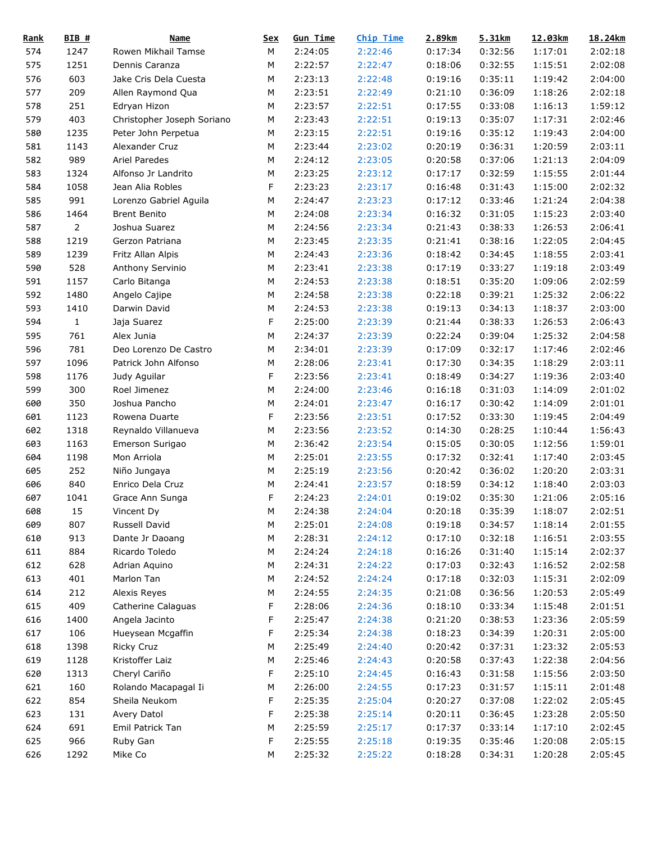| <u>Rank</u> | BIB #          | <b>Name</b>                | <u>Sex</u> | <b>Gun Time</b> | <b>Chip Time</b> | 2.89km  | 5.31km  | 12.03km | 18.24km |
|-------------|----------------|----------------------------|------------|-----------------|------------------|---------|---------|---------|---------|
| 574         | 1247           | Rowen Mikhail Tamse        | М          | 2:24:05         | 2:22:46          | 0:17:34 | 0:32:56 | 1:17:01 | 2:02:18 |
| 575         | 1251           | Dennis Caranza             | М          | 2:22:57         | 2:22:47          | 0:18:06 | 0:32:55 | 1:15:51 | 2:02:08 |
| 576         | 603            | Jake Cris Dela Cuesta      | М          | 2:23:13         | 2:22:48          | 0:19:16 | 0:35:11 | 1:19:42 | 2:04:00 |
| 577         | 209            | Allen Raymond Qua          | М          | 2:23:51         | 2:22:49          | 0:21:10 | 0:36:09 | 1:18:26 | 2:02:18 |
| 578         | 251            | Edryan Hizon               | М          | 2:23:57         | 2:22:51          | 0:17:55 | 0:33:08 | 1:16:13 | 1:59:12 |
| 579         | 403            | Christopher Joseph Soriano | М          | 2:23:43         | 2:22:51          | 0:19:13 | 0:35:07 | 1:17:31 | 2:02:46 |
| 580         | 1235           | Peter John Perpetua        | M          | 2:23:15         | 2:22:51          | 0:19:16 | 0:35:12 | 1:19:43 | 2:04:00 |
| 581         | 1143           | Alexander Cruz             | M          | 2:23:44         | 2:23:02          | 0:20:19 | 0:36:31 | 1:20:59 | 2:03:11 |
| 582         | 989            | Ariel Paredes              | М          | 2:24:12         | 2:23:05          | 0:20:58 | 0:37:06 | 1:21:13 | 2:04:09 |
| 583         | 1324           | Alfonso Jr Landrito        | М          | 2:23:25         | 2:23:12          | 0:17:17 | 0:32:59 | 1:15:55 | 2:01:44 |
| 584         | 1058           | Jean Alia Robles           | F          | 2:23:23         | 2:23:17          | 0:16:48 | 0:31:43 | 1:15:00 | 2:02:32 |
| 585         | 991            | Lorenzo Gabriel Aguila     | М          | 2:24:47         | 2:23:23          | 0:17:12 | 0:33:46 | 1:21:24 | 2:04:38 |
| 586         | 1464           | <b>Brent Benito</b>        | M          | 2:24:08         | 2:23:34          | 0:16:32 | 0:31:05 | 1:15:23 | 2:03:40 |
| 587         | $\overline{2}$ | Joshua Suarez              | М          | 2:24:56         | 2:23:34          | 0:21:43 | 0:38:33 | 1:26:53 | 2:06:41 |
| 588         | 1219           | Gerzon Patriana            | М          | 2:23:45         | 2:23:35          | 0:21:41 | 0:38:16 | 1:22:05 | 2:04:45 |
| 589         | 1239           | Fritz Allan Alpis          | M          | 2:24:43         | 2:23:36          | 0:18:42 | 0:34:45 | 1:18:55 | 2:03:41 |
| 590         | 528            | Anthony Servinio           | M          | 2:23:41         | 2:23:38          | 0:17:19 | 0:33:27 | 1:19:18 | 2:03:49 |
| 591         | 1157           | Carlo Bitanga              | М          | 2:24:53         | 2:23:38          | 0:18:51 | 0:35:20 | 1:09:06 | 2:02:59 |
| 592         | 1480           | Angelo Cajipe              | М          | 2:24:58         | 2:23:38          | 0:22:18 | 0:39:21 | 1:25:32 | 2:06:22 |
| 593         | 1410           | Darwin David               | М          | 2:24:53         | 2:23:38          | 0:19:13 | 0:34:13 | 1:18:37 | 2:03:00 |
| 594         | $\mathbf{1}$   | Jaja Suarez                | F          | 2:25:00         | 2:23:39          | 0:21:44 | 0:38:33 | 1:26:53 | 2:06:43 |
| 595         | 761            | Alex Junia                 | M          | 2:24:37         | 2:23:39          | 0:22:24 | 0:39:04 | 1:25:32 | 2:04:58 |
|             | 781            |                            |            |                 |                  | 0:17:09 |         |         | 2:02:46 |
| 596         |                | Deo Lorenzo De Castro      | М          | 2:34:01         | 2:23:39          |         | 0:32:17 | 1:17:46 |         |
| 597         | 1096           | Patrick John Alfonso       | М          | 2:28:06         | 2:23:41          | 0:17:30 | 0:34:35 | 1:18:29 | 2:03:11 |
| 598         | 1176           | Judy Aguilar               | F          | 2:23:56         | 2:23:41          | 0:18:49 | 0:34:27 | 1:19:36 | 2:03:40 |
| 599         | 300            | Roel Jimenez               | M          | 2:24:00         | 2:23:46          | 0:16:18 | 0:31:03 | 1:14:09 | 2:01:02 |
| 600         | 350            | Joshua Pancho              | М          | 2:24:01         | 2:23:47          | 0:16:17 | 0:30:42 | 1:14:09 | 2:01:01 |
| 601         | 1123           | Rowena Duarte              | F          | 2:23:56         | 2:23:51          | 0:17:52 | 0:33:30 | 1:19:45 | 2:04:49 |
| 602         | 1318           | Reynaldo Villanueva        | М          | 2:23:56         | 2:23:52          | 0:14:30 | 0:28:25 | 1:10:44 | 1:56:43 |
| 603         | 1163           | Emerson Surigao            | М          | 2:36:42         | 2:23:54          | 0:15:05 | 0:30:05 | 1:12:56 | 1:59:01 |
| 604         | 1198           | Mon Arriola                | М          | 2:25:01         | 2:23:55          | 0:17:32 | 0:32:41 | 1:17:40 | 2:03:45 |
| 605         | 252            | Niño Jungaya               | М          | 2:25:19         | 2:23:56          | 0:20:42 | 0:36:02 | 1:20:20 | 2:03:31 |
| 606         | 840            | Enrico Dela Cruz           | M          | 2:24:41         | 2:23:57          | 0:18:59 | 0:34:12 | 1:18:40 | 2:03:03 |
| 607         | 1041           | Grace Ann Sunga            | F          | 2:24:23         | 2:24:01          | 0:19:02 | 0:35:30 | 1:21:06 | 2:05:16 |
| 608         | 15             | Vincent Dy                 | M          | 2:24:38         | 2:24:04          | 0:20:18 | 0:35:39 | 1:18:07 | 2:02:51 |
| 609         | 807            | Russell David              | M          | 2:25:01         | 2:24:08          | 0:19:18 | 0:34:57 | 1:18:14 | 2:01:55 |
| 610         | 913            | Dante Jr Daoang            | M          | 2:28:31         | 2:24:12          | 0:17:10 | 0:32:18 | 1:16:51 | 2:03:55 |
| 611         | 884            | Ricardo Toledo             | М          | 2:24:24         | 2:24:18          | 0:16:26 | 0:31:40 | 1:15:14 | 2:02:37 |
| 612         | 628            | Adrian Aquino              | M          | 2:24:31         | 2:24:22          | 0:17:03 | 0:32:43 | 1:16:52 | 2:02:58 |
| 613         | 401            | Marlon Tan                 | M          | 2:24:52         | 2:24:24          | 0:17:18 | 0:32:03 | 1:15:31 | 2:02:09 |
| 614         | 212            | Alexis Reyes               | М          | 2:24:55         | 2:24:35          | 0:21:08 | 0:36:56 | 1:20:53 | 2:05:49 |
| 615         | 409            | Catherine Calaguas         | F          | 2:28:06         | 2:24:36          | 0:18:10 | 0:33:34 | 1:15:48 | 2:01:51 |
| 616         | 1400           | Angela Jacinto             | F          | 2:25:47         | 2:24:38          | 0:21:20 | 0:38:53 | 1:23:36 | 2:05:59 |
| 617         | 106            | Hueysean Mcgaffin          | F          | 2:25:34         | 2:24:38          | 0:18:23 | 0:34:39 | 1:20:31 | 2:05:00 |
| 618         | 1398           | <b>Ricky Cruz</b>          | M          | 2:25:49         | 2:24:40          | 0:20:42 | 0:37:31 | 1:23:32 | 2:05:53 |
| 619         | 1128           | Kristoffer Laiz            | M          | 2:25:46         | 2:24:43          | 0:20:58 | 0:37:43 | 1:22:38 | 2:04:56 |
| 620         | 1313           | Cheryl Cariño              | F          | 2:25:10         | 2:24:45          | 0:16:43 | 0:31:58 | 1:15:56 | 2:03:50 |
| 621         | 160            | Rolando Macapagal Ii       | M          | 2:26:00         | 2:24:55          | 0:17:23 | 0:31:57 | 1:15:11 | 2:01:48 |
| 622         | 854            | Sheila Neukom              | F          | 2:25:35         | 2:25:04          | 0:20:27 | 0:37:08 | 1:22:02 | 2:05:45 |
| 623         | 131            | Avery Datol                | F          | 2:25:38         | 2:25:14          | 0:20:11 | 0:36:45 | 1:23:28 | 2:05:50 |
| 624         | 691            | Emil Patrick Tan           | М          | 2:25:59         | 2:25:17          | 0:17:37 | 0:33:14 | 1:17:10 | 2:02:45 |
| 625         | 966            | Ruby Gan                   | F          | 2:25:55         | 2:25:18          | 0:19:35 | 0:35:46 | 1:20:08 | 2:05:15 |
| 626         | 1292           | Mike Co                    | М          | 2:25:32         | 2:25:22          | 0:18:28 | 0:34:31 | 1:20:28 | 2:05:45 |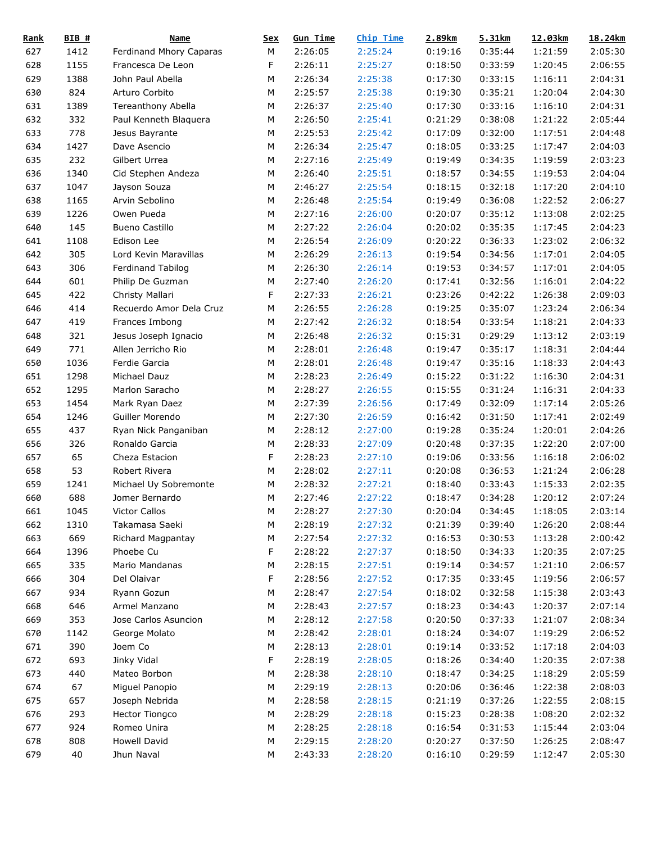| <u>Rank</u> | BIB #        | <b>Name</b>             | <u>Sex</u> | <b>Gun Time</b> | <b>Chip Time</b> | 2.89km  | 5.31km  | 12.03km | 18.24km |
|-------------|--------------|-------------------------|------------|-----------------|------------------|---------|---------|---------|---------|
| 627         | 1412         | Ferdinand Mhory Caparas | М          | 2:26:05         | 2:25:24          | 0:19:16 | 0:35:44 | 1:21:59 | 2:05:30 |
| 628         | 1155         | Francesca De Leon       | F          | 2:26:11         | 2:25:27          | 0:18:50 | 0:33:59 | 1:20:45 | 2:06:55 |
| 629         | 1388         | John Paul Abella        | М          | 2:26:34         | 2:25:38          | 0:17:30 | 0:33:15 | 1:16:11 | 2:04:31 |
| 630         | 824          | Arturo Corbito          | M          | 2:25:57         | 2:25:38          | 0:19:30 | 0:35:21 | 1:20:04 | 2:04:30 |
| 631         | 1389         | Tereanthony Abella      | M          | 2:26:37         | 2:25:40          | 0:17:30 | 0:33:16 | 1:16:10 | 2:04:31 |
| 632         | 332          | Paul Kenneth Blaquera   | М          | 2:26:50         | 2:25:41          | 0:21:29 | 0:38:08 | 1:21:22 | 2:05:44 |
| 633         | 778          | Jesus Bayrante          | M          | 2:25:53         | 2:25:42          | 0:17:09 | 0:32:00 | 1:17:51 | 2:04:48 |
| 634         | 1427         | Dave Asencio            | M          | 2:26:34         | 2:25:47          | 0:18:05 | 0:33:25 | 1:17:47 | 2:04:03 |
| 635         | 232          | Gilbert Urrea           | М          | 2:27:16         | 2:25:49          | 0:19:49 | 0:34:35 | 1:19:59 | 2:03:23 |
| 636         | 1340         | Cid Stephen Andeza      | М          | 2:26:40         | 2:25:51          | 0:18:57 | 0:34:55 | 1:19:53 | 2:04:04 |
| 637         | 1047         | Jayson Souza            | М          | 2:46:27         | 2:25:54          | 0:18:15 | 0:32:18 | 1:17:20 | 2:04:10 |
| 638         | 1165         | Arvin Sebolino          | М          | 2:26:48         | 2:25:54          | 0:19:49 | 0:36:08 | 1:22:52 | 2:06:27 |
| 639         | 1226         | Owen Pueda              | М          | 2:27:16         | 2:26:00          | 0:20:07 | 0:35:12 | 1:13:08 | 2:02:25 |
| 640         | 145          | <b>Bueno Castillo</b>   | М          | 2:27:22         | 2:26:04          | 0:20:02 | 0:35:35 | 1:17:45 | 2:04:23 |
| 641         | 1108         | Edison Lee              | M          | 2:26:54         | 2:26:09          | 0:20:22 | 0:36:33 | 1:23:02 | 2:06:32 |
| 642         | 305          | Lord Kevin Maravillas   | M          | 2:26:29         | 2:26:13          | 0:19:54 | 0:34:56 | 1:17:01 | 2:04:05 |
| 643         | 306          | Ferdinand Tabilog       | M          | 2:26:30         | 2:26:14          | 0:19:53 | 0:34:57 | 1:17:01 | 2:04:05 |
| 644         | 601          | Philip De Guzman        | М          | 2:27:40         | 2:26:20          | 0:17:41 | 0:32:56 | 1:16:01 | 2:04:22 |
| 645         | 422          | Christy Mallari         | F          | 2:27:33         | 2:26:21          | 0:23:26 | 0:42:22 | 1:26:38 | 2:09:03 |
| 646         | 414          | Recuerdo Amor Dela Cruz | М          | 2:26:55         | 2:26:28          | 0:19:25 | 0:35:07 | 1:23:24 | 2:06:34 |
| 647         | 419          | Frances Imbong          | M          | 2:27:42         | 2:26:32          | 0:18:54 | 0:33:54 | 1:18:21 | 2:04:33 |
| 648         | 321          | Jesus Joseph Ignacio    | M          | 2:26:48         | 2:26:32          | 0:15:31 | 0:29:29 | 1:13:12 | 2:03:19 |
| 649         | 771          | Allen Jerricho Rio      | М          | 2:28:01         | 2:26:48          | 0:19:47 | 0:35:17 | 1:18:31 | 2:04:44 |
| 650         | 1036         | Ferdie Garcia           | М          | 2:28:01         | 2:26:48          | 0:19:47 | 0:35:16 | 1:18:33 | 2:04:43 |
| 651         | 1298         | Michael Dauz            | М          | 2:28:23         | 2:26:49          | 0:15:22 | 0:31:22 |         | 2:04:31 |
|             |              |                         |            |                 |                  |         |         | 1:16:30 |         |
| 652         | 1295<br>1454 | Marlon Saracho          | М          | 2:28:27         | 2:26:55          | 0:15:55 | 0:31:24 | 1:16:31 | 2:04:33 |
| 653         |              | Mark Ryan Daez          | М          | 2:27:39         | 2:26:56          | 0:17:49 | 0:32:09 | 1:17:14 | 2:05:26 |
| 654         | 1246         | Guiller Morendo         | М          | 2:27:30         | 2:26:59          | 0:16:42 | 0:31:50 | 1:17:41 | 2:02:49 |
| 655         | 437          | Ryan Nick Panganiban    | М          | 2:28:12         | 2:27:00          | 0:19:28 | 0:35:24 | 1:20:01 | 2:04:26 |
| 656         | 326          | Ronaldo Garcia          | M          | 2:28:33         | 2:27:09          | 0:20:48 | 0:37:35 | 1:22:20 | 2:07:00 |
| 657         | 65           | Cheza Estacion          | F          | 2:28:23         | 2:27:10          | 0:19:06 | 0:33:56 | 1:16:18 | 2:06:02 |
| 658         | 53           | Robert Rivera           | М          | 2:28:02         | 2:27:11          | 0:20:08 | 0:36:53 | 1:21:24 | 2:06:28 |
| 659         | 1241         | Michael Uy Sobremonte   | M          | 2:28:32         | 2:27:21          | 0:18:40 | 0:33:43 | 1:15:33 | 2:02:35 |
| 660         | 688          | Jomer Bernardo          | M          | 2:27:46         | 2:27:22          | 0:18:47 | 0:34:28 | 1:20:12 | 2:07:24 |
| 661         | 1045         | <b>Victor Callos</b>    | M          | 2:28:27         | 2:27:30          | 0:20:04 | 0:34:45 | 1:18:05 | 2:03:14 |
| 662         | 1310         | Takamasa Saeki          | M          | 2:28:19         | 2:27:32          | 0:21:39 | 0:39:40 | 1:26:20 | 2:08:44 |
| 663         | 669          | Richard Magpantay       | M          | 2:27:54         | 2:27:32          | 0:16:53 | 0:30:53 | 1:13:28 | 2:00:42 |
| 664         | 1396         | Phoebe Cu               | F          | 2:28:22         | 2:27:37          | 0:18:50 | 0:34:33 | 1:20:35 | 2:07:25 |
| 665         | 335          | Mario Mandanas          | M          | 2:28:15         | 2:27:51          | 0:19:14 | 0:34:57 | 1:21:10 | 2:06:57 |
| 666         | 304          | Del Olaivar             | F          | 2:28:56         | 2:27:52          | 0:17:35 | 0:33:45 | 1:19:56 | 2:06:57 |
| 667         | 934          | Ryann Gozun             | М          | 2:28:47         | 2:27:54          | 0:18:02 | 0:32:58 | 1:15:38 | 2:03:43 |
| 668         | 646          | Armel Manzano           | M          | 2:28:43         | 2:27:57          | 0:18:23 | 0:34:43 | 1:20:37 | 2:07:14 |
| 669         | 353          | Jose Carlos Asuncion    | М          | 2:28:12         | 2:27:58          | 0:20:50 | 0:37:33 | 1:21:07 | 2:08:34 |
| 670         | 1142         | George Molato           | M          | 2:28:42         | 2:28:01          | 0:18:24 | 0:34:07 | 1:19:29 | 2:06:52 |
| 671         | 390          | Joem Co                 | M          | 2:28:13         | 2:28:01          | 0:19:14 | 0:33:52 | 1:17:18 | 2:04:03 |
| 672         | 693          | Jinky Vidal             | F          | 2:28:19         | 2:28:05          | 0:18:26 | 0:34:40 | 1:20:35 | 2:07:38 |
| 673         | 440          | Mateo Borbon            | M          | 2:28:38         | 2:28:10          | 0:18:47 | 0:34:25 | 1:18:29 | 2:05:59 |
| 674         | 67           | Miguel Panopio          | M          | 2:29:19         | 2:28:13          | 0:20:06 | 0:36:46 | 1:22:38 | 2:08:03 |
| 675         | 657          | Joseph Nebrida          | M          | 2:28:58         | 2:28:15          | 0:21:19 | 0:37:26 | 1:22:55 | 2:08:15 |
| 676         | 293          | Hector Tiongco          | M          | 2:28:29         | 2:28:18          | 0:15:23 | 0:28:38 | 1:08:20 | 2:02:32 |
| 677         | 924          | Romeo Unira             | M          | 2:28:25         | 2:28:18          | 0:16:54 | 0:31:53 | 1:15:44 | 2:03:04 |
| 678         | 808          | Howell David            | M          | 2:29:15         | 2:28:20          | 0:20:27 | 0:37:50 | 1:26:25 | 2:08:47 |
| 679         | 40           | Jhun Naval              | М          | 2:43:33         | 2:28:20          | 0:16:10 | 0:29:59 | 1:12:47 | 2:05:30 |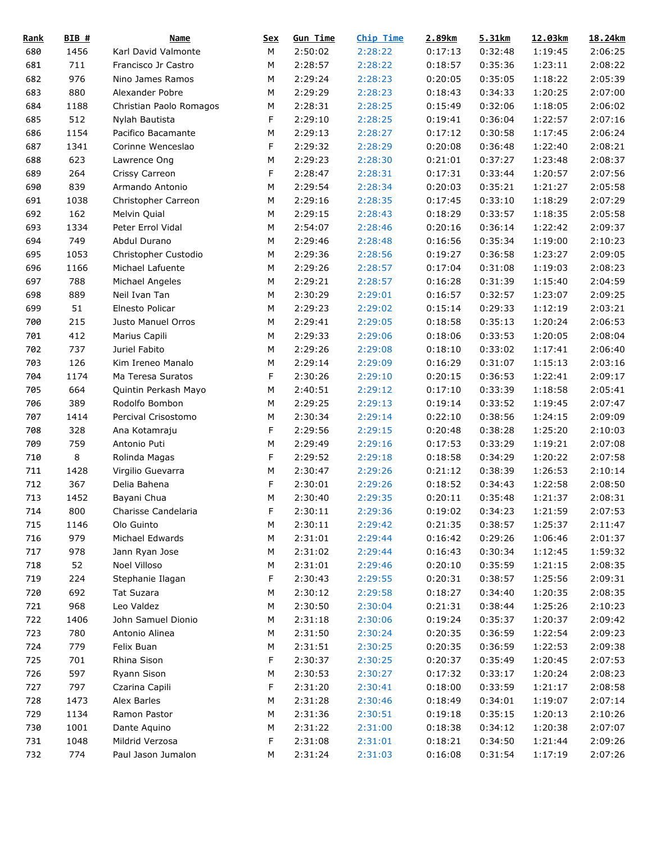| <b>Rank</b> | BIB # | <b>Name</b>             | <u>Sex</u> | <b>Gun Time</b> | <b>Chip Time</b> | 2.89km  | 5.31km  | 12.03km | 18.24km |
|-------------|-------|-------------------------|------------|-----------------|------------------|---------|---------|---------|---------|
| 680         | 1456  | Karl David Valmonte     | М          | 2:50:02         | 2:28:22          | 0:17:13 | 0:32:48 | 1:19:45 | 2:06:25 |
| 681         | 711   | Francisco Jr Castro     | М          | 2:28:57         | 2:28:22          | 0:18:57 | 0:35:36 | 1:23:11 | 2:08:22 |
| 682         | 976   | Nino James Ramos        | M          | 2:29:24         | 2:28:23          | 0:20:05 | 0:35:05 | 1:18:22 | 2:05:39 |
| 683         | 880   | Alexander Pobre         | M          | 2:29:29         | 2:28:23          | 0:18:43 | 0:34:33 | 1:20:25 | 2:07:00 |
| 684         | 1188  | Christian Paolo Romagos | M          | 2:28:31         | 2:28:25          | 0:15:49 | 0:32:06 | 1:18:05 | 2:06:02 |
| 685         | 512   | Nylah Bautista          | F          | 2:29:10         | 2:28:25          | 0:19:41 | 0:36:04 | 1:22:57 | 2:07:16 |
| 686         | 1154  | Pacifico Bacamante      | M          | 2:29:13         | 2:28:27          | 0:17:12 | 0:30:58 | 1:17:45 | 2:06:24 |
| 687         | 1341  | Corinne Wenceslao       | F          | 2:29:32         | 2:28:29          | 0:20:08 | 0:36:48 | 1:22:40 | 2:08:21 |
| 688         | 623   | Lawrence Ong            | М          | 2:29:23         | 2:28:30          | 0:21:01 | 0:37:27 | 1:23:48 | 2:08:37 |
| 689         | 264   | Crissy Carreon          | F          | 2:28:47         | 2:28:31          | 0:17:31 | 0:33:44 | 1:20:57 | 2:07:56 |
| 690         | 839   | Armando Antonio         | М          | 2:29:54         | 2:28:34          | 0:20:03 | 0:35:21 | 1:21:27 | 2:05:58 |
| 691         | 1038  | Christopher Carreon     | М          | 2:29:16         | 2:28:35          | 0:17:45 | 0:33:10 | 1:18:29 | 2:07:29 |
| 692         | 162   | Melvin Quial            | M          | 2:29:15         | 2:28:43          | 0:18:29 | 0:33:57 | 1:18:35 | 2:05:58 |
| 693         | 1334  | Peter Errol Vidal       | М          | 2:54:07         | 2:28:46          | 0:20:16 | 0:36:14 | 1:22:42 | 2:09:37 |
| 694         | 749   | Abdul Durano            | M          | 2:29:46         | 2:28:48          | 0:16:56 | 0:35:34 | 1:19:00 | 2:10:23 |
| 695         | 1053  | Christopher Custodio    | M          | 2:29:36         | 2:28:56          | 0:19:27 | 0:36:58 | 1:23:27 | 2:09:05 |
| 696         | 1166  | Michael Lafuente        | М          | 2:29:26         | 2:28:57          | 0:17:04 | 0:31:08 | 1:19:03 | 2:08:23 |
| 697         | 788   | Michael Angeles         | М          | 2:29:21         | 2:28:57          | 0:16:28 | 0:31:39 | 1:15:40 | 2:04:59 |
| 698         | 889   | Neil Ivan Tan           | М          | 2:30:29         | 2:29:01          | 0:16:57 | 0:32:57 | 1:23:07 | 2:09:25 |
| 699         | 51    | Elnesto Policar         | M          | 2:29:23         | 2:29:02          | 0:15:14 | 0:29:33 | 1:12:19 | 2:03:21 |
| 700         | 215   | Justo Manuel Orros      | M          | 2:29:41         | 2:29:05          | 0:18:58 | 0:35:13 | 1:20:24 | 2:06:53 |
|             | 412   |                         | M          |                 |                  |         | 0:33:53 |         | 2:08:04 |
| 701         |       | Marius Capili           |            | 2:29:33         | 2:29:06          | 0:18:06 |         | 1:20:05 |         |
| 702         | 737   | Juriel Fabito           | M          | 2:29:26         | 2:29:08          | 0:18:10 | 0:33:02 | 1:17:41 | 2:06:40 |
| 703         | 126   | Kim Ireneo Manalo       | M          | 2:29:14         | 2:29:09          | 0:16:29 | 0:31:07 | 1:15:13 | 2:03:16 |
| 704         | 1174  | Ma Teresa Suratos       | F          | 2:30:26         | 2:29:10          | 0:20:15 | 0:36:53 | 1:22:41 | 2:09:17 |
| 705         | 664   | Quintin Perkash Mayo    | М          | 2:40:51         | 2:29:12          | 0:17:10 | 0:33:39 | 1:18:58 | 2:05:41 |
| 706         | 389   | Rodolfo Bombon          | М          | 2:29:25         | 2:29:13          | 0:19:14 | 0:33:52 | 1:19:45 | 2:07:47 |
| 707         | 1414  | Percival Crisostomo     | М          | 2:30:34         | 2:29:14          | 0:22:10 | 0:38:56 | 1:24:15 | 2:09:09 |
| 708         | 328   | Ana Kotamraju           | F          | 2:29:56         | 2:29:15          | 0:20:48 | 0:38:28 | 1:25:20 | 2:10:03 |
| 709         | 759   | Antonio Puti            | M          | 2:29:49         | 2:29:16          | 0:17:53 | 0:33:29 | 1:19:21 | 2:07:08 |
| 710         | 8     | Rolinda Magas           | F          | 2:29:52         | 2:29:18          | 0:18:58 | 0:34:29 | 1:20:22 | 2:07:58 |
| 711         | 1428  | Virgilio Guevarra       | M          | 2:30:47         | 2:29:26          | 0:21:12 | 0:38:39 | 1:26:53 | 2:10:14 |
| 712         | 367   | Delia Bahena            | F          | 2:30:01         | 2:29:26          | 0:18:52 | 0:34:43 | 1:22:58 | 2:08:50 |
| 713         | 1452  | Bayani Chua             | M          | 2:30:40         | 2:29:35          | 0:20:11 | 0:35:48 | 1:21:37 | 2:08:31 |
| 714         | 800   | Charisse Candelaria     | F          | 2:30:11         | 2:29:36          | 0:19:02 | 0:34:23 | 1:21:59 | 2:07:53 |
| 715         | 1146  | Olo Guinto              | M          | 2:30:11         | 2:29:42          | 0:21:35 | 0:38:57 | 1:25:37 | 2:11:47 |
| 716         | 979   | Michael Edwards         | M          | 2:31:01         | 2:29:44          | 0:16:42 | 0:29:26 | 1:06:46 | 2:01:37 |
| 717         | 978   | Jann Ryan Jose          | M          | 2:31:02         | 2:29:44          | 0:16:43 | 0:30:34 | 1:12:45 | 1:59:32 |
| 718         | 52    | Noel Villoso            | M          | 2:31:01         | 2:29:46          | 0:20:10 | 0:35:59 | 1:21:15 | 2:08:35 |
| 719         | 224   | Stephanie Ilagan        | F          | 2:30:43         | 2:29:55          | 0:20:31 | 0:38:57 | 1:25:56 | 2:09:31 |
| 720         | 692   | <b>Tat Suzara</b>       | М          | 2:30:12         | 2:29:58          | 0:18:27 | 0:34:40 | 1:20:35 | 2:08:35 |
| 721         | 968   | Leo Valdez              | М          | 2:30:50         | 2:30:04          | 0:21:31 | 0:38:44 | 1:25:26 | 2:10:23 |
| 722         | 1406  | John Samuel Dionio      | M          | 2:31:18         | 2:30:06          | 0:19:24 | 0:35:37 | 1:20:37 | 2:09:42 |
| 723         | 780   | Antonio Alinea          | M          | 2:31:50         | 2:30:24          | 0:20:35 | 0:36:59 | 1:22:54 | 2:09:23 |
| 724         | 779   | Felix Buan              | M          | 2:31:51         | 2:30:25          | 0:20:35 | 0:36:59 | 1:22:53 | 2:09:38 |
| 725         | 701   | Rhina Sison             | F          | 2:30:37         | 2:30:25          | 0:20:37 | 0:35:49 | 1:20:45 | 2:07:53 |
| 726         | 597   | Ryann Sison             | M          | 2:30:53         | 2:30:27          | 0:17:32 | 0:33:17 | 1:20:24 | 2:08:23 |
| 727         | 797   | Czarina Capili          | F          | 2:31:20         | 2:30:41          | 0:18:00 | 0:33:59 | 1:21:17 | 2:08:58 |
| 728         | 1473  | Alex Barles             | M          | 2:31:28         | 2:30:46          | 0:18:49 | 0:34:01 | 1:19:07 | 2:07:14 |
| 729         | 1134  | Ramon Pastor            | М          | 2:31:36         | 2:30:51          | 0:19:18 | 0:35:15 | 1:20:13 | 2:10:26 |
| 730         | 1001  | Dante Aquino            | М          | 2:31:22         | 2:31:00          | 0:18:38 | 0:34:12 | 1:20:38 | 2:07:07 |
| 731         | 1048  | Mildrid Verzosa         | F          | 2:31:08         | 2:31:01          | 0:18:21 | 0:34:50 | 1:21:44 | 2:09:26 |
| 732         | 774   | Paul Jason Jumalon      | М          | 2:31:24         | 2:31:03          | 0:16:08 | 0:31:54 | 1:17:19 | 2:07:26 |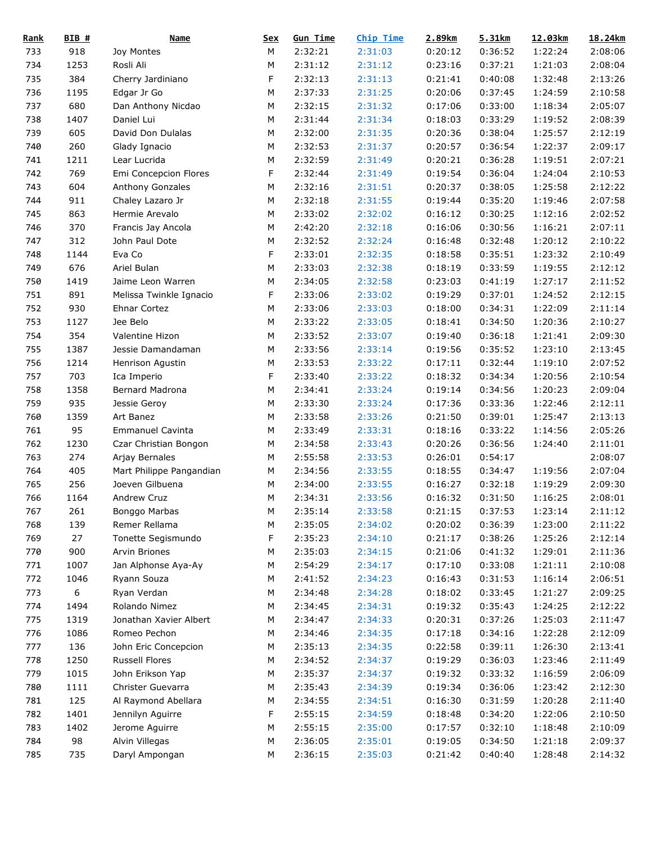| <b>Rank</b> | $BIB$ # | <b>Name</b>              | <u>Sex</u> | <b>Gun Time</b> | <b>Chip Time</b> | 2.89km  | 5.31km  | 12.03km | 18.24km |
|-------------|---------|--------------------------|------------|-----------------|------------------|---------|---------|---------|---------|
| 733         | 918     | Joy Montes               | M          | 2:32:21         | 2:31:03          | 0:20:12 | 0:36:52 | 1:22:24 | 2:08:06 |
| 734         | 1253    | Rosli Ali                | М          | 2:31:12         | 2:31:12          | 0:23:16 | 0:37:21 | 1:21:03 | 2:08:04 |
| 735         | 384     | Cherry Jardiniano        | F          | 2:32:13         | 2:31:13          | 0:21:41 | 0:40:08 | 1:32:48 | 2:13:26 |
| 736         | 1195    | Edgar Jr Go              | М          | 2:37:33         | 2:31:25          | 0:20:06 | 0:37:45 | 1:24:59 | 2:10:58 |
| 737         | 680     | Dan Anthony Nicdao       | M          | 2:32:15         | 2:31:32          | 0:17:06 | 0:33:00 | 1:18:34 | 2:05:07 |
| 738         | 1407    | Daniel Lui               | M          | 2:31:44         | 2:31:34          | 0:18:03 | 0:33:29 | 1:19:52 | 2:08:39 |
| 739         | 605     | David Don Dulalas        | M          | 2:32:00         | 2:31:35          | 0:20:36 | 0:38:04 | 1:25:57 | 2:12:19 |
| 740         | 260     | Glady Ignacio            | M          | 2:32:53         | 2:31:37          | 0:20:57 | 0:36:54 | 1:22:37 | 2:09:17 |
| 741         | 1211    | Lear Lucrida             | ${\sf M}$  | 2:32:59         | 2:31:49          | 0:20:21 | 0:36:28 | 1:19:51 | 2:07:21 |
| 742         | 769     | Emi Concepcion Flores    | F          | 2:32:44         | 2:31:49          | 0:19:54 | 0:36:04 | 1:24:04 | 2:10:53 |
| 743         | 604     | Anthony Gonzales         | М          | 2:32:16         | 2:31:51          | 0:20:37 | 0:38:05 | 1:25:58 | 2:12:22 |
| 744         | 911     | Chaley Lazaro Jr         | М          | 2:32:18         | 2:31:55          | 0:19:44 | 0:35:20 | 1:19:46 | 2:07:58 |
| 745         | 863     | Hermie Arevalo           | М          | 2:33:02         | 2:32:02          | 0:16:12 | 0:30:25 | 1:12:16 | 2:02:52 |
| 746         | 370     | Francis Jay Ancola       | М          | 2:42:20         | 2:32:18          | 0:16:06 | 0:30:56 | 1:16:21 | 2:07:11 |
| 747         | 312     | John Paul Dote           | М          | 2:32:52         | 2:32:24          | 0:16:48 | 0:32:48 | 1:20:12 | 2:10:22 |
| 748         | 1144    | Eva Co                   | F          | 2:33:01         | 2:32:35          | 0:18:58 | 0:35:51 | 1:23:32 | 2:10:49 |
| 749         | 676     | Ariel Bulan              | M          | 2:33:03         | 2:32:38          | 0:18:19 | 0:33:59 | 1:19:55 | 2:12:12 |
| 750         | 1419    | Jaime Leon Warren        | М          | 2:34:05         | 2:32:58          | 0:23:03 | 0:41:19 | 1:27:17 | 2:11:52 |
| 751         | 891     | Melissa Twinkle Ignacio  | F          | 2:33:06         | 2:33:02          | 0:19:29 | 0:37:01 | 1:24:52 | 2:12:15 |
| 752         | 930     | Ehnar Cortez             | М          | 2:33:06         | 2:33:03          | 0:18:00 | 0:34:31 | 1:22:09 | 2:11:14 |
| 753         | 1127    | Jee Belo                 | M          | 2:33:22         | 2:33:05          | 0:18:41 | 0:34:50 | 1:20:36 | 2:10:27 |
| 754         | 354     | Valentine Hizon          | M          | 2:33:52         | 2:33:07          | 0:19:40 | 0:36:18 | 1:21:41 | 2:09:30 |
|             | 1387    | Jessie Damandaman        |            | 2:33:56         |                  |         |         |         | 2:13:45 |
| 755         |         |                          | М          |                 | 2:33:14          | 0:19:56 | 0:35:52 | 1:23:10 |         |
| 756         | 1214    | Henrison Agustin         | М          | 2:33:53         | 2:33:22          | 0:17:11 | 0:32:44 | 1:19:10 | 2:07:52 |
| 757         | 703     | Ica Imperio              | F          | 2:33:40         | 2:33:22          | 0:18:32 | 0:34:34 | 1:20:56 | 2:10:54 |
| 758         | 1358    | Bernard Madrona          | ${\sf M}$  | 2:34:41         | 2:33:24          | 0:19:14 | 0:34:56 | 1:20:23 | 2:09:04 |
| 759         | 935     | Jessie Geroy             | М          | 2:33:30         | 2:33:24          | 0:17:36 | 0:33:36 | 1:22:46 | 2:12:11 |
| 760         | 1359    | Art Banez                | М          | 2:33:58         | 2:33:26          | 0:21:50 | 0:39:01 | 1:25:47 | 2:13:13 |
| 761         | 95      | <b>Emmanuel Cavinta</b>  | М          | 2:33:49         | 2:33:31          | 0:18:16 | 0:33:22 | 1:14:56 | 2:05:26 |
| 762         | 1230    | Czar Christian Bongon    | М          | 2:34:58         | 2:33:43          | 0:20:26 | 0:36:56 | 1:24:40 | 2:11:01 |
| 763         | 274     | Arjay Bernales           | М          | 2:55:58         | 2:33:53          | 0:26:01 | 0:54:17 |         | 2:08:07 |
| 764         | 405     | Mart Philippe Pangandian | М          | 2:34:56         | 2:33:55          | 0:18:55 | 0:34:47 | 1:19:56 | 2:07:04 |
| 765         | 256     | Joeven Gilbuena          | M          | 2:34:00         | 2:33:55          | 0:16:27 | 0:32:18 | 1:19:29 | 2:09:30 |
| 766         | 1164    | Andrew Cruz              | M          | 2:34:31         | 2:33:56          | 0:16:32 | 0:31:50 | 1:16:25 | 2:08:01 |
| 767         | 261     | Bonggo Marbas            | ${\sf M}$  | 2:35:14         | 2:33:58          | 0:21:15 | 0:37:53 | 1:23:14 | 2:11:12 |
| 768         | 139     | Remer Rellama            | M          | 2:35:05         | 2:34:02          | 0:20:02 | 0:36:39 | 1:23:00 | 2:11:22 |
| 769         | 27      | Tonette Segismundo       | F          | 2:35:23         | 2:34:10          | 0:21:17 | 0:38:26 | 1:25:26 | 2:12:14 |
| 770         | 900     | Arvin Briones            | M          | 2:35:03         | 2:34:15          | 0:21:06 | 0:41:32 | 1:29:01 | 2:11:36 |
| 771         | 1007    | Jan Alphonse Aya-Ay      | M          | 2:54:29         | 2:34:17          | 0:17:10 | 0:33:08 | 1:21:11 | 2:10:08 |
| 772         | 1046    | Ryann Souza              | M          | 2:41:52         | 2:34:23          | 0:16:43 | 0:31:53 | 1:16:14 | 2:06:51 |
| 773         | 6       | Ryan Verdan              | М          | 2:34:48         | 2:34:28          | 0:18:02 | 0:33:45 | 1:21:27 | 2:09:25 |
| 774         | 1494    | Rolando Nimez            | М          | 2:34:45         | 2:34:31          | 0:19:32 | 0:35:43 | 1:24:25 | 2:12:22 |
| 775         | 1319    | Jonathan Xavier Albert   | М          | 2:34:47         | 2:34:33          | 0:20:31 | 0:37:26 | 1:25:03 | 2:11:47 |
| 776         | 1086    | Romeo Pechon             | M          | 2:34:46         | 2:34:35          | 0:17:18 | 0:34:16 | 1:22:28 | 2:12:09 |
| 777         | 136     | John Eric Concepcion     | M          | 2:35:13         | 2:34:35          | 0:22:58 | 0:39:11 | 1:26:30 | 2:13:41 |
| 778         | 1250    | Russell Flores           | M          | 2:34:52         | 2:34:37          | 0:19:29 | 0:36:03 | 1:23:46 | 2:11:49 |
| 779         | 1015    | John Erikson Yap         | M          | 2:35:37         | 2:34:37          | 0:19:32 | 0:33:32 | 1:16:59 | 2:06:09 |
| 780         | 1111    | Christer Guevarra        | M          | 2:35:43         | 2:34:39          | 0:19:34 | 0:36:06 | 1:23:42 | 2:12:30 |
| 781         | 125     | Al Raymond Abellara      | M          | 2:34:55         | 2:34:51          | 0:16:30 | 0:31:59 | 1:20:28 | 2:11:40 |
| 782         | 1401    | Jennilyn Aguirre         | F          | 2:55:15         | 2:34:59          | 0:18:48 | 0:34:20 | 1:22:06 | 2:10:50 |
| 783         | 1402    | Jerome Aguirre           | М          | 2:55:15         | 2:35:00          | 0:17:57 | 0:32:10 | 1:18:48 | 2:10:09 |
| 784         | 98      | Alvin Villegas           | M          | 2:36:05         | 2:35:01          | 0:19:05 | 0:34:50 | 1:21:18 | 2:09:37 |
| 785         | 735     | Daryl Ampongan           | М          | 2:36:15         | 2:35:03          | 0:21:42 | 0:40:40 | 1:28:48 | 2:14:32 |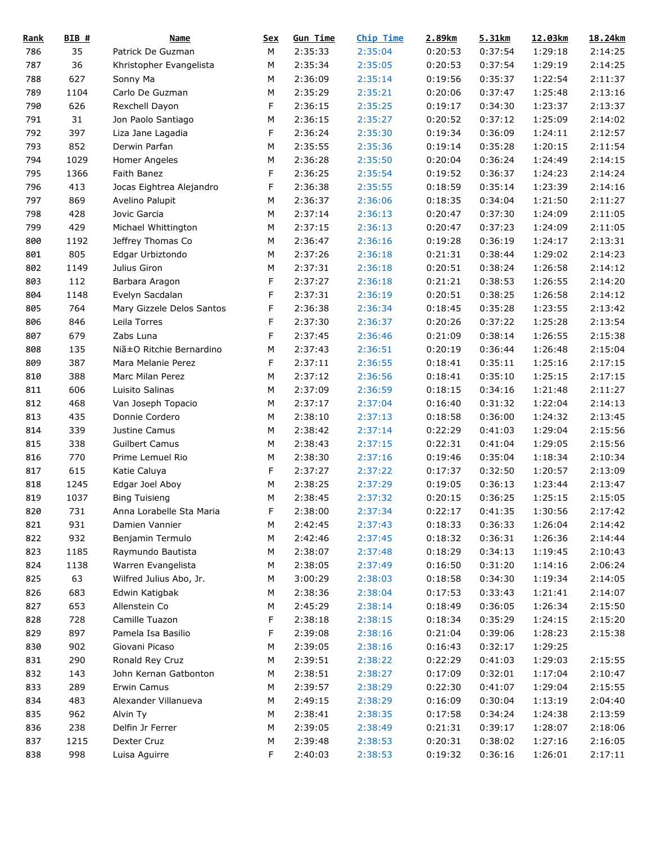| <u>Rank</u> | $BIB$ # | <b>Name</b>               | <u>Sex</u> | <b>Gun Time</b> | <b>Chip Time</b> | 2.89km  | 5.31km  | 12.03km | 18.24km |
|-------------|---------|---------------------------|------------|-----------------|------------------|---------|---------|---------|---------|
| 786         | 35      | Patrick De Guzman         | М          | 2:35:33         | 2:35:04          | 0:20:53 | 0:37:54 | 1:29:18 | 2:14:25 |
| 787         | 36      | Khristopher Evangelista   | М          | 2:35:34         | 2:35:05          | 0:20:53 | 0:37:54 | 1:29:19 | 2:14:25 |
| 788         | 627     | Sonny Ma                  | М          | 2:36:09         | 2:35:14          | 0:19:56 | 0:35:37 | 1:22:54 | 2:11:37 |
| 789         | 1104    | Carlo De Guzman           | M          | 2:35:29         | 2:35:21          | 0:20:06 | 0:37:47 | 1:25:48 | 2:13:16 |
| 790         | 626     | Rexchell Dayon            | F          | 2:36:15         | 2:35:25          | 0:19:17 | 0:34:30 | 1:23:37 | 2:13:37 |
| 791         | 31      | Jon Paolo Santiago        | М          | 2:36:15         | 2:35:27          | 0:20:52 | 0:37:12 | 1:25:09 | 2:14:02 |
| 792         | 397     | Liza Jane Lagadia         | F          | 2:36:24         | 2:35:30          | 0:19:34 | 0:36:09 | 1:24:11 | 2:12:57 |
| 793         | 852     | Derwin Parfan             | M          | 2:35:55         | 2:35:36          | 0:19:14 | 0:35:28 | 1:20:15 | 2:11:54 |
| 794         | 1029    | Homer Angeles             | М          | 2:36:28         | 2:35:50          | 0:20:04 | 0:36:24 | 1:24:49 | 2:14:15 |
| 795         | 1366    | Faith Banez               | F          | 2:36:25         | 2:35:54          | 0:19:52 | 0:36:37 | 1:24:23 | 2:14:24 |
| 796         | 413     | Jocas Eightrea Alejandro  | F          | 2:36:38         | 2:35:55          | 0:18:59 | 0:35:14 | 1:23:39 | 2:14:16 |
| 797         | 869     | Avelino Palupit           | М          | 2:36:37         | 2:36:06          | 0:18:35 | 0:34:04 | 1:21:50 | 2:11:27 |
| 798         | 428     | Jovic Garcia              | M          | 2:37:14         | 2:36:13          | 0:20:47 | 0:37:30 | 1:24:09 | 2:11:05 |
| 799         | 429     | Michael Whittington       | М          | 2:37:15         | 2:36:13          | 0:20:47 | 0:37:23 | 1:24:09 | 2:11:05 |
| 800         | 1192    | Jeffrey Thomas Co         | M          | 2:36:47         | 2:36:16          | 0:19:28 | 0:36:19 | 1:24:17 | 2:13:31 |
| 801         | 805     | Edgar Urbiztondo          | M          | 2:37:26         | 2:36:18          | 0:21:31 | 0:38:44 | 1:29:02 | 2:14:23 |
| 802         | 1149    | Julius Giron              | M          | 2:37:31         | 2:36:18          | 0:20:51 | 0:38:24 | 1:26:58 | 2:14:12 |
| 803         | 112     | Barbara Aragon            | F          | 2:37:27         | 2:36:18          | 0:21:21 | 0:38:53 | 1:26:55 | 2:14:20 |
| 804         | 1148    | Evelyn Sacdalan           | F          | 2:37:31         | 2:36:19          | 0:20:51 | 0:38:25 | 1:26:58 | 2:14:12 |
| 805         | 764     | Mary Gizzele Delos Santos | F          | 2:36:38         | 2:36:34          | 0:18:45 | 0:35:28 | 1:23:55 | 2:13:42 |
| 806         | 846     | Leila Torres              | F          | 2:37:30         | 2:36:37          | 0:20:26 | 0:37:22 | 1:25:28 | 2:13:54 |
| 807         | 679     | Zabs Luna                 | F          | 2:37:45         | 2:36:46          | 0:21:09 | 0:38:14 | 1:26:55 | 2:15:38 |
|             | 135     |                           |            |                 |                  | 0:20:19 |         |         | 2:15:04 |
| 808         |         | Niã±O Ritchie Bernardino  | М          | 2:37:43         | 2:36:51          |         | 0:36:44 | 1:26:48 |         |
| 809         | 387     | Mara Melanie Perez        | F          | 2:37:11         | 2:36:55          | 0:18:41 | 0:35:11 | 1:25:16 | 2:17:15 |
| 810         | 388     | Marc Milan Perez          | M          | 2:37:12         | 2:36:56          | 0:18:41 | 0:35:10 | 1:25:15 | 2:17:15 |
| 811         | 606     | Luisito Salinas           | M          | 2:37:09         | 2:36:59          | 0:18:15 | 0:34:16 | 1:21:48 | 2:11:27 |
| 812         | 468     | Van Joseph Topacio        | М          | 2:37:17         | 2:37:04          | 0:16:40 | 0:31:32 | 1:22:04 | 2:14:13 |
| 813         | 435     | Donnie Cordero            | М          | 2:38:10         | 2:37:13          | 0:18:58 | 0:36:00 | 1:24:32 | 2:13:45 |
| 814         | 339     | Justine Camus             | M          | 2:38:42         | 2:37:14          | 0:22:29 | 0:41:03 | 1:29:04 | 2:15:56 |
| 815         | 338     | <b>Guilbert Camus</b>     | M          | 2:38:43         | 2:37:15          | 0:22:31 | 0:41:04 | 1:29:05 | 2:15:56 |
| 816         | 770     | Prime Lemuel Rio          | М          | 2:38:30         | 2:37:16          | 0:19:46 | 0:35:04 | 1:18:34 | 2:10:34 |
| 817         | 615     | Katie Caluya              | F          | 2:37:27         | 2:37:22          | 0:17:37 | 0:32:50 | 1:20:57 | 2:13:09 |
| 818         | 1245    | Edgar Joel Aboy           | M          | 2:38:25         | 2:37:29          | 0:19:05 | 0:36:13 | 1:23:44 | 2:13:47 |
| 819         | 1037    | <b>Bing Tuisieng</b>      | M          | 2:38:45         | 2:37:32          | 0:20:15 | 0:36:25 | 1:25:15 | 2:15:05 |
| 820         | 731     | Anna Lorabelle Sta Maria  | F.         | 2:38:00         | 2:37:34          | 0:22:17 | 0:41:35 | 1:30:56 | 2:17:42 |
| 821         | 931     | Damien Vannier            | М          | 2:42:45         | 2:37:43          | 0:18:33 | 0:36:33 | 1:26:04 | 2:14:42 |
| 822         | 932     | Benjamin Termulo          | M          | 2:42:46         | 2:37:45          | 0:18:32 | 0:36:31 | 1:26:36 | 2:14:44 |
| 823         | 1185    | Raymundo Bautista         | M          | 2:38:07         | 2:37:48          | 0:18:29 | 0:34:13 | 1:19:45 | 2:10:43 |
| 824         | 1138    | Warren Evangelista        | M          | 2:38:05         | 2:37:49          | 0:16:50 | 0:31:20 | 1:14:16 | 2:06:24 |
| 825         | 63      | Wilfred Julius Abo, Jr.   | M          | 3:00:29         | 2:38:03          | 0:18:58 | 0:34:30 | 1:19:34 | 2:14:05 |
| 826         | 683     | Edwin Katigbak            | М          | 2:38:36         | 2:38:04          | 0:17:53 | 0:33:43 | 1:21:41 | 2:14:07 |
| 827         | 653     | Allenstein Co             | M          | 2:45:29         | 2:38:14          | 0:18:49 | 0:36:05 | 1:26:34 | 2:15:50 |
| 828         | 728     | Camille Tuazon            | F          | 2:38:18         | 2:38:15          | 0:18:34 | 0:35:29 | 1:24:15 | 2:15:20 |
| 829         | 897     | Pamela Isa Basilio        | F          | 2:39:08         | 2:38:16          | 0:21:04 | 0:39:06 | 1:28:23 | 2:15:38 |
| 830         | 902     | Giovani Picaso            | M          | 2:39:05         | 2:38:16          | 0:16:43 | 0:32:17 | 1:29:25 |         |
| 831         | 290     | Ronald Rey Cruz           | M          | 2:39:51         | 2:38:22          | 0:22:29 | 0:41:03 | 1:29:03 | 2:15:55 |
| 832         | 143     | John Kernan Gatbonton     | M          | 2:38:51         | 2:38:27          | 0:17:09 | 0:32:01 | 1:17:04 | 2:10:47 |
| 833         | 289     | Erwin Camus               | M          | 2:39:57         | 2:38:29          | 0:22:30 | 0:41:07 | 1:29:04 | 2:15:55 |
| 834         | 483     | Alexander Villanueva      | M          | 2:49:15         | 2:38:29          | 0:16:09 | 0:30:04 | 1:13:19 | 2:04:40 |
| 835         | 962     | Alvin Ty                  | М          | 2:38:41         | 2:38:35          | 0:17:58 | 0:34:24 | 1:24:38 | 2:13:59 |
| 836         | 238     | Delfin Jr Ferrer          | М          | 2:39:05         | 2:38:49          | 0:21:31 | 0:39:17 | 1:28:07 | 2:18:06 |
| 837         | 1215    | Dexter Cruz               | M          | 2:39:48         | 2:38:53          | 0:20:31 | 0:38:02 | 1:27:16 | 2:16:05 |
| 838         | 998     | Luisa Aguirre             | F          | 2:40:03         | 2:38:53          | 0:19:32 | 0:36:16 | 1:26:01 | 2:17:11 |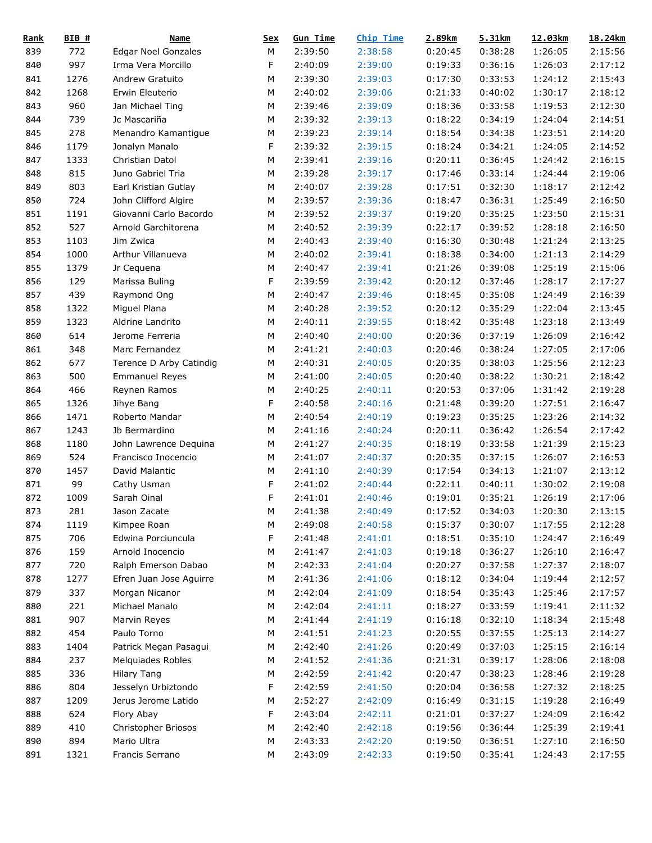| <b>Rank</b> | $BIB$ # | <b>Name</b>                | <u>Sex</u> | <b>Gun Time</b> | Chip Time | 2.89km  | 5.31km  | 12.03km | 18.24km |
|-------------|---------|----------------------------|------------|-----------------|-----------|---------|---------|---------|---------|
| 839         | 772     | <b>Edgar Noel Gonzales</b> | М          | 2:39:50         | 2:38:58   | 0:20:45 | 0:38:28 | 1:26:05 | 2:15:56 |
| 840         | 997     | Irma Vera Morcillo         | F          | 2:40:09         | 2:39:00   | 0:19:33 | 0:36:16 | 1:26:03 | 2:17:12 |
| 841         | 1276    | Andrew Gratuito            | M          | 2:39:30         | 2:39:03   | 0:17:30 | 0:33:53 | 1:24:12 | 2:15:43 |
| 842         | 1268    | Erwin Eleuterio            | M          | 2:40:02         | 2:39:06   | 0:21:33 | 0:40:02 | 1:30:17 | 2:18:12 |
| 843         | 960     | Jan Michael Ting           | M          | 2:39:46         | 2:39:09   | 0:18:36 | 0:33:58 | 1:19:53 | 2:12:30 |
| 844         | 739     | Jc Mascariña               | M          | 2:39:32         | 2:39:13   | 0:18:22 | 0:34:19 | 1:24:04 | 2:14:51 |
| 845         | 278     | Menandro Kamantigue        | M          | 2:39:23         | 2:39:14   | 0:18:54 | 0:34:38 | 1:23:51 | 2:14:20 |
| 846         | 1179    | Jonalyn Manalo             | F          | 2:39:32         | 2:39:15   | 0:18:24 | 0:34:21 | 1:24:05 | 2:14:52 |
| 847         | 1333    | Christian Datol            | М          | 2:39:41         | 2:39:16   | 0:20:11 | 0:36:45 | 1:24:42 | 2:16:15 |
| 848         | 815     | Juno Gabriel Tria          | М          | 2:39:28         | 2:39:17   | 0:17:46 | 0:33:14 | 1:24:44 | 2:19:06 |
| 849         | 803     | Earl Kristian Gutlay       | M          | 2:40:07         | 2:39:28   | 0:17:51 | 0:32:30 | 1:18:17 | 2:12:42 |
| 850         | 724     | John Clifford Algire       | M          | 2:39:57         | 2:39:36   | 0:18:47 | 0:36:31 | 1:25:49 | 2:16:50 |
| 851         | 1191    | Giovanni Carlo Bacordo     | M          | 2:39:52         | 2:39:37   | 0:19:20 | 0:35:25 | 1:23:50 | 2:15:31 |
| 852         | 527     | Arnold Garchitorena        | M          | 2:40:52         | 2:39:39   | 0:22:17 | 0:39:52 | 1:28:18 | 2:16:50 |
| 853         | 1103    | Jim Zwica                  | M          | 2:40:43         | 2:39:40   | 0:16:30 | 0:30:48 | 1:21:24 | 2:13:25 |
| 854         | 1000    | Arthur Villanueva          | M          | 2:40:02         | 2:39:41   | 0:18:38 | 0:34:00 | 1:21:13 | 2:14:29 |
| 855         | 1379    | Jr Cequena                 | M          | 2:40:47         | 2:39:41   | 0:21:26 | 0:39:08 | 1:25:19 | 2:15:06 |
| 856         | 129     | Marissa Buling             | F          | 2:39:59         | 2:39:42   | 0:20:12 | 0:37:46 | 1:28:17 | 2:17:27 |
| 857         | 439     | Raymond Ong                | М          | 2:40:47         | 2:39:46   | 0:18:45 | 0:35:08 | 1:24:49 | 2:16:39 |
| 858         | 1322    | Miguel Plana               | M          | 2:40:28         | 2:39:52   | 0:20:12 | 0:35:29 | 1:22:04 | 2:13:45 |
| 859         | 1323    | Aldrine Landrito           | M          | 2:40:11         | 2:39:55   | 0:18:42 | 0:35:48 | 1:23:18 | 2:13:49 |
|             | 614     |                            | M          | 2:40:40         | 2:40:00   | 0:20:36 | 0:37:19 |         | 2:16:42 |
| 860         |         | Jerome Ferreria            |            |                 |           |         |         | 1:26:09 |         |
| 861         | 348     | Marc Fernandez             | M          | 2:41:21         | 2:40:03   | 0:20:46 | 0:38:24 | 1:27:05 | 2:17:06 |
| 862         | 677     | Terence D Arby Catindig    | M          | 2:40:31         | 2:40:05   | 0:20:35 | 0:38:03 | 1:25:56 | 2:12:23 |
| 863         | 500     | <b>Emmanuel Reyes</b>      | M          | 2:41:00         | 2:40:05   | 0:20:40 | 0:38:22 | 1:30:21 | 2:18:42 |
| 864         | 466     | Reynen Ramos               | M          | 2:40:25         | 2:40:11   | 0:20:53 | 0:37:06 | 1:31:42 | 2:19:28 |
| 865         | 1326    | Jihye Bang                 | F          | 2:40:58         | 2:40:16   | 0:21:48 | 0:39:20 | 1:27:51 | 2:16:47 |
| 866         | 1471    | Roberto Mandar             | M          | 2:40:54         | 2:40:19   | 0:19:23 | 0:35:25 | 1:23:26 | 2:14:32 |
| 867         | 1243    | Jb Bermardino              | M          | 2:41:16         | 2:40:24   | 0:20:11 | 0:36:42 | 1:26:54 | 2:17:42 |
| 868         | 1180    | John Lawrence Dequina      | M          | 2:41:27         | 2:40:35   | 0:18:19 | 0:33:58 | 1:21:39 | 2:15:23 |
| 869         | 524     | Francisco Inocencio        | М          | 2:41:07         | 2:40:37   | 0:20:35 | 0:37:15 | 1:26:07 | 2:16:53 |
| 870         | 1457    | David Malantic             | M          | 2:41:10         | 2:40:39   | 0:17:54 | 0:34:13 | 1:21:07 | 2:13:12 |
| 871         | 99      | Cathy Usman                | F          | 2:41:02         | 2:40:44   | 0:22:11 | 0:40:11 | 1:30:02 | 2:19:08 |
| 872         | 1009    | Sarah Oinal                | F          | 2:41:01         | 2:40:46   | 0:19:01 | 0:35:21 | 1:26:19 | 2:17:06 |
| 873         | 281     | Jason Zacate               | ${\sf M}$  | 2:41:38         | 2:40:49   | 0:17:52 | 0:34:03 | 1:20:30 | 2:13:15 |
| 874         | 1119    | Kimpee Roan                | M          | 2:49:08         | 2:40:58   | 0:15:37 | 0:30:07 | 1:17:55 | 2:12:28 |
| 875         | 706     | Edwina Porciuncula         | F          | 2:41:48         | 2:41:01   | 0:18:51 | 0:35:10 | 1:24:47 | 2:16:49 |
| 876         | 159     | Arnold Inocencio           | М          | 2:41:47         | 2:41:03   | 0:19:18 | 0:36:27 | 1:26:10 | 2:16:47 |
| 877         | 720     | Ralph Emerson Dabao        | М          | 2:42:33         | 2:41:04   | 0:20:27 | 0:37:58 | 1:27:37 | 2:18:07 |
| 878         | 1277    | Efren Juan Jose Aguirre    | М          | 2:41:36         | 2:41:06   | 0:18:12 | 0:34:04 | 1:19:44 | 2:12:57 |
| 879         | 337     | Morgan Nicanor             | М          | 2:42:04         | 2:41:09   | 0:18:54 | 0:35:43 | 1:25:46 | 2:17:57 |
| 880         | 221     | Michael Manalo             | М          | 2:42:04         | 2:41:11   | 0:18:27 | 0:33:59 | 1:19:41 | 2:11:32 |
| 881         | 907     | Marvin Reyes               | М          | 2:41:44         | 2:41:19   | 0:16:18 | 0:32:10 | 1:18:34 | 2:15:48 |
| 882         | 454     | Paulo Torno                | М          | 2:41:51         | 2:41:23   | 0:20:55 | 0:37:55 | 1:25:13 | 2:14:27 |
| 883         | 1404    | Patrick Megan Pasagui      | М          | 2:42:40         | 2:41:26   | 0:20:49 | 0:37:03 | 1:25:15 | 2:16:14 |
| 884         | 237     | Melquiades Robles          | М          | 2:41:52         | 2:41:36   | 0:21:31 | 0:39:17 | 1:28:06 | 2:18:08 |
| 885         | 336     | <b>Hilary Tang</b>         | М          | 2:42:59         | 2:41:42   | 0:20:47 | 0:38:23 | 1:28:46 | 2:19:28 |
| 886         | 804     | Jesselyn Urbiztondo        | F          | 2:42:59         | 2:41:50   | 0:20:04 | 0:36:58 | 1:27:32 | 2:18:25 |
| 887         | 1209    | Jerus Jerome Latido        | М          | 2:52:27         | 2:42:09   | 0:16:49 | 0:31:15 | 1:19:28 | 2:16:49 |
| 888         | 624     | Flory Abay                 | F          | 2:43:04         | 2:42:11   | 0:21:01 | 0:37:27 | 1:24:09 | 2:16:42 |
| 889         | 410     | Christopher Briosos        | М          | 2:42:40         | 2:42:18   | 0:19:56 | 0:36:44 | 1:25:39 | 2:19:41 |
| 890         | 894     | Mario Ultra                | М          | 2:43:33         | 2:42:20   | 0:19:50 | 0:36:51 | 1:27:10 | 2:16:50 |
| 891         | 1321    | Francis Serrano            | M          | 2:43:09         | 2:42:33   | 0:19:50 | 0:35:41 | 1:24:43 | 2:17:55 |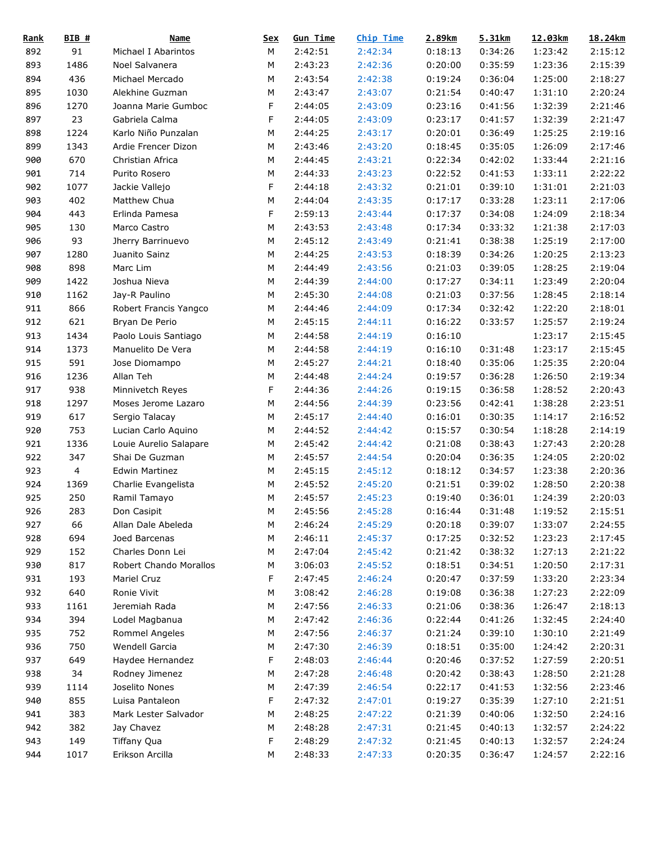| <b>Rank</b> | $BIB$ # | <b>Name</b>            | <u>Sex</u> | <b>Gun Time</b> | <b>Chip Time</b> | 2.89km  | 5.31km  | 12.03km | 18.24km |
|-------------|---------|------------------------|------------|-----------------|------------------|---------|---------|---------|---------|
| 892         | 91      | Michael I Abarintos    | М          | 2:42:51         | 2:42:34          | 0:18:13 | 0:34:26 | 1:23:42 | 2:15:12 |
| 893         | 1486    | Noel Salvanera         | М          | 2:43:23         | 2:42:36          | 0:20:00 | 0:35:59 | 1:23:36 | 2:15:39 |
| 894         | 436     | Michael Mercado        | M          | 2:43:54         | 2:42:38          | 0:19:24 | 0:36:04 | 1:25:00 | 2:18:27 |
| 895         | 1030    | Alekhine Guzman        | M          | 2:43:47         | 2:43:07          | 0:21:54 | 0:40:47 | 1:31:10 | 2:20:24 |
| 896         | 1270    | Joanna Marie Gumboc    | F          | 2:44:05         | 2:43:09          | 0:23:16 | 0:41:56 | 1:32:39 | 2:21:46 |
| 897         | 23      | Gabriela Calma         | F          | 2:44:05         | 2:43:09          | 0:23:17 | 0:41:57 | 1:32:39 | 2:21:47 |
| 898         | 1224    | Karlo Niño Punzalan    | M          | 2:44:25         | 2:43:17          | 0:20:01 | 0:36:49 | 1:25:25 | 2:19:16 |
| 899         | 1343    | Ardie Frencer Dizon    | M          | 2:43:46         | 2:43:20          | 0:18:45 | 0:35:05 | 1:26:09 | 2:17:46 |
| 900         | 670     | Christian Africa       | M          | 2:44:45         | 2:43:21          | 0:22:34 | 0:42:02 | 1:33:44 | 2:21:16 |
| 901         | 714     | Purito Rosero          | М          | 2:44:33         | 2:43:23          | 0:22:52 | 0:41:53 | 1:33:11 | 2:22:22 |
| 902         | 1077    | Jackie Vallejo         | F          | 2:44:18         | 2:43:32          | 0:21:01 | 0:39:10 | 1:31:01 | 2:21:03 |
| 903         | 402     | Matthew Chua           | М          | 2:44:04         | 2:43:35          | 0:17:17 | 0:33:28 | 1:23:11 | 2:17:06 |
| 904         | 443     | Erlinda Pamesa         | F          | 2:59:13         | 2:43:44          | 0:17:37 | 0:34:08 | 1:24:09 | 2:18:34 |
| 905         | 130     | Marco Castro           | М          | 2:43:53         | 2:43:48          | 0:17:34 | 0:33:32 | 1:21:38 | 2:17:03 |
| 906         | 93      | Jherry Barrinuevo      | М          | 2:45:12         | 2:43:49          | 0:21:41 | 0:38:38 | 1:25:19 | 2:17:00 |
| 907         | 1280    | Juanito Sainz          | M          | 2:44:25         | 2:43:53          | 0:18:39 | 0:34:26 | 1:20:25 | 2:13:23 |
| 908         | 898     | Marc Lim               | M          | 2:44:49         | 2:43:56          | 0:21:03 | 0:39:05 | 1:28:25 | 2:19:04 |
| 909         | 1422    | Joshua Nieva           | М          | 2:44:39         | 2:44:00          | 0:17:27 | 0:34:11 | 1:23:49 | 2:20:04 |
| 910         | 1162    | Jay-R Paulino          | М          | 2:45:30         | 2:44:08          | 0:21:03 | 0:37:56 | 1:28:45 | 2:18:14 |
| 911         | 866     | Robert Francis Yangco  | М          | 2:44:46         | 2:44:09          | 0:17:34 | 0:32:42 | 1:22:20 | 2:18:01 |
| 912         | 621     | Bryan De Perio         | M          | 2:45:15         | 2:44:11          | 0:16:22 | 0:33:57 | 1:25:57 | 2:19:24 |
| 913         | 1434    | Paolo Louis Santiago   | M          | 2:44:58         | 2:44:19          | 0:16:10 |         | 1:23:17 | 2:15:45 |
| 914         | 1373    | Manuelito De Vera      | М          | 2:44:58         | 2:44:19          | 0:16:10 | 0:31:48 | 1:23:17 | 2:15:45 |
| 915         | 591     | Jose Diomampo          | M          | 2:45:27         | 2:44:21          | 0:18:40 | 0:35:06 | 1:25:35 | 2:20:04 |
| 916         | 1236    | Allan Teh              | M          | 2:44:48         | 2:44:24          | 0:19:57 | 0:36:28 | 1:26:50 | 2:19:34 |
|             | 938     |                        | F          |                 |                  |         |         |         | 2:20:43 |
| 917         |         | Minnivetch Reyes       |            | 2:44:36         | 2:44:26          | 0:19:15 | 0:36:58 | 1:28:52 |         |
| 918         | 1297    | Moses Jerome Lazaro    | М          | 2:44:56         | 2:44:39          | 0:23:56 | 0:42:41 | 1:38:28 | 2:23:51 |
| 919         | 617     | Sergio Talacay         | М          | 2:45:17         | 2:44:40          | 0:16:01 | 0:30:35 | 1:14:17 | 2:16:52 |
| 920         | 753     | Lucian Carlo Aquino    | М          | 2:44:52         | 2:44:42          | 0:15:57 | 0:30:54 | 1:18:28 | 2:14:19 |
| 921         | 1336    | Louie Aurelio Salapare | М          | 2:45:42         | 2:44:42          | 0:21:08 | 0:38:43 | 1:27:43 | 2:20:28 |
| 922         | 347     | Shai De Guzman         | М          | 2:45:57         | 2:44:54          | 0:20:04 | 0:36:35 | 1:24:05 | 2:20:02 |
| 923         | 4       | <b>Edwin Martinez</b>  | М          | 2:45:15         | 2:45:12          | 0:18:12 | 0:34:57 | 1:23:38 | 2:20:36 |
| 924         | 1369    | Charlie Evangelista    | M          | 2:45:52         | 2:45:20          | 0:21:51 | 0:39:02 | 1:28:50 | 2:20:38 |
| 925         | 250     | Ramil Tamayo           | M          | 2:45:57         | 2:45:23          | 0:19:40 | 0:36:01 | 1:24:39 | 2:20:03 |
| 926         | 283     | Don Casipit            | М          | 2:45:56         | 2:45:28          | 0:16:44 | 0:31:48 | 1:19:52 | 2:15:51 |
| 927         | 66      | Allan Dale Abeleda     | M          | 2:46:24         | 2:45:29          | 0:20:18 | 0:39:07 | 1:33:07 | 2:24:55 |
| 928         | 694     | Joed Barcenas          | M          | 2:46:11         | 2:45:37          | 0:17:25 | 0:32:52 | 1:23:23 | 2:17:45 |
| 929         | 152     | Charles Donn Lei       | M          | 2:47:04         | 2:45:42          | 0:21:42 | 0:38:32 | 1:27:13 | 2:21:22 |
| 930         | 817     | Robert Chando Morallos | М          | 3:06:03         | 2:45:52          | 0:18:51 | 0:34:51 | 1:20:50 | 2:17:31 |
| 931         | 193     | Mariel Cruz            | F          | 2:47:45         | 2:46:24          | 0:20:47 | 0:37:59 | 1:33:20 | 2:23:34 |
| 932         | 640     | Ronie Vivit            | М          | 3:08:42         | 2:46:28          | 0:19:08 | 0:36:38 | 1:27:23 | 2:22:09 |
| 933         | 1161    | Jeremiah Rada          | M          | 2:47:56         | 2:46:33          | 0:21:06 | 0:38:36 | 1:26:47 | 2:18:13 |
| 934         | 394     | Lodel Magbanua         | M          | 2:47:42         | 2:46:36          | 0:22:44 | 0:41:26 | 1:32:45 | 2:24:40 |
| 935         | 752     | Rommel Angeles         | M          | 2:47:56         | 2:46:37          | 0:21:24 | 0:39:10 | 1:30:10 | 2:21:49 |
| 936         | 750     | Wendell Garcia         | M          | 2:47:30         | 2:46:39          | 0:18:51 | 0:35:00 | 1:24:42 | 2:20:31 |
| 937         | 649     | Haydee Hernandez       | F          | 2:48:03         | 2:46:44          | 0:20:46 | 0:37:52 | 1:27:59 | 2:20:51 |
| 938         | 34      | Rodney Jimenez         | M          | 2:47:28         | 2:46:48          | 0:20:42 | 0:38:43 | 1:28:50 | 2:21:28 |
| 939         | 1114    | Joselito Nones         | M          | 2:47:39         | 2:46:54          | 0:22:17 | 0:41:53 | 1:32:56 | 2:23:46 |
| 940         | 855     | Luisa Pantaleon        | F          | 2:47:32         | 2:47:01          | 0:19:27 | 0:35:39 | 1:27:10 | 2:21:51 |
| 941         | 383     | Mark Lester Salvador   | M          | 2:48:25         | 2:47:22          | 0:21:39 | 0:40:06 | 1:32:50 | 2:24:16 |
| 942         | 382     | Jay Chavez             | M          | 2:48:28         | 2:47:31          | 0:21:45 | 0:40:13 | 1:32:57 | 2:24:22 |
| 943         | 149     | Tiffany Qua            | F          | 2:48:29         | 2:47:32          | 0:21:45 | 0:40:13 | 1:32:57 | 2:24:24 |
| 944         | 1017    | Erikson Arcilla        | М          | 2:48:33         | 2:47:33          | 0:20:35 | 0:36:47 | 1:24:57 | 2:22:16 |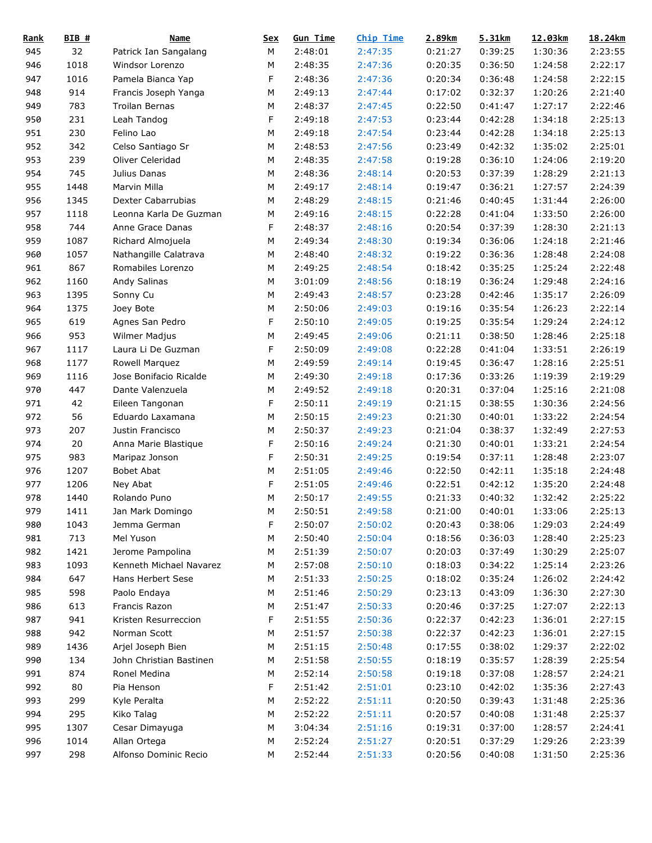| <b>Rank</b> | $BIB$ # | <b>Name</b>             | <u>Sex</u> | <b>Gun Time</b> | Chip Time | 2.89km  | 5.31km  | 12.03km | 18.24km |
|-------------|---------|-------------------------|------------|-----------------|-----------|---------|---------|---------|---------|
| 945         | 32      | Patrick Ian Sangalang   | М          | 2:48:01         | 2:47:35   | 0:21:27 | 0:39:25 | 1:30:36 | 2:23:55 |
| 946         | 1018    | Windsor Lorenzo         | M          | 2:48:35         | 2:47:36   | 0:20:35 | 0:36:50 | 1:24:58 | 2:22:17 |
| 947         | 1016    | Pamela Bianca Yap       | F          | 2:48:36         | 2:47:36   | 0:20:34 | 0:36:48 | 1:24:58 | 2:22:15 |
| 948         | 914     | Francis Joseph Yanga    | M          | 2:49:13         | 2:47:44   | 0:17:02 | 0:32:37 | 1:20:26 | 2:21:40 |
| 949         | 783     | Troilan Bernas          | M          | 2:48:37         | 2:47:45   | 0:22:50 | 0:41:47 | 1:27:17 | 2:22:46 |
| 950         | 231     | Leah Tandog             | F          | 2:49:18         | 2:47:53   | 0:23:44 | 0:42:28 | 1:34:18 | 2:25:13 |
| 951         | 230     | Felino Lao              | M          | 2:49:18         | 2:47:54   | 0:23:44 | 0:42:28 | 1:34:18 | 2:25:13 |
| 952         | 342     | Celso Santiago Sr       | М          | 2:48:53         | 2:47:56   | 0:23:49 | 0:42:32 | 1:35:02 | 2:25:01 |
| 953         | 239     | Oliver Celeridad        | М          | 2:48:35         | 2:47:58   | 0:19:28 | 0:36:10 | 1:24:06 | 2:19:20 |
| 954         | 745     | Julius Danas            | М          | 2:48:36         | 2:48:14   | 0:20:53 | 0:37:39 | 1:28:29 | 2:21:13 |
| 955         | 1448    | Marvin Milla            | M          | 2:49:17         | 2:48:14   | 0:19:47 | 0:36:21 | 1:27:57 | 2:24:39 |
| 956         | 1345    | Dexter Cabarrubias      | M          | 2:48:29         | 2:48:15   | 0:21:46 | 0:40:45 | 1:31:44 | 2:26:00 |
| 957         | 1118    | Leonna Karla De Guzman  | M          | 2:49:16         | 2:48:15   | 0:22:28 | 0:41:04 | 1:33:50 | 2:26:00 |
| 958         | 744     | Anne Grace Danas        | F          | 2:48:37         | 2:48:16   | 0:20:54 | 0:37:39 | 1:28:30 | 2:21:13 |
| 959         | 1087    | Richard Almojuela       | M          | 2:49:34         | 2:48:30   | 0:19:34 | 0:36:06 | 1:24:18 | 2:21:46 |
| 960         | 1057    | Nathangille Calatrava   | M          | 2:48:40         | 2:48:32   | 0:19:22 | 0:36:36 | 1:28:48 | 2:24:08 |
| 961         | 867     | Romabiles Lorenzo       | M          | 2:49:25         | 2:48:54   | 0:18:42 | 0:35:25 | 1:25:24 | 2:22:48 |
| 962         | 1160    | Andy Salinas            | M          | 3:01:09         | 2:48:56   | 0:18:19 | 0:36:24 | 1:29:48 | 2:24:16 |
| 963         | 1395    | Sonny Cu                | M          | 2:49:43         | 2:48:57   | 0:23:28 | 0:42:46 | 1:35:17 | 2:26:09 |
| 964         | 1375    | Joey Bote               | M          | 2:50:06         | 2:49:03   | 0:19:16 | 0:35:54 | 1:26:23 | 2:22:14 |
| 965         | 619     | Agnes San Pedro         | F          | 2:50:10         | 2:49:05   | 0:19:25 | 0:35:54 | 1:29:24 | 2:24:12 |
| 966         | 953     | Wilmer Madjus           | M          | 2:49:45         | 2:49:06   | 0:21:11 | 0:38:50 | 1:28:46 | 2:25:18 |
| 967         | 1117    | Laura Li De Guzman      | F          | 2:50:09         | 2:49:08   | 0:22:28 | 0:41:04 | 1:33:51 | 2:26:19 |
|             | 1177    |                         | M          |                 |           |         |         |         | 2:25:51 |
| 968         |         | Rowell Marquez          | M          | 2:49:59         | 2:49:14   | 0:19:45 | 0:36:47 | 1:28:16 | 2:19:29 |
| 969         | 1116    | Jose Bonifacio Ricalde  |            | 2:49:30         | 2:49:18   | 0:17:36 | 0:33:26 | 1:19:39 |         |
| 970         | 447     | Dante Valenzuela        | M          | 2:49:52         | 2:49:18   | 0:20:31 | 0:37:04 | 1:25:16 | 2:21:08 |
| 971         | 42      | Eileen Tangonan         | F          | 2:50:11         | 2:49:19   | 0:21:15 | 0:38:55 | 1:30:36 | 2:24:56 |
| 972         | 56      | Eduardo Laxamana        | M          | 2:50:15         | 2:49:23   | 0:21:30 | 0:40:01 | 1:33:22 | 2:24:54 |
| 973         | 207     | Justin Francisco        | M          | 2:50:37         | 2:49:23   | 0:21:04 | 0:38:37 | 1:32:49 | 2:27:53 |
| 974         | 20      | Anna Marie Blastique    | F          | 2:50:16         | 2:49:24   | 0:21:30 | 0:40:01 | 1:33:21 | 2:24:54 |
| 975         | 983     | Maripaz Jonson          | F          | 2:50:31         | 2:49:25   | 0:19:54 | 0:37:11 | 1:28:48 | 2:23:07 |
| 976         | 1207    | <b>Bobet Abat</b>       | M          | 2:51:05         | 2:49:46   | 0:22:50 | 0:42:11 | 1:35:18 | 2:24:48 |
| 977         | 1206    | Ney Abat                | F          | 2:51:05         | 2:49:46   | 0:22:51 | 0:42:12 | 1:35:20 | 2:24:48 |
| 978         | 1440    | Rolando Puno            | M          | 2:50:17         | 2:49:55   | 0:21:33 | 0:40:32 | 1:32:42 | 2:25:22 |
| 979         | 1411    | Jan Mark Domingo        | ${\sf M}$  | 2:50:51         | 2:49:58   | 0:21:00 | 0:40:01 | 1:33:06 | 2:25:13 |
| 980         | 1043    | Jemma German            | F          | 2:50:07         | 2:50:02   | 0:20:43 | 0:38:06 | 1:29:03 | 2:24:49 |
| 981         | 713     | Mel Yuson               | М          | 2:50:40         | 2:50:04   | 0:18:56 | 0:36:03 | 1:28:40 | 2:25:23 |
| 982         | 1421    | Jerome Pampolina        | М          | 2:51:39         | 2:50:07   | 0:20:03 | 0:37:49 | 1:30:29 | 2:25:07 |
| 983         | 1093    | Kenneth Michael Navarez | М          | 2:57:08         | 2:50:10   | 0:18:03 | 0:34:22 | 1:25:14 | 2:23:26 |
| 984         | 647     | Hans Herbert Sese       | М          | 2:51:33         | 2:50:25   | 0:18:02 | 0:35:24 | 1:26:02 | 2:24:42 |
| 985         | 598     | Paolo Endaya            | М          | 2:51:46         | 2:50:29   | 0:23:13 | 0:43:09 | 1:36:30 | 2:27:30 |
| 986         | 613     | Francis Razon           | М          | 2:51:47         | 2:50:33   | 0:20:46 | 0:37:25 | 1:27:07 | 2:22:13 |
| 987         | 941     | Kristen Resurreccion    | F          | 2:51:55         | 2:50:36   | 0:22:37 | 0:42:23 | 1:36:01 | 2:27:15 |
| 988         | 942     | Norman Scott            | М          | 2:51:57         | 2:50:38   | 0:22:37 | 0:42:23 | 1:36:01 | 2:27:15 |
| 989         | 1436    | Arjel Joseph Bien       | М          | 2:51:15         | 2:50:48   | 0:17:55 | 0:38:02 | 1:29:37 | 2:22:02 |
| 990         | 134     | John Christian Bastinen | М          | 2:51:58         | 2:50:55   | 0:18:19 | 0:35:57 | 1:28:39 | 2:25:54 |
| 991         | 874     | Ronel Medina            | М          | 2:52:14         | 2:50:58   | 0:19:18 | 0:37:08 | 1:28:57 | 2:24:21 |
| 992         | 80      | Pia Henson              | F          | 2:51:42         | 2:51:01   | 0:23:10 | 0:42:02 | 1:35:36 | 2:27:43 |
| 993         | 299     | Kyle Peralta            | М          | 2:52:22         | 2:51:11   | 0:20:50 | 0:39:43 | 1:31:48 | 2:25:36 |
| 994         | 295     | Kiko Talag              | М          | 2:52:22         | 2:51:11   | 0:20:57 | 0:40:08 | 1:31:48 | 2:25:37 |
| 995         | 1307    | Cesar Dimayuga          | М          | 3:04:34         | 2:51:16   | 0:19:31 | 0:37:00 | 1:28:57 | 2:24:41 |
| 996         | 1014    | Allan Ortega            | ${\sf M}$  | 2:52:24         | 2:51:27   | 0:20:51 | 0:37:29 | 1:29:26 | 2:23:39 |
| 997         | 298     | Alfonso Dominic Recio   | M          | 2:52:44         | 2:51:33   | 0:20:56 | 0:40:08 | 1:31:50 | 2:25:36 |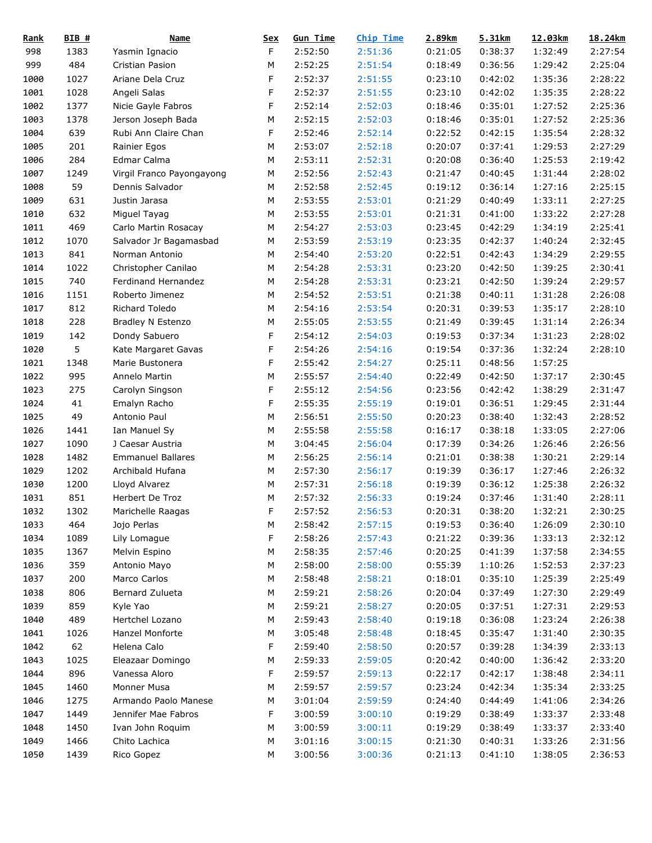| <b>Rank</b> | BIB# | <b>Name</b>               | <u>Sex</u> | <b>Gun Time</b> | Chip Time | 2.89km  | 5.31km  | 12.03km | 18.24km |
|-------------|------|---------------------------|------------|-----------------|-----------|---------|---------|---------|---------|
| 998         | 1383 | Yasmin Ignacio            | F          | 2:52:50         | 2:51:36   | 0:21:05 | 0:38:37 | 1:32:49 | 2:27:54 |
| 999         | 484  | Cristian Pasion           | М          | 2:52:25         | 2:51:54   | 0:18:49 | 0:36:56 | 1:29:42 | 2:25:04 |
| 1000        | 1027 | Ariane Dela Cruz          | F          | 2:52:37         | 2:51:55   | 0:23:10 | 0:42:02 | 1:35:36 | 2:28:22 |
| 1001        | 1028 | Angeli Salas              | F          | 2:52:37         | 2:51:55   | 0:23:10 | 0:42:02 | 1:35:35 | 2:28:22 |
| 1002        | 1377 | Nicie Gayle Fabros        | F          | 2:52:14         | 2:52:03   | 0:18:46 | 0:35:01 | 1:27:52 | 2:25:36 |
| 1003        | 1378 | Jerson Joseph Bada        | М          | 2:52:15         | 2:52:03   | 0:18:46 | 0:35:01 | 1:27:52 | 2:25:36 |
| 1004        | 639  | Rubi Ann Claire Chan      | F          | 2:52:46         | 2:52:14   | 0:22:52 | 0:42:15 | 1:35:54 | 2:28:32 |
| 1005        | 201  | Rainier Egos              | М          | 2:53:07         | 2:52:18   | 0:20:07 | 0:37:41 | 1:29:53 | 2:27:29 |
| 1006        | 284  | Edmar Calma               | М          | 2:53:11         | 2:52:31   | 0:20:08 | 0:36:40 | 1:25:53 | 2:19:42 |
| 1007        | 1249 | Virgil Franco Payongayong | М          | 2:52:56         | 2:52:43   | 0:21:47 | 0:40:45 | 1:31:44 | 2:28:02 |
| 1008        | 59   | Dennis Salvador           | М          | 2:52:58         | 2:52:45   | 0:19:12 | 0:36:14 | 1:27:16 | 2:25:15 |
| 1009        | 631  | Justin Jarasa             | М          | 2:53:55         | 2:53:01   | 0:21:29 | 0:40:49 | 1:33:11 | 2:27:25 |
| 1010        | 632  | Miguel Tayag              | M          | 2:53:55         | 2:53:01   | 0:21:31 | 0:41:00 | 1:33:22 | 2:27:28 |
| 1011        | 469  | Carlo Martin Rosacay      | М          | 2:54:27         | 2:53:03   | 0:23:45 | 0:42:29 | 1:34:19 | 2:25:41 |
| 1012        | 1070 | Salvador Jr Bagamasbad    | М          | 2:53:59         | 2:53:19   | 0:23:35 | 0:42:37 | 1:40:24 | 2:32:45 |
| 1013        | 841  | Norman Antonio            | М          | 2:54:40         | 2:53:20   | 0:22:51 | 0:42:43 | 1:34:29 | 2:29:55 |
| 1014        | 1022 | Christopher Canilao       | М          | 2:54:28         | 2:53:31   | 0:23:20 | 0:42:50 | 1:39:25 | 2:30:41 |
| 1015        | 740  | Ferdinand Hernandez       | М          | 2:54:28         | 2:53:31   | 0:23:21 | 0:42:50 | 1:39:24 | 2:29:57 |
| 1016        | 1151 | Roberto Jimenez           | М          | 2:54:52         | 2:53:51   | 0:21:38 | 0:40:11 | 1:31:28 | 2:26:08 |
| 1017        | 812  | Richard Toledo            | М          | 2:54:16         | 2:53:54   | 0:20:31 | 0:39:53 | 1:35:17 | 2:28:10 |
| 1018        | 228  | Bradley N Estenzo         | М          | 2:55:05         | 2:53:55   | 0:21:49 | 0:39:45 | 1:31:14 | 2:26:34 |
| 1019        | 142  | Dondy Sabuero             | F          | 2:54:12         | 2:54:03   | 0:19:53 | 0:37:34 | 1:31:23 | 2:28:02 |
| 1020        | 5    | Kate Margaret Gavas       | F          | 2:54:26         | 2:54:16   | 0:19:54 | 0:37:36 | 1:32:24 | 2:28:10 |
| 1021        | 1348 | Marie Bustonera           | F          | 2:55:42         | 2:54:27   | 0:25:11 | 0:48:56 | 1:57:25 |         |
| 1022        | 995  | Annelo Martin             | М          | 2:55:57         | 2:54:40   | 0:22:49 | 0:42:50 | 1:37:17 | 2:30:45 |
| 1023        | 275  | Carolyn Singson           | F          | 2:55:12         | 2:54:56   | 0:23:56 | 0:42:42 | 1:38:29 | 2:31:47 |
| 1024        | 41   |                           | F          | 2:55:35         | 2:55:19   | 0:19:01 | 0:36:51 | 1:29:45 | 2:31:44 |
|             | 49   | Emalyn Racho              |            |                 |           |         |         |         |         |
| 1025        |      | Antonio Paul              | М          | 2:56:51         | 2:55:50   | 0:20:23 | 0:38:40 | 1:32:43 | 2:28:52 |
| 1026        | 1441 | Ian Manuel Sy             | М          | 2:55:58         | 2:55:58   | 0:16:17 | 0:38:18 | 1:33:05 | 2:27:06 |
| 1027        | 1090 | J Caesar Austria          | М          | 3:04:45         | 2:56:04   | 0:17:39 | 0:34:26 | 1:26:46 | 2:26:56 |
| 1028        | 1482 | <b>Emmanuel Ballares</b>  | М          | 2:56:25         | 2:56:14   | 0:21:01 | 0:38:38 | 1:30:21 | 2:29:14 |
| 1029        | 1202 | Archibald Hufana          | М          | 2:57:30         | 2:56:17   | 0:19:39 | 0:36:17 | 1:27:46 | 2:26:32 |
| 1030        | 1200 | Lloyd Alvarez             | М          | 2:57:31         | 2:56:18   | 0:19:39 | 0:36:12 | 1:25:38 | 2:26:32 |
| 1031        | 851  | Herbert De Troz           | М          | 2:57:32         | 2:56:33   | 0:19:24 | 0:37:46 | 1:31:40 | 2:28:11 |
| 1032        | 1302 | Marichelle Raagas         | F          | 2:57:52         | 2:56:53   | 0:20:31 | 0:38:20 | 1:32:21 | 2:30:25 |
| 1033        | 464  | Jojo Perlas               | М          | 2:58:42         | 2:57:15   | 0:19:53 | 0:36:40 | 1:26:09 | 2:30:10 |
| 1034        | 1089 | Lily Lomague              | F          | 2:58:26         | 2:57:43   | 0:21:22 | 0:39:36 | 1:33:13 | 2:32:12 |
| 1035        | 1367 | Melvin Espino             | М          | 2:58:35         | 2:57:46   | 0:20:25 | 0:41:39 | 1:37:58 | 2:34:55 |
| 1036        | 359  | Antonio Mayo              | М          | 2:58:00         | 2:58:00   | 0:55:39 | 1:10:26 | 1:52:53 | 2:37:23 |
| 1037        | 200  | Marco Carlos              | М          | 2:58:48         | 2:58:21   | 0:18:01 | 0:35:10 | 1:25:39 | 2:25:49 |
| 1038        | 806  | Bernard Zulueta           | М          | 2:59:21         | 2:58:26   | 0:20:04 | 0:37:49 | 1:27:30 | 2:29:49 |
| 1039        | 859  | Kyle Yao                  | М          | 2:59:21         | 2:58:27   | 0:20:05 | 0:37:51 | 1:27:31 | 2:29:53 |
| 1040        | 489  | Hertchel Lozano           | М          | 2:59:43         | 2:58:40   | 0:19:18 | 0:36:08 | 1:23:24 | 2:26:38 |
| 1041        | 1026 | Hanzel Monforte           | М          | 3:05:48         | 2:58:48   | 0:18:45 | 0:35:47 | 1:31:40 | 2:30:35 |
| 1042        | 62   | Helena Calo               | F          | 2:59:40         | 2:58:50   | 0:20:57 | 0:39:28 | 1:34:39 | 2:33:13 |
| 1043        | 1025 | Eleazaar Domingo          | М          | 2:59:33         | 2:59:05   | 0:20:42 | 0:40:00 | 1:36:42 | 2:33:20 |
| 1044        | 896  | Vanessa Aloro             | F          | 2:59:57         | 2:59:13   | 0:22:17 | 0:42:17 | 1:38:48 | 2:34:11 |
| 1045        | 1460 | Monner Musa               | М          | 2:59:57         | 2:59:57   | 0:23:24 | 0:42:34 | 1:35:34 | 2:33:25 |
| 1046        | 1275 | Armando Paolo Manese      | М          | 3:01:04         | 2:59:59   | 0:24:40 | 0:44:49 | 1:41:06 | 2:34:26 |
| 1047        | 1449 | Jennifer Mae Fabros       | F          | 3:00:59         | 3:00:10   | 0:19:29 | 0:38:49 | 1:33:37 | 2:33:48 |
| 1048        | 1450 | Ivan John Roquim          | М          | 3:00:59         | 3:00:11   | 0:19:29 | 0:38:49 | 1:33:37 | 2:33:40 |
| 1049        | 1466 | Chito Lachica             | М          | 3:01:16         | 3:00:15   | 0:21:30 | 0:40:31 | 1:33:26 | 2:31:56 |
| 1050        | 1439 | Rico Gopez                | М          | 3:00:56         | 3:00:36   | 0:21:13 | 0:41:10 | 1:38:05 | 2:36:53 |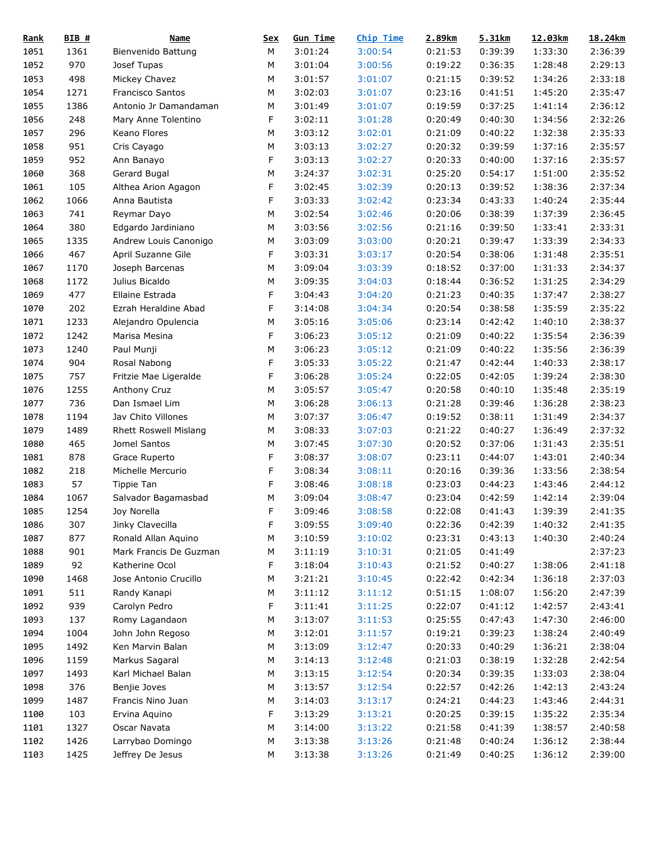| <b>Rank</b> | $BIB$ # | Name                         | <b>Sex</b> | <b>Gun Time</b> | Chip Time | 2.89km  | 5.31km  | 12.03km         | 18.24km |
|-------------|---------|------------------------------|------------|-----------------|-----------|---------|---------|-----------------|---------|
| 1051        | 1361    | Bienvenido Battung           | М          | 3:01:24         | 3:00:54   | 0:21:53 | 0:39:39 | 1:33:30         | 2:36:39 |
| 1052        | 970     | Josef Tupas                  | М          | 3:01:04         | 3:00:56   | 0:19:22 | 0:36:35 | 1:28:48         | 2:29:13 |
| 1053        | 498     | Mickey Chavez                | М          | 3:01:57         | 3:01:07   | 0:21:15 | 0:39:52 | 1:34:26         | 2:33:18 |
| 1054        | 1271    | Francisco Santos             | М          | 3:02:03         | 3:01:07   | 0:23:16 | 0:41:51 | 1:45:20         | 2:35:47 |
| 1055        | 1386    | Antonio Jr Damandaman        | М          | 3:01:49         | 3:01:07   | 0:19:59 | 0:37:25 | 1:41:14         | 2:36:12 |
| 1056        | 248     | Mary Anne Tolentino          | F          | 3:02:11         | 3:01:28   | 0:20:49 | 0:40:30 | 1:34:56         | 2:32:26 |
| 1057        | 296     | Keano Flores                 | М          | 3:03:12         | 3:02:01   | 0:21:09 | 0:40:22 | 1:32:38         | 2:35:33 |
| 1058        | 951     | Cris Cayago                  | М          | 3:03:13         | 3:02:27   | 0:20:32 | 0:39:59 | 1:37:16         | 2:35:57 |
| 1059        | 952     | Ann Banayo                   | F          | 3:03:13         | 3:02:27   | 0:20:33 | 0:40:00 | 1:37:16         | 2:35:57 |
| 1060        | 368     | Gerard Bugal                 | М          | 3:24:37         | 3:02:31   | 0:25:20 | 0:54:17 | 1:51:00         | 2:35:52 |
| 1061        | 105     | Althea Arion Agagon          | F          | 3:02:45         | 3:02:39   | 0:20:13 | 0:39:52 | 1:38:36         | 2:37:34 |
| 1062        | 1066    | Anna Bautista                | F          | 3:03:33         | 3:02:42   | 0:23:34 | 0:43:33 | 1:40:24         | 2:35:44 |
| 1063        | 741     | Reymar Dayo                  | М          | 3:02:54         | 3:02:46   | 0:20:06 | 0:38:39 | 1:37:39         | 2:36:45 |
| 1064        | 380     | Edgardo Jardiniano           | М          | 3:03:56         | 3:02:56   | 0:21:16 | 0:39:50 | 1:33:41         | 2:33:31 |
| 1065        | 1335    | Andrew Louis Canonigo        | М          | 3:03:09         | 3:03:00   | 0:20:21 | 0:39:47 | 1:33:39         | 2:34:33 |
| 1066        | 467     | April Suzanne Gile           | F          | 3:03:31         | 3:03:17   | 0:20:54 | 0:38:06 | 1:31:48         | 2:35:51 |
| 1067        | 1170    | Joseph Barcenas              | М          | 3:09:04         | 3:03:39   | 0:18:52 | 0:37:00 | 1:31:33         | 2:34:37 |
| 1068        | 1172    | Julius Bicaldo               | М          | 3:09:35         | 3:04:03   | 0:18:44 | 0:36:52 | 1:31:25         | 2:34:29 |
| 1069        | 477     | Ellaine Estrada              | F          | 3:04:43         | 3:04:20   | 0:21:23 | 0:40:35 | 1:37:47         | 2:38:27 |
| 1070        | 202     | Ezrah Heraldine Abad         | F          | 3:14:08         | 3:04:34   | 0:20:54 | 0:38:58 | 1:35:59         | 2:35:22 |
| 1071        | 1233    | Alejandro Opulencia          | М          | 3:05:16         | 3:05:06   | 0:23:14 | 0:42:42 | 1:40:10         | 2:38:37 |
| 1072        | 1242    | Marisa Mesina                | F          | 3:06:23         | 3:05:12   | 0:21:09 | 0:40:22 | 1:35:54         | 2:36:39 |
| 1073        | 1240    | Paul Munji                   | М          | 3:06:23         | 3:05:12   | 0:21:09 | 0:40:22 | 1:35:56         | 2:36:39 |
| 1074        | 904     | Rosal Nabong                 | F          | 3:05:33         | 3:05:22   | 0:21:47 | 0:42:44 | 1:40:33         | 2:38:17 |
| 1075        | 757     | Fritzie Mae Ligeralde        | F          | 3:06:28         | 3:05:24   | 0:22:05 | 0:42:05 | 1:39:24         | 2:38:30 |
| 1076        | 1255    | Anthony Cruz                 | М          | 3:05:57         | 3:05:47   | 0:20:58 | 0:40:10 | 1:35:48         | 2:35:19 |
| 1077        | 736     | Dan Ismael Lim               | М          | 3:06:28         | 3:06:13   | 0:21:28 | 0:39:46 | 1:36:28         | 2:38:23 |
| 1078        | 1194    | Jav Chito Villones           | М          | 3:07:37         | 3:06:47   | 0:19:52 | 0:38:11 | 1:31:49         | 2:34:37 |
| 1079        | 1489    | <b>Rhett Roswell Mislang</b> | М          | 3:08:33         | 3:07:03   | 0:21:22 | 0:40:27 | 1:36:49         | 2:37:32 |
| 1080        | 465     | Jomel Santos                 | М          | 3:07:45         | 3:07:30   | 0:20:52 | 0:37:06 | 1:31:43         | 2:35:51 |
| 1081        | 878     | Grace Ruperto                | F          | 3:08:37         | 3:08:07   | 0:23:11 | 0:44:07 | 1:43:01         | 2:40:34 |
| 1082        | 218     | Michelle Mercurio            | F          | 3:08:34         | 3:08:11   | 0:20:16 | 0:39:36 | 1:33:56         | 2:38:54 |
| 1083        | 57      | Tippie Tan                   | F          | 3:08:46         | 3:08:18   | 0:23:03 | 0:44:23 | 1:43:46         | 2:44:12 |
| 1084        | 1067    | Salvador Bagamasbad          | М          | 3:09:04         | 3:08:47   | 0:23:04 | 0:42:59 | 1:42:14         | 2:39:04 |
| 1085        | 1254    | Joy Norella                  | F          | 3:09:46         | 3:08:58   | 0:22:08 |         | 0:41:43 1:39:39 | 2:41:35 |
| 1086        | 307     | Jinky Clavecilla             | F          | 3:09:55         | 3:09:40   | 0:22:36 | 0:42:39 | 1:40:32         | 2:41:35 |
| 1087        | 877     | Ronald Allan Aquino          | М          | 3:10:59         | 3:10:02   | 0:23:31 | 0:43:13 | 1:40:30         | 2:40:24 |
| 1088        | 901     | Mark Francis De Guzman       | М          | 3:11:19         | 3:10:31   | 0:21:05 | 0:41:49 |                 | 2:37:23 |
| 1089        | 92      | Katherine Ocol               | F          | 3:18:04         | 3:10:43   | 0:21:52 | 0:40:27 | 1:38:06         | 2:41:18 |
| 1090        | 1468    | Jose Antonio Crucillo        | М          | 3:21:21         | 3:10:45   | 0:22:42 | 0:42:34 | 1:36:18         | 2:37:03 |
| 1091        | 511     | Randy Kanapi                 | М          | 3:11:12         | 3:11:12   | 0:51:15 | 1:08:07 | 1:56:20         | 2:47:39 |
| 1092        | 939     | Carolyn Pedro                | F          | 3:11:41         | 3:11:25   | 0:22:07 | 0:41:12 | 1:42:57         | 2:43:41 |
| 1093        | 137     | Romy Lagandaon               | М          | 3:13:07         | 3:11:53   | 0:25:55 | 0:47:43 | 1:47:30         | 2:46:00 |
| 1094        | 1004    | John John Regoso             | М          | 3:12:01         | 3:11:57   | 0:19:21 | 0:39:23 | 1:38:24         | 2:40:49 |
| 1095        | 1492    | Ken Marvin Balan             | М          | 3:13:09         | 3:12:47   | 0:20:33 | 0:40:29 | 1:36:21         | 2:38:04 |
| 1096        | 1159    | Markus Sagaral               | М          | 3:14:13         | 3:12:48   | 0:21:03 | 0:38:19 | 1:32:28         | 2:42:54 |
| 1097        | 1493    | Karl Michael Balan           | М          | 3:13:15         | 3:12:54   | 0:20:34 | 0:39:35 | 1:33:03         | 2:38:04 |
| 1098        | 376     | Benjie Joves                 | М          | 3:13:57         | 3:12:54   | 0:22:57 | 0:42:26 | 1:42:13         | 2:43:24 |
| 1099        | 1487    | Francis Nino Juan            | М          | 3:14:03         | 3:13:17   | 0:24:21 | 0:44:23 | 1:43:46         | 2:44:31 |
| 1100        | 103     | Ervina Aquino                | F          | 3:13:29         | 3:13:21   | 0:20:25 | 0:39:15 | 1:35:22         | 2:35:34 |
| 1101        | 1327    | Oscar Navata                 | М          | 3:14:00         | 3:13:22   | 0:21:58 | 0:41:39 | 1:38:57         | 2:40:58 |
| 1102        | 1426    | Larrybao Domingo             | М          | 3:13:38         | 3:13:26   | 0:21:48 | 0:40:24 | 1:36:12         | 2:38:44 |
| 1103        | 1425    | Jeffrey De Jesus             | М          | 3:13:38         | 3:13:26   | 0:21:49 | 0:40:25 | 1:36:12         | 2:39:00 |